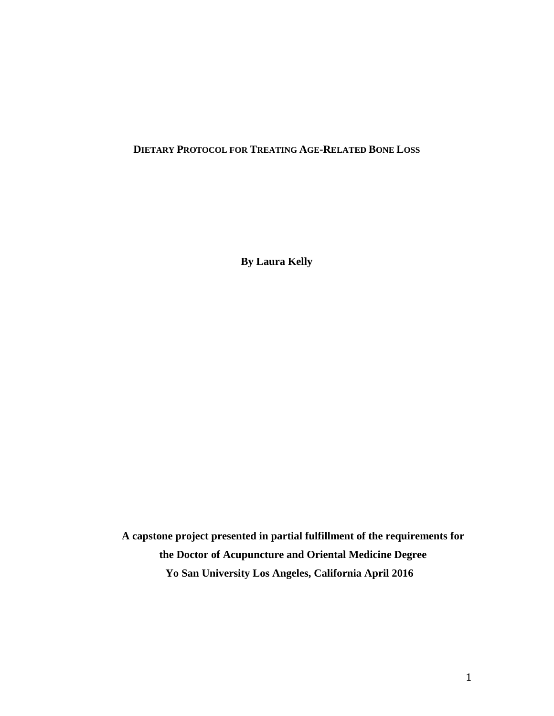# **DIETARY PROTOCOL FOR TREATING AGE-RELATED BONE LOSS**

**By Laura Kelly** 

**A capstone project presented in partial fulfillment of the requirements for the Doctor of Acupuncture and Oriental Medicine Degree Yo San University Los Angeles, California April 2016**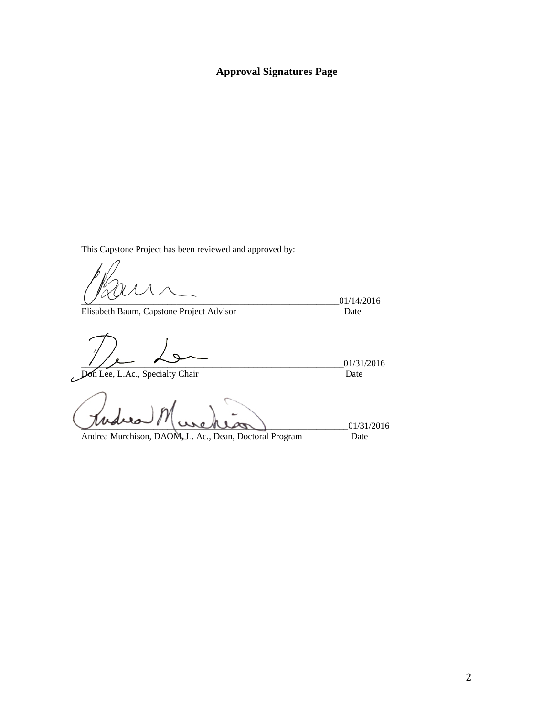# **Approval Signatures Page**

This Capstone Project has been reviewed and approved by:

Elisabeth Baum, Capstone Project Advisor

\_\_\_\_\_\_\_\_\_\_\_\_\_\_\_\_\_\_\_\_\_\_\_\_\_\_\_\_\_\_\_\_\_\_\_\_\_\_\_\_\_\_\_\_\_\_\_\_\_\_\_\_\_\_\_\_\_01/14/2016

\_\_\_\_\_\_\_\_\_\_\_\_\_\_\_\_\_\_\_\_\_\_\_\_\_\_\_\_\_\_\_\_\_\_\_\_\_\_\_\_\_\_\_\_\_\_\_\_\_\_\_\_\_\_\_\_\_\_01/31/2016

Don Lee, L.Ac., Specialty Chair

 $U = 01/31/2016$ 

Andrea Murchison, DAOM, L. Ac., Dean, Doctoral Program Date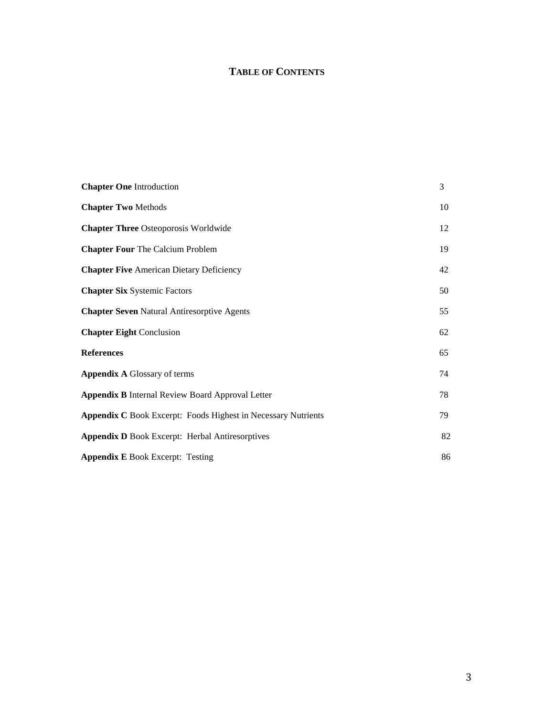# **TABLE OF CONTENTS**

| <b>Chapter One Introduction</b>                                      | 3  |
|----------------------------------------------------------------------|----|
| <b>Chapter Two Methods</b>                                           | 10 |
| <b>Chapter Three Osteoporosis Worldwide</b>                          | 12 |
| <b>Chapter Four The Calcium Problem</b>                              | 19 |
| <b>Chapter Five American Dietary Deficiency</b>                      | 42 |
| <b>Chapter Six Systemic Factors</b>                                  | 50 |
| <b>Chapter Seven Natural Antiresorptive Agents</b>                   | 55 |
| <b>Chapter Eight Conclusion</b>                                      | 62 |
| <b>References</b>                                                    | 65 |
| <b>Appendix A Glossary of terms</b>                                  | 74 |
| <b>Appendix B Internal Review Board Approval Letter</b>              | 78 |
| <b>Appendix C</b> Book Excerpt: Foods Highest in Necessary Nutrients | 79 |
| <b>Appendix D Book Excerpt: Herbal Antiresorptives</b>               | 82 |
| <b>Appendix E Book Excerpt: Testing</b>                              | 86 |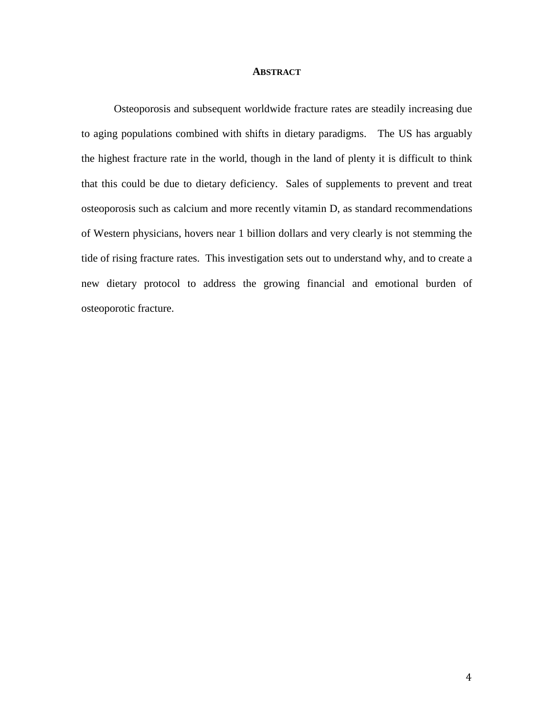#### **ABSTRACT**

Osteoporosis and subsequent worldwide fracture rates are steadily increasing due to aging populations combined with shifts in dietary paradigms. The US has arguably the highest fracture rate in the world, though in the land of plenty it is difficult to think that this could be due to dietary deficiency. Sales of supplements to prevent and treat osteoporosis such as calcium and more recently vitamin D, as standard recommendations of Western physicians, hovers near 1 billion dollars and very clearly is not stemming the tide of rising fracture rates. This investigation sets out to understand why, and to create a new dietary protocol to address the growing financial and emotional burden of osteoporotic fracture.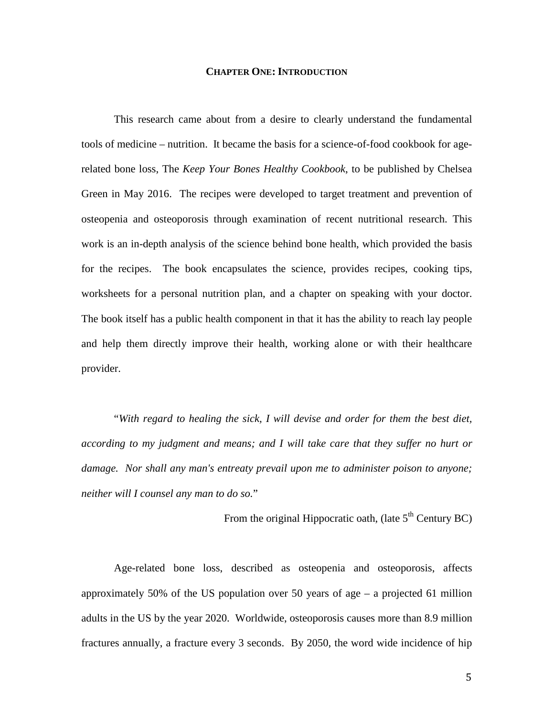#### **CHAPTER ONE: INTRODUCTION**

This research came about from a desire to clearly understand the fundamental tools of medicine – nutrition. It became the basis for a science-of-food cookbook for agerelated bone loss, The *Keep Your Bones Healthy Cookbook*, to be published by Chelsea Green in May 2016. The recipes were developed to target treatment and prevention of osteopenia and osteoporosis through examination of recent nutritional research. This work is an in-depth analysis of the science behind bone health, which provided the basis for the recipes. The book encapsulates the science, provides recipes, cooking tips, worksheets for a personal nutrition plan, and a chapter on speaking with your doctor. The book itself has a public health component in that it has the ability to reach lay people and help them directly improve their health, working alone or with their healthcare provider.

"*With regard to healing the sick, I will devise and order for them the best diet, according to my judgment and means; and I will take care that they suffer no hurt or damage. Nor shall any man's entreaty prevail upon me to administer poison to anyone; neither will I counsel any man to do so.*"

From the original Hippocratic oath, (late  $5<sup>th</sup>$  Century BC)

Age-related bone loss, described as osteopenia and osteoporosis, affects approximately 50% of the US population over 50 years of age – a projected 61 million adults in the US by the year 2020. Worldwide, osteoporosis causes more than 8.9 million fractures annually, a fracture every 3 seconds. By 2050, the word wide incidence of hip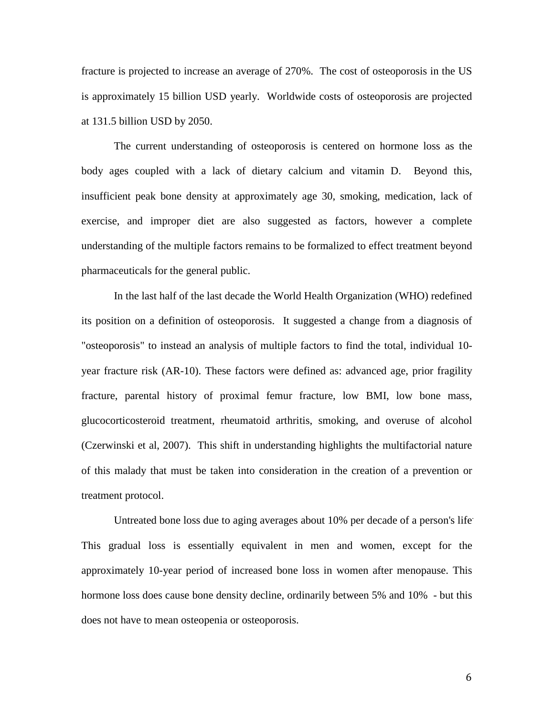fracture is projected to increase an average of 270%. The cost of osteoporosis in the US is approximately 15 billion USD yearly. Worldwide costs of osteoporosis are projected at 131.5 billion USD by 2050.

The current understanding of osteoporosis is centered on hormone loss as the body ages coupled with a lack of dietary calcium and vitamin D. Beyond this, insufficient peak bone density at approximately age 30, smoking, medication, lack of exercise, and improper diet are also suggested as factors, however a complete understanding of the multiple factors remains to be formalized to effect treatment beyond pharmaceuticals for the general public.

In the last half of the last decade the World Health Organization (WHO) redefined its position on a definition of osteoporosis. It suggested a change from a diagnosis of "osteoporosis" to instead an analysis of multiple factors to find the total, individual 10 year fracture risk (AR-10). These factors were defined as: advanced age, prior fragility fracture, parental history of proximal femur fracture, low BMI, low bone mass, glucocorticosteroid treatment, rheumatoid arthritis, smoking, and overuse of alcohol (Czerwinski et al, 2007). This shift in understanding highlights the multifactorial nature of this malady that must be taken into consideration in the creation of a prevention or treatment protocol.

Untreated bone loss due to aging averages about 10% per decade of a person's life. This gradual loss is essentially equivalent in men and women, except for the approximately 10-year period of increased bone loss in women after menopause. This hormone loss does cause bone density decline, ordinarily between 5% and 10% - but this does not have to mean osteopenia or osteoporosis.

6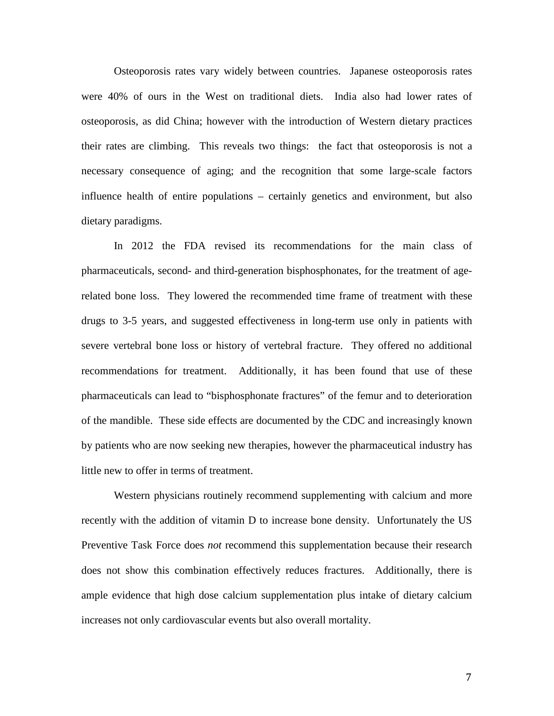Osteoporosis rates vary widely between countries. Japanese osteoporosis rates were 40% of ours in the West on traditional diets. India also had lower rates of osteoporosis, as did China; however with the introduction of Western dietary practices their rates are climbing. This reveals two things: the fact that osteoporosis is not a necessary consequence of aging; and the recognition that some large-scale factors influence health of entire populations – certainly genetics and environment, but also dietary paradigms.

In 2012 the FDA revised its recommendations for the main class of pharmaceuticals, second- and third-generation bisphosphonates, for the treatment of agerelated bone loss. They lowered the recommended time frame of treatment with these drugs to 3-5 years, and suggested effectiveness in long-term use only in patients with severe vertebral bone loss or history of vertebral fracture. They offered no additional recommendations for treatment. Additionally, it has been found that use of these pharmaceuticals can lead to "bisphosphonate fractures" of the femur and to deterioration of the mandible. These side effects are documented by the CDC and increasingly known by patients who are now seeking new therapies, however the pharmaceutical industry has little new to offer in terms of treatment.

Western physicians routinely recommend supplementing with calcium and more recently with the addition of vitamin D to increase bone density. Unfortunately the US Preventive Task Force does *not* recommend this supplementation because their research does not show this combination effectively reduces fractures. Additionally, there is ample evidence that high dose calcium supplementation plus intake of dietary calcium increases not only cardiovascular events but also overall mortality.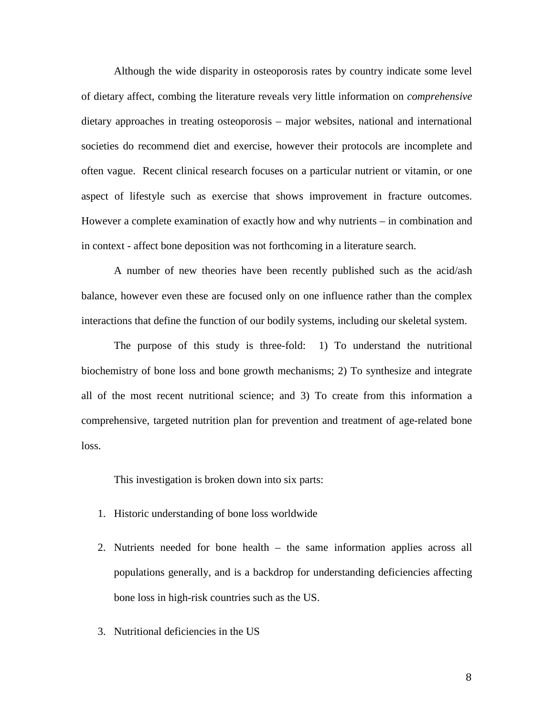Although the wide disparity in osteoporosis rates by country indicate some level of dietary affect, combing the literature reveals very little information on *comprehensive* dietary approaches in treating osteoporosis – major websites, national and international societies do recommend diet and exercise, however their protocols are incomplete and often vague. Recent clinical research focuses on a particular nutrient or vitamin, or one aspect of lifestyle such as exercise that shows improvement in fracture outcomes. However a complete examination of exactly how and why nutrients – in combination and in context - affect bone deposition was not forthcoming in a literature search.

A number of new theories have been recently published such as the acid/ash balance, however even these are focused only on one influence rather than the complex interactions that define the function of our bodily systems, including our skeletal system.

The purpose of this study is three-fold: 1) To understand the nutritional biochemistry of bone loss and bone growth mechanisms; 2) To synthesize and integrate all of the most recent nutritional science; and 3) To create from this information a comprehensive, targeted nutrition plan for prevention and treatment of age-related bone loss.

This investigation is broken down into six parts:

- 1. Historic understanding of bone loss worldwide
- 2. Nutrients needed for bone health the same information applies across all populations generally, and is a backdrop for understanding deficiencies affecting bone loss in high-risk countries such as the US.
- 3. Nutritional deficiencies in the US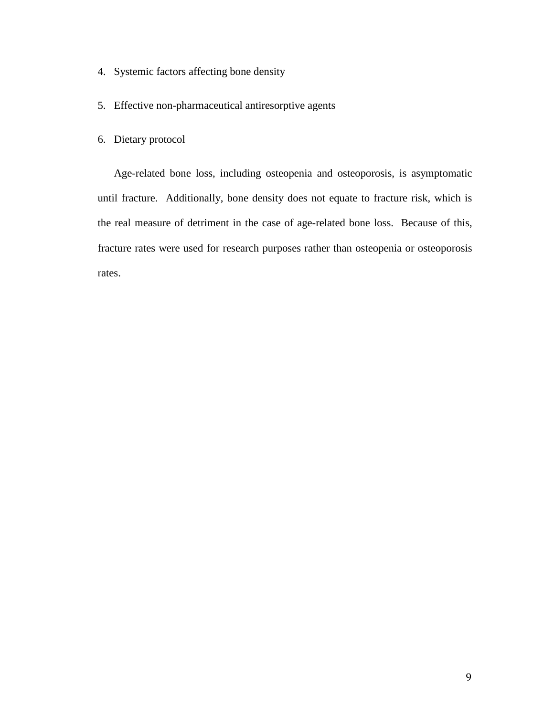- 4. Systemic factors affecting bone density
- 5. Effective non-pharmaceutical antiresorptive agents
- 6. Dietary protocol

Age-related bone loss, including osteopenia and osteoporosis, is asymptomatic until fracture. Additionally, bone density does not equate to fracture risk, which is the real measure of detriment in the case of age-related bone loss. Because of this, fracture rates were used for research purposes rather than osteopenia or osteoporosis rates.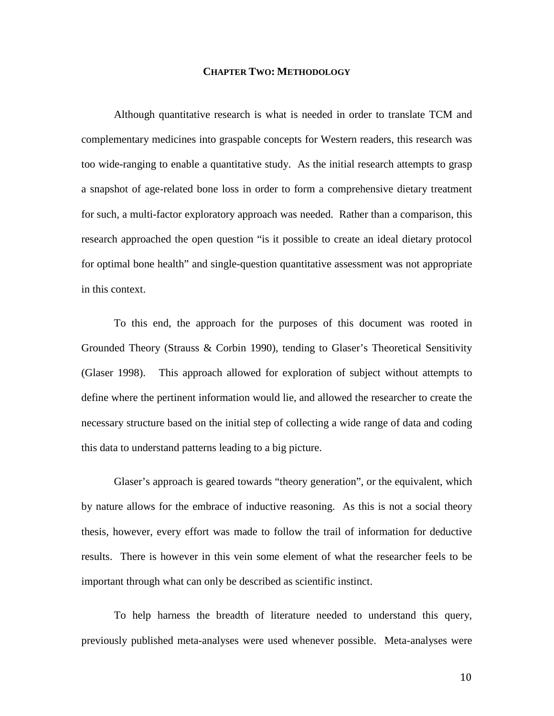#### **CHAPTER TWO: METHODOLOGY**

Although quantitative research is what is needed in order to translate TCM and complementary medicines into graspable concepts for Western readers, this research was too wide-ranging to enable a quantitative study. As the initial research attempts to grasp a snapshot of age-related bone loss in order to form a comprehensive dietary treatment for such, a multi-factor exploratory approach was needed. Rather than a comparison, this research approached the open question "is it possible to create an ideal dietary protocol for optimal bone health" and single-question quantitative assessment was not appropriate in this context.

To this end, the approach for the purposes of this document was rooted in Grounded Theory (Strauss & Corbin 1990), tending to Glaser's Theoretical Sensitivity (Glaser 1998). This approach allowed for exploration of subject without attempts to define where the pertinent information would lie, and allowed the researcher to create the necessary structure based on the initial step of collecting a wide range of data and coding this data to understand patterns leading to a big picture.

Glaser's approach is geared towards "theory generation", or the equivalent, which by nature allows for the embrace of inductive reasoning. As this is not a social theory thesis, however, every effort was made to follow the trail of information for deductive results. There is however in this vein some element of what the researcher feels to be important through what can only be described as scientific instinct.

To help harness the breadth of literature needed to understand this query, previously published meta-analyses were used whenever possible. Meta-analyses were

10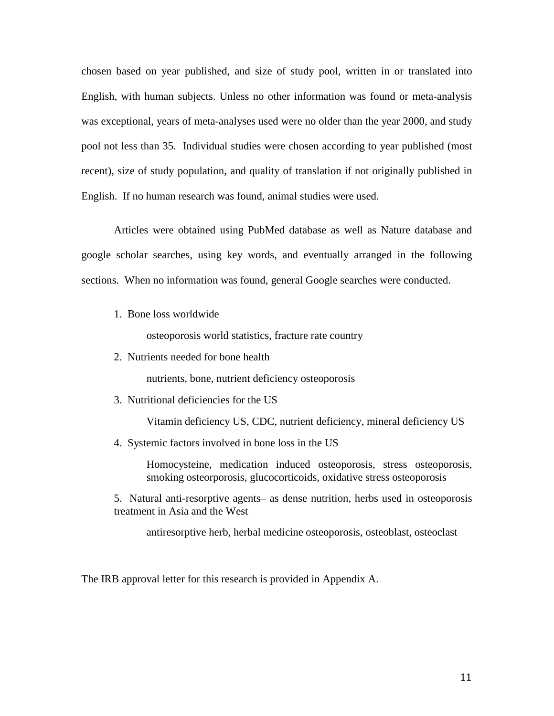chosen based on year published, and size of study pool, written in or translated into English, with human subjects. Unless no other information was found or meta-analysis was exceptional, years of meta-analyses used were no older than the year 2000, and study pool not less than 35. Individual studies were chosen according to year published (most recent), size of study population, and quality of translation if not originally published in English. If no human research was found, animal studies were used.

Articles were obtained using PubMed database as well as Nature database and google scholar searches, using key words, and eventually arranged in the following sections. When no information was found, general Google searches were conducted.

1. Bone loss worldwide

osteoporosis world statistics, fracture rate country

2. Nutrients needed for bone health

nutrients, bone, nutrient deficiency osteoporosis

3. Nutritional deficiencies for the US

Vitamin deficiency US, CDC, nutrient deficiency, mineral deficiency US

4. Systemic factors involved in bone loss in the US

Homocysteine, medication induced osteoporosis, stress osteoporosis, smoking osteorporosis, glucocorticoids, oxidative stress osteoporosis

5. Natural anti-resorptive agents– as dense nutrition, herbs used in osteoporosis treatment in Asia and the West

antiresorptive herb, herbal medicine osteoporosis, osteoblast, osteoclast

The IRB approval letter for this research is provided in Appendix A.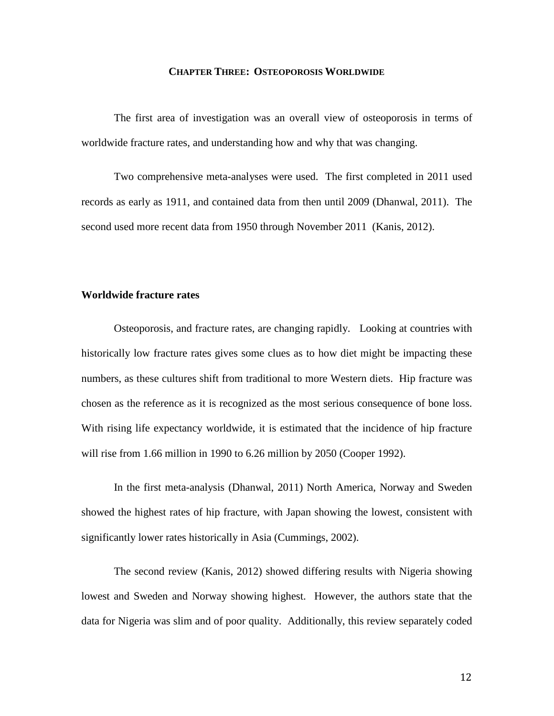#### **CHAPTER THREE: OSTEOPOROSIS WORLDWIDE**

The first area of investigation was an overall view of osteoporosis in terms of worldwide fracture rates, and understanding how and why that was changing.

Two comprehensive meta-analyses were used. The first completed in 2011 used records as early as 1911, and contained data from then until 2009 (Dhanwal, 2011). The second used more recent data from 1950 through November 2011 (Kanis, 2012).

# **Worldwide fracture rates**

Osteoporosis, and fracture rates, are changing rapidly. Looking at countries with historically low fracture rates gives some clues as to how diet might be impacting these numbers, as these cultures shift from traditional to more Western diets. Hip fracture was chosen as the reference as it is recognized as the most serious consequence of bone loss. With rising life expectancy worldwide, it is estimated that the incidence of hip fracture will rise from 1.66 million in 1990 to 6.26 million by 2050 (Cooper 1992).

In the first meta-analysis (Dhanwal, 2011) North America, Norway and Sweden showed the highest rates of hip fracture, with Japan showing the lowest, consistent with significantly lower rates historically in Asia (Cummings, 2002).

The second review (Kanis, 2012) showed differing results with Nigeria showing lowest and Sweden and Norway showing highest. However, the authors state that the data for Nigeria was slim and of poor quality. Additionally, this review separately coded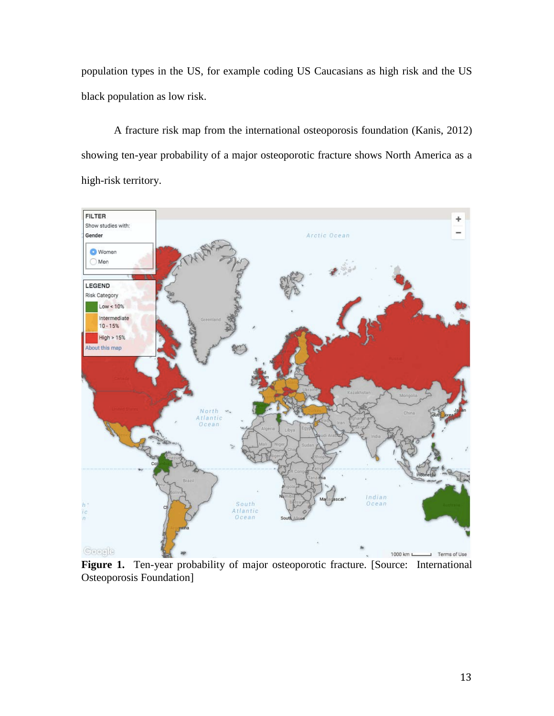population types in the US, for example coding US Caucasians as high risk and the US black population as low risk.

A fracture risk map from the international osteoporosis foundation (Kanis, 2012) showing ten-year probability of a major osteoporotic fracture shows North America as a high-risk territory.



Figure 1. Ten-year probability of major osteoporotic fracture. [Source: International Osteoporosis Foundation]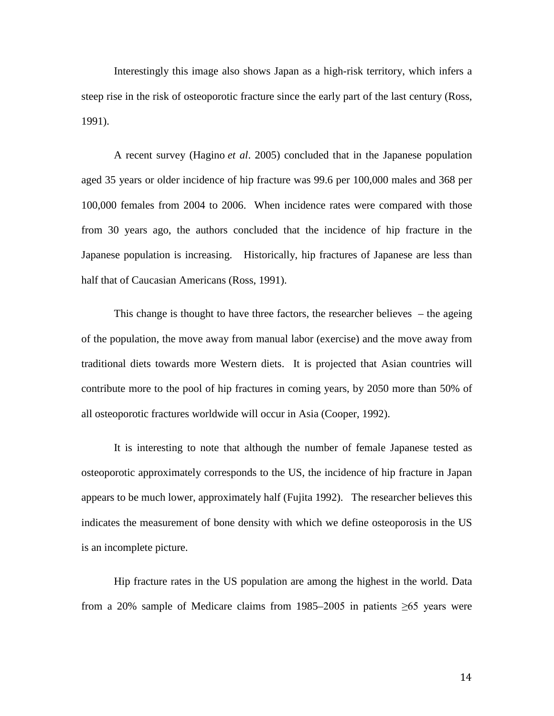Interestingly this image also shows Japan as a high-risk territory, which infers a steep rise in the risk of osteoporotic fracture since the early part of the last century (Ross, 1991).

A recent survey (Hagino *et al*. 2005) concluded that in the Japanese population aged 35 years or older incidence of hip fracture was 99.6 per 100,000 males and 368 per 100,000 females from 2004 to 2006. When incidence rates were compared with those from 30 years ago, the authors concluded that the incidence of hip fracture in the Japanese population is increasing. Historically, hip fractures of Japanese are less than half that of Caucasian Americans (Ross, 1991).

This change is thought to have three factors, the researcher believes – the ageing of the population, the move away from manual labor (exercise) and the move away from traditional diets towards more Western diets. It is projected that Asian countries will contribute more to the pool of hip fractures in coming years, by 2050 more than 50% of all osteoporotic fractures worldwide will occur in Asia (Cooper, 1992).

It is interesting to note that although the number of female Japanese tested as osteoporotic approximately corresponds to the US, the incidence of hip fracture in Japan appears to be much lower, approximately half (Fujita 1992). The researcher believes this indicates the measurement of bone density with which we define osteoporosis in the US is an incomplete picture.

Hip fracture rates in the US population are among the highest in the world. Data from a 20% sample of Medicare claims from 1985–2005 in patients ≥65 years were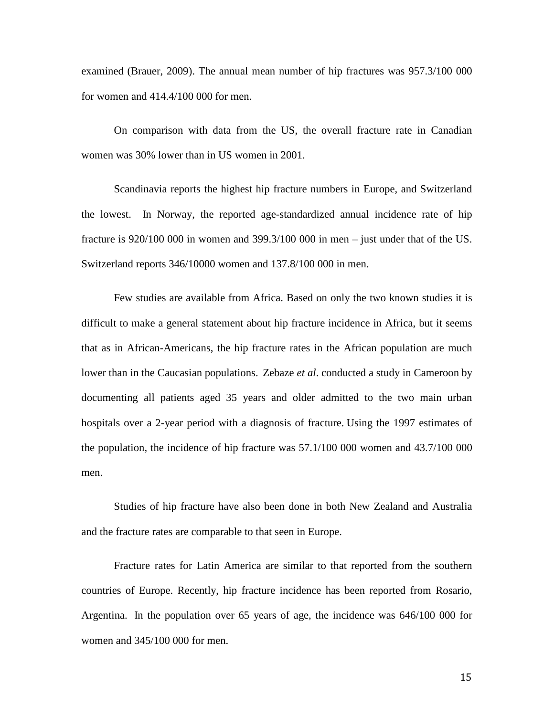examined (Brauer, 2009). The annual mean number of hip fractures was 957.3/100 000 for women and 414.4/100 000 for men.

On comparison with data from the US, the overall fracture rate in Canadian women was 30% lower than in US women in 2001.

Scandinavia reports the highest hip fracture numbers in Europe, and Switzerland the lowest. In Norway, the reported age-standardized annual incidence rate of hip fracture is 920/100 000 in women and 399.3/100 000 in men – just under that of the US. Switzerland reports 346/10000 women and 137.8/100 000 in men.

Few studies are available from Africa. Based on only the two known studies it is difficult to make a general statement about hip fracture incidence in Africa, but it seems that as in African-Americans, the hip fracture rates in the African population are much lower than in the Caucasian populations. Zebaze *et al*. conducted a study in Cameroon by documenting all patients aged 35 years and older admitted to the two main urban hospitals over a 2-year period with a diagnosis of fracture. Using the 1997 estimates of the population, the incidence of hip fracture was 57.1/100 000 women and 43.7/100 000 men.

Studies of hip fracture have also been done in both New Zealand and Australia and the fracture rates are comparable to that seen in Europe.

Fracture rates for Latin America are similar to that reported from the southern countries of Europe. Recently, hip fracture incidence has been reported from Rosario, Argentina. In the population over 65 years of age, the incidence was 646/100 000 for women and 345/100 000 for men.

15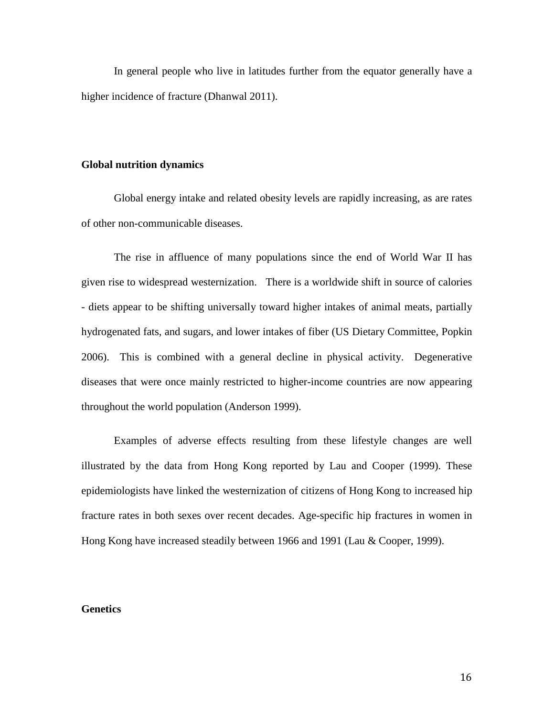In general people who live in latitudes further from the equator generally have a higher incidence of fracture (Dhanwal 2011).

#### **Global nutrition dynamics**

Global energy intake and related obesity levels are rapidly increasing, as are rates of other non-communicable diseases.

The rise in affluence of many populations since the end of World War II has given rise to widespread westernization. There is a worldwide shift in source of calories - diets appear to be shifting universally toward higher intakes of animal meats, partially hydrogenated fats, and sugars, and lower intakes of fiber (US Dietary Committee, Popkin 2006). This is combined with a general decline in physical activity. Degenerative diseases that were once mainly restricted to higher-income countries are now appearing throughout the world population (Anderson 1999).

Examples of adverse effects resulting from these lifestyle changes are well illustrated by the data from Hong Kong reported by Lau and Cooper (1999). These epidemiologists have linked the westernization of citizens of Hong Kong to increased hip fracture rates in both sexes over recent decades. Age-specific hip fractures in women in Hong Kong have increased steadily between 1966 and 1991 (Lau & Cooper, 1999).

#### **Genetics**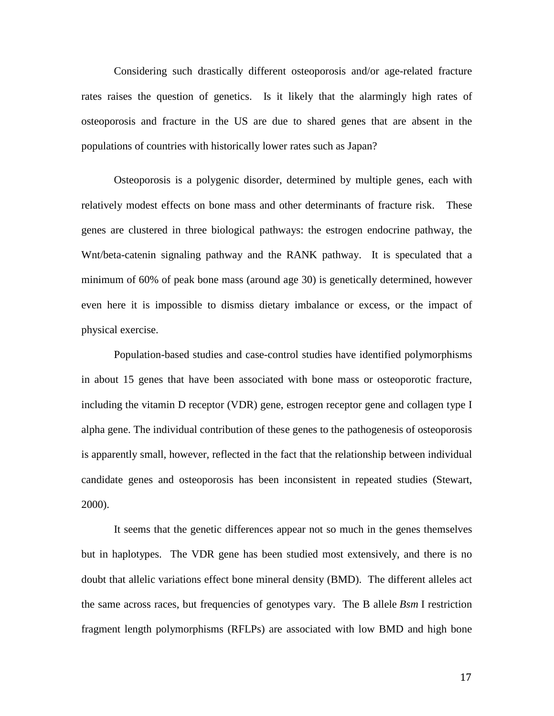Considering such drastically different osteoporosis and/or age-related fracture rates raises the question of genetics. Is it likely that the alarmingly high rates of osteoporosis and fracture in the US are due to shared genes that are absent in the populations of countries with historically lower rates such as Japan?

Osteoporosis is a polygenic disorder, determined by multiple genes, each with relatively modest effects on bone mass and other determinants of fracture risk. These genes are clustered in three biological pathways: the estrogen endocrine pathway, the Wnt/beta-catenin signaling pathway and the RANK pathway. It is speculated that a minimum of 60% of peak bone mass (around age 30) is genetically determined, however even here it is impossible to dismiss dietary imbalance or excess, or the impact of physical exercise.

Population-based studies and case-control studies have identified polymorphisms in about 15 genes that have been associated with bone mass or osteoporotic fracture, including the vitamin D receptor (VDR) gene, estrogen receptor gene and collagen type I alpha gene. The individual contribution of these genes to the pathogenesis of osteoporosis is apparently small, however, reflected in the fact that the relationship between individual candidate genes and osteoporosis has been inconsistent in repeated studies (Stewart, 2000).

It seems that the genetic differences appear not so much in the genes themselves but in haplotypes. The VDR gene has been studied most extensively, and there is no doubt that allelic variations effect bone mineral density (BMD). The different alleles act the same across races, but frequencies of genotypes vary. The B allele *Bsm* I restriction fragment length polymorphisms (RFLPs) are associated with low BMD and high bone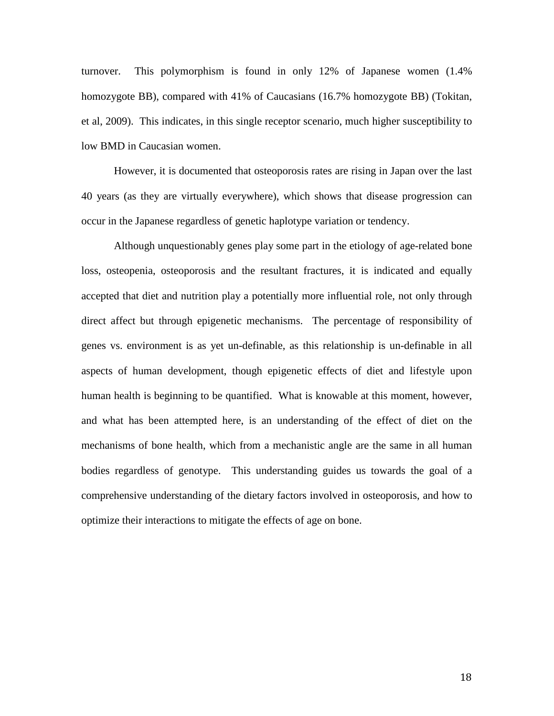turnover. This polymorphism is found in only 12% of Japanese women (1.4% homozygote BB), compared with 41% of Caucasians (16.7% homozygote BB) (Tokitan, et al, 2009). This indicates, in this single receptor scenario, much higher susceptibility to low BMD in Caucasian women.

However, it is documented that osteoporosis rates are rising in Japan over the last 40 years (as they are virtually everywhere), which shows that disease progression can occur in the Japanese regardless of genetic haplotype variation or tendency.

Although unquestionably genes play some part in the etiology of age-related bone loss, osteopenia, osteoporosis and the resultant fractures, it is indicated and equally accepted that diet and nutrition play a potentially more influential role, not only through direct affect but through epigenetic mechanisms. The percentage of responsibility of genes vs. environment is as yet un-definable, as this relationship is un-definable in all aspects of human development, though epigenetic effects of diet and lifestyle upon human health is beginning to be quantified. What is knowable at this moment, however, and what has been attempted here, is an understanding of the effect of diet on the mechanisms of bone health, which from a mechanistic angle are the same in all human bodies regardless of genotype. This understanding guides us towards the goal of a comprehensive understanding of the dietary factors involved in osteoporosis, and how to optimize their interactions to mitigate the effects of age on bone.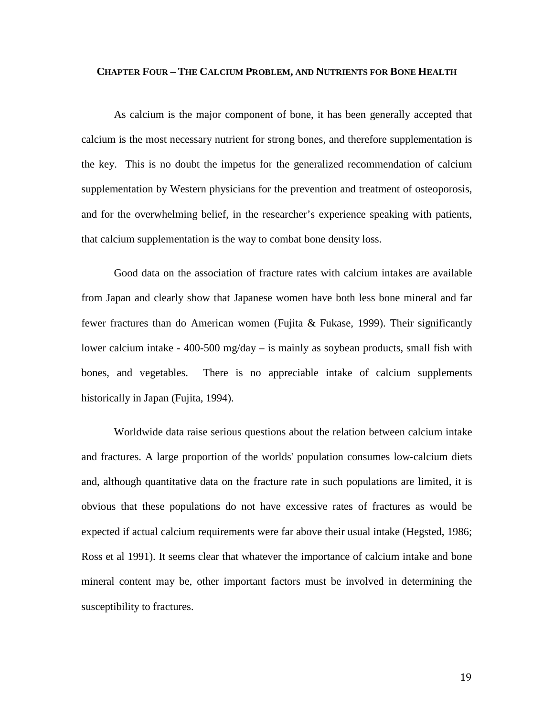#### **CHAPTER FOUR – THE CALCIUM PROBLEM, AND NUTRIENTS FOR BONE HEALTH**

As calcium is the major component of bone, it has been generally accepted that calcium is the most necessary nutrient for strong bones, and therefore supplementation is the key. This is no doubt the impetus for the generalized recommendation of calcium supplementation by Western physicians for the prevention and treatment of osteoporosis, and for the overwhelming belief, in the researcher's experience speaking with patients, that calcium supplementation is the way to combat bone density loss.

Good data on the association of fracture rates with calcium intakes are available from Japan and clearly show that Japanese women have both less bone mineral and far fewer fractures than do American women (Fujita & Fukase, 1999). Their significantly lower calcium intake - 400-500 mg/day – is mainly as soybean products, small fish with bones, and vegetables. There is no appreciable intake of calcium supplements historically in Japan (Fujita, 1994).

Worldwide data raise serious questions about the relation between calcium intake and fractures. A large proportion of the worlds' population consumes low-calcium diets and, although quantitative data on the fracture rate in such populations are limited, it is obvious that these populations do not have excessive rates of fractures as would be expected if actual calcium requirements were far above their usual intake (Hegsted, 1986; Ross et al 1991). It seems clear that whatever the importance of calcium intake and bone mineral content may be, other important factors must be involved in determining the susceptibility to fractures.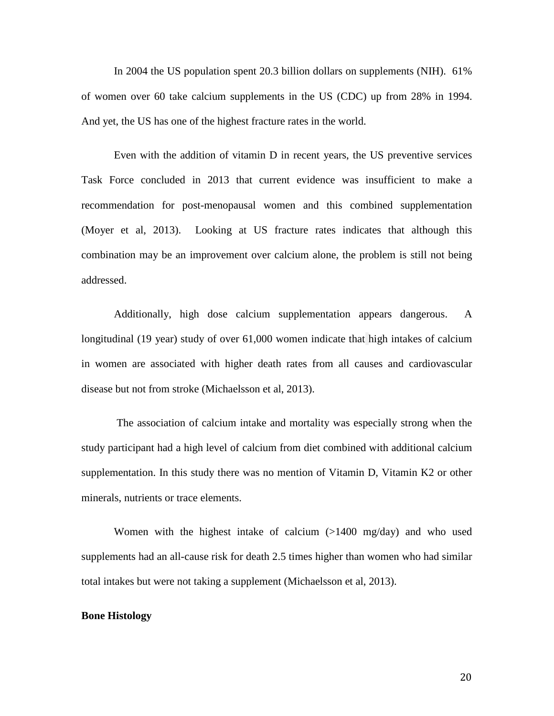In 2004 the US population spent 20.3 billion dollars on supplements (NIH). 61% of women over 60 take calcium supplements in the US (CDC) up from 28% in 1994. And yet, the US has one of the highest fracture rates in the world.

Even with the addition of vitamin D in recent years, the US preventive services Task Force concluded in 2013 that current evidence was insufficient to make a recommendation for post-menopausal women and this combined supplementation (Moyer et al, 2013). Looking at US fracture rates indicates that although this combination may be an improvement over calcium alone, the problem is still not being addressed.

Additionally, high dose calcium supplementation appears dangerous. A longitudinal (19 year) study of over 61,000 women indicate that high intakes of calcium in women are associated with higher death rates from all causes and cardiovascular disease but not from stroke (Michaelsson et al, 2013).

The association of calcium intake and mortality was especially strong when the study participant had a high level of calcium from diet combined with additional calcium supplementation. In this study there was no mention of Vitamin D, Vitamin K2 or other minerals, nutrients or trace elements.

Women with the highest intake of calcium (>1400 mg/day) and who used supplements had an all-cause risk for death 2.5 times higher than women who had similar total intakes but were not taking a supplement (Michaelsson et al, 2013).

#### **Bone Histology**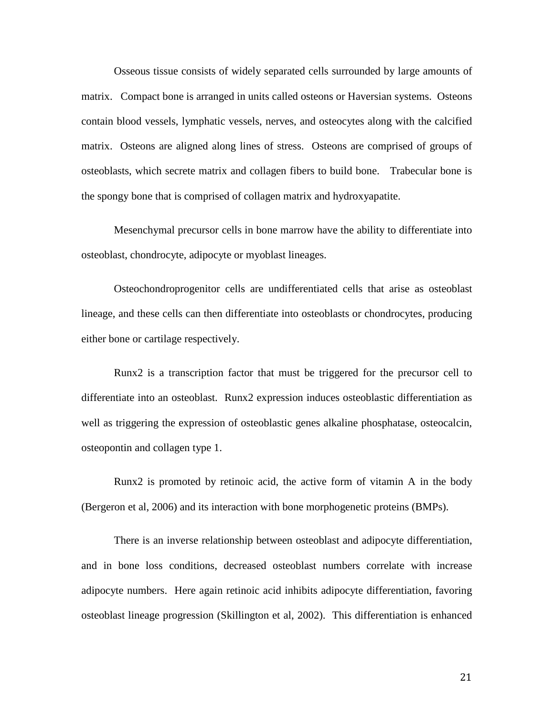Osseous tissue consists of widely separated cells surrounded by large amounts of matrix. Compact bone is arranged in units called osteons or Haversian systems. Osteons contain blood vessels, lymphatic vessels, nerves, and osteocytes along with the calcified matrix. Osteons are aligned along lines of stress. Osteons are comprised of groups of osteoblasts, which secrete matrix and collagen fibers to build bone. Trabecular bone is the spongy bone that is comprised of collagen matrix and hydroxyapatite.

Mesenchymal precursor cells in bone marrow have the ability to differentiate into osteoblast, chondrocyte, adipocyte or myoblast lineages.

Osteochondroprogenitor cells are undifferentiated cells that arise as osteoblast lineage, and these cells can then differentiate into osteoblasts or chondrocytes, producing either bone or cartilage respectively.

Runx2 is a transcription factor that must be triggered for the precursor cell to differentiate into an osteoblast. Runx2 expression induces osteoblastic differentiation as well as triggering the expression of osteoblastic genes alkaline phosphatase, osteocalcin, osteopontin and collagen type 1.

Runx2 is promoted by retinoic acid, the active form of vitamin A in the body (Bergeron et al, 2006) and its interaction with bone morphogenetic proteins (BMPs).

There is an inverse relationship between osteoblast and adipocyte differentiation, and in bone loss conditions, decreased osteoblast numbers correlate with increase adipocyte numbers. Here again retinoic acid inhibits adipocyte differentiation, favoring osteoblast lineage progression (Skillington et al, 2002). This differentiation is enhanced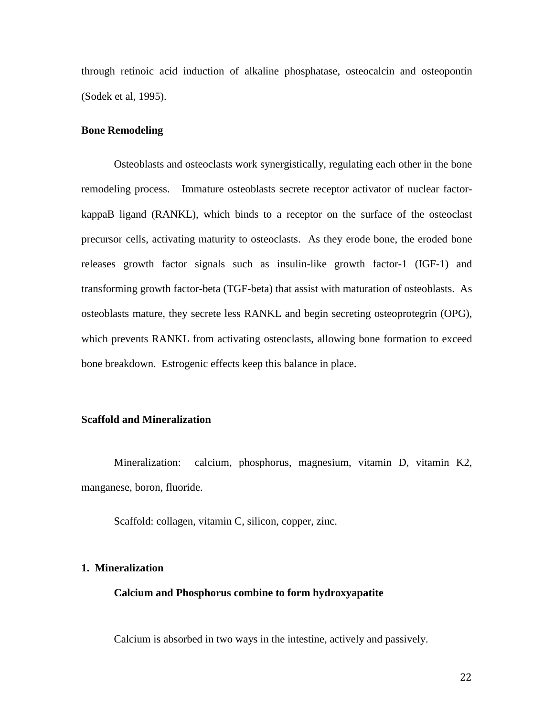through retinoic acid induction of alkaline phosphatase, osteocalcin and osteopontin (Sodek et al, 1995).

#### **Bone Remodeling**

Osteoblasts and osteoclasts work synergistically, regulating each other in the bone remodeling process. Immature osteoblasts secrete receptor activator of nuclear factorkappaB ligand (RANKL), which binds to a receptor on the surface of the osteoclast precursor cells, activating maturity to osteoclasts. As they erode bone, the eroded bone releases growth factor signals such as insulin-like growth factor-1 (IGF-1) and transforming growth factor-beta (TGF-beta) that assist with maturation of osteoblasts. As osteoblasts mature, they secrete less RANKL and begin secreting osteoprotegrin (OPG), which prevents RANKL from activating osteoclasts, allowing bone formation to exceed bone breakdown. Estrogenic effects keep this balance in place.

# **Scaffold and Mineralization**

Mineralization: calcium, phosphorus, magnesium, vitamin D, vitamin K2, manganese, boron, fluoride.

Scaffold: collagen, vitamin C, silicon, copper, zinc.

# **1. Mineralization**

#### **Calcium and Phosphorus combine to form hydroxyapatite**

Calcium is absorbed in two ways in the intestine, actively and passively.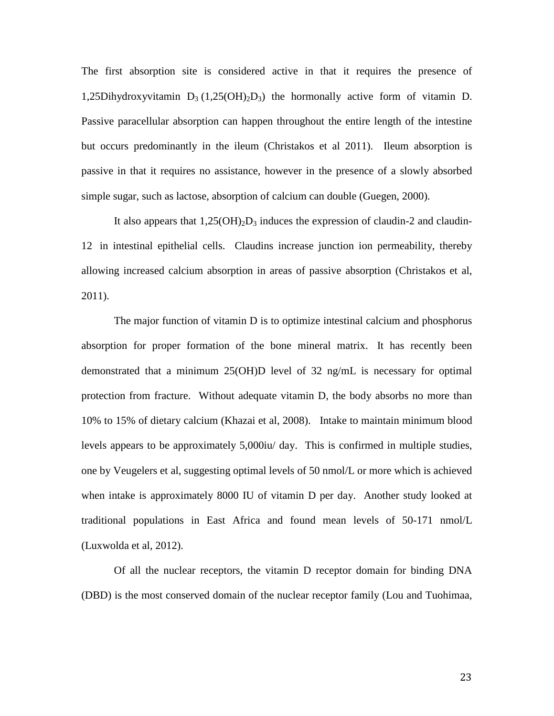The first absorption site is considered active in that it requires the presence of 1,25Dihydroxyvitamin  $D_3$  (1,25(OH)<sub>2</sub>D<sub>3</sub>) the hormonally active form of vitamin D. Passive paracellular absorption can happen throughout the entire length of the intestine but occurs predominantly in the ileum (Christakos et al 2011). Ileum absorption is passive in that it requires no assistance, however in the presence of a slowly absorbed simple sugar, such as lactose, absorption of calcium can double (Guegen, 2000).

It also appears that  $1,25(OH)<sub>2</sub>D<sub>3</sub>$  induces the expression of claudin-2 and claudin-12 in intestinal epithelial cells. Claudins increase junction ion permeability, thereby allowing increased calcium absorption in areas of passive absorption (Christakos et al, 2011).

The major function of vitamin D is to optimize intestinal calcium and phosphorus absorption for proper formation of the bone mineral matrix. It has recently been demonstrated that a minimum 25(OH)D level of 32 ng/mL is necessary for optimal protection from fracture. Without adequate vitamin D, the body absorbs no more than 10% to 15% of dietary calcium (Khazai et al, 2008). Intake to maintain minimum blood levels appears to be approximately 5,000iu/ day. This is confirmed in multiple studies, one by Veugelers et al, suggesting optimal levels of 50 nmol/L or more which is achieved when intake is approximately 8000 IU of vitamin D per day. Another study looked at traditional populations in East Africa and found mean levels of 50-171 nmol/L (Luxwolda et al, 2012).

Of all the nuclear receptors, the vitamin D receptor domain for binding DNA (DBD) is the most conserved domain of the nuclear receptor family (Lou and Tuohimaa,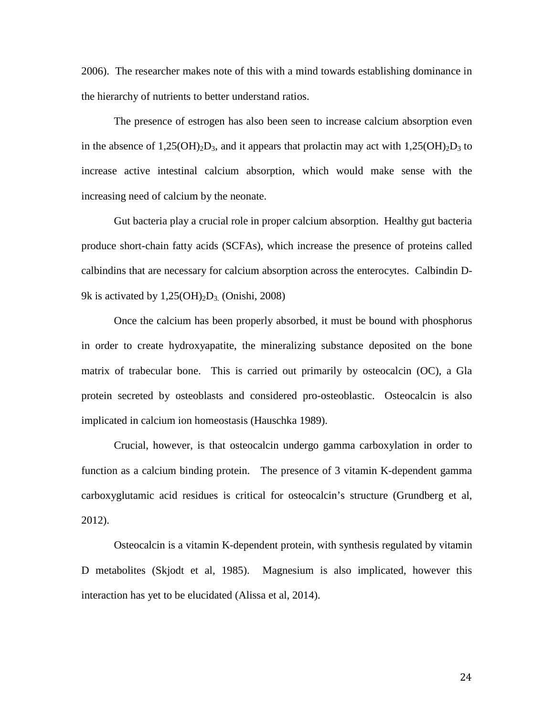2006). The researcher makes note of this with a mind towards establishing dominance in the hierarchy of nutrients to better understand ratios.

The presence of estrogen has also been seen to increase calcium absorption even in the absence of  $1,25(OH)_{2}D_{3}$ , and it appears that prolactin may act with  $1,25(OH)_{2}D_{3}$  to increase active intestinal calcium absorption, which would make sense with the increasing need of calcium by the neonate.

Gut bacteria play a crucial role in proper calcium absorption. Healthy gut bacteria produce short-chain fatty acids (SCFAs), which increase the presence of proteins called calbindins that are necessary for calcium absorption across the enterocytes. Calbindin D-9k is activated by  $1,25(OH)<sub>2</sub>D<sub>3</sub>$  (Onishi, 2008)

Once the calcium has been properly absorbed, it must be bound with phosphorus in order to create hydroxyapatite, the mineralizing substance deposited on the bone matrix of trabecular bone. This is carried out primarily by osteocalcin (OC), a Gla protein secreted by osteoblasts and considered pro-osteoblastic. Osteocalcin is also implicated in calcium ion homeostasis (Hauschka 1989).

Crucial, however, is that osteocalcin undergo gamma carboxylation in order to function as a calcium binding protein. The presence of 3 vitamin K-dependent gamma carboxyglutamic acid residues is critical for osteocalcin's structure (Grundberg et al, 2012).

Osteocalcin is a vitamin K-dependent protein, with synthesis regulated by vitamin D metabolites (Skjodt et al, 1985). Magnesium is also implicated, however this interaction has yet to be elucidated (Alissa et al, 2014).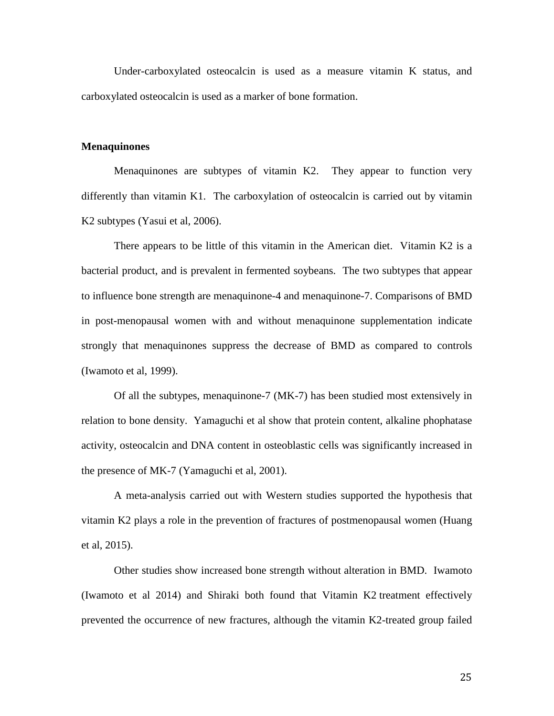Under-carboxylated osteocalcin is used as a measure vitamin K status, and carboxylated osteocalcin is used as a marker of bone formation.

#### **Menaquinones**

Menaquinones are subtypes of vitamin K2. They appear to function very differently than vitamin K1. The carboxylation of osteocalcin is carried out by vitamin K2 subtypes (Yasui et al, 2006).

There appears to be little of this vitamin in the American diet. Vitamin K2 is a bacterial product, and is prevalent in fermented soybeans. The two subtypes that appear to influence bone strength are menaquinone-4 and menaquinone-7. Comparisons of BMD in post-menopausal women with and without menaquinone supplementation indicate strongly that menaquinones suppress the decrease of BMD as compared to controls (Iwamoto et al, 1999).

Of all the subtypes, menaquinone-7 (MK-7) has been studied most extensively in relation to bone density. Yamaguchi et al show that protein content, alkaline phophatase activity, osteocalcin and DNA content in osteoblastic cells was significantly increased in the presence of MK-7 (Yamaguchi et al, 2001).

A meta-analysis carried out with Western studies supported the hypothesis that vitamin K2 plays a role in the prevention of fractures of postmenopausal women (Huang et al, 2015).

Other studies show increased bone strength without alteration in BMD. Iwamoto (Iwamoto et al 2014) and Shiraki both found that Vitamin K2 treatment effectively prevented the occurrence of new fractures, although the vitamin K2-treated group failed

25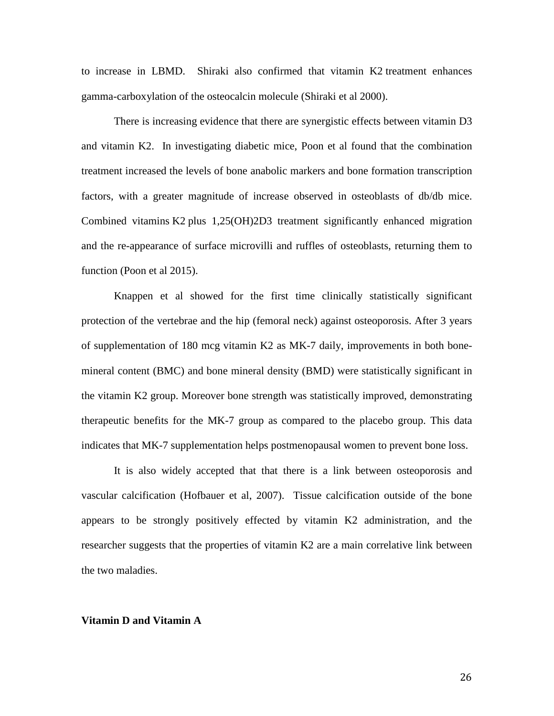to increase in LBMD. Shiraki also confirmed that vitamin K2 treatment enhances gamma-carboxylation of the osteocalcin molecule (Shiraki et al 2000).

There is increasing evidence that there are synergistic effects between vitamin D3 and vitamin K2. In investigating diabetic mice, Poon et al found that the combination treatment increased the levels of bone anabolic markers and bone formation transcription factors, with a greater magnitude of increase observed in osteoblasts of db/db mice. Combined vitamins K2 plus 1,25(OH)2D3 treatment significantly enhanced migration and the re-appearance of surface microvilli and ruffles of osteoblasts, returning them to function (Poon et al 2015).

Knappen et al showed for the first time clinically statistically significant protection of the vertebrae and the hip (femoral neck) against osteoporosis. After 3 years of supplementation of 180 mcg vitamin K2 as MK-7 daily, improvements in both bonemineral content (BMC) and bone mineral density (BMD) were statistically significant in the vitamin K2 group. Moreover bone strength was statistically improved, demonstrating therapeutic benefits for the MK-7 group as compared to the placebo group. This data indicates that MK-7 supplementation helps postmenopausal women to prevent bone loss.

It is also widely accepted that that there is a link between osteoporosis and vascular calcification (Hofbauer et al, 2007). Tissue calcification outside of the bone appears to be strongly positively effected by vitamin K2 administration, and the researcher suggests that the properties of vitamin K2 are a main correlative link between the two maladies.

#### **Vitamin D and Vitamin A**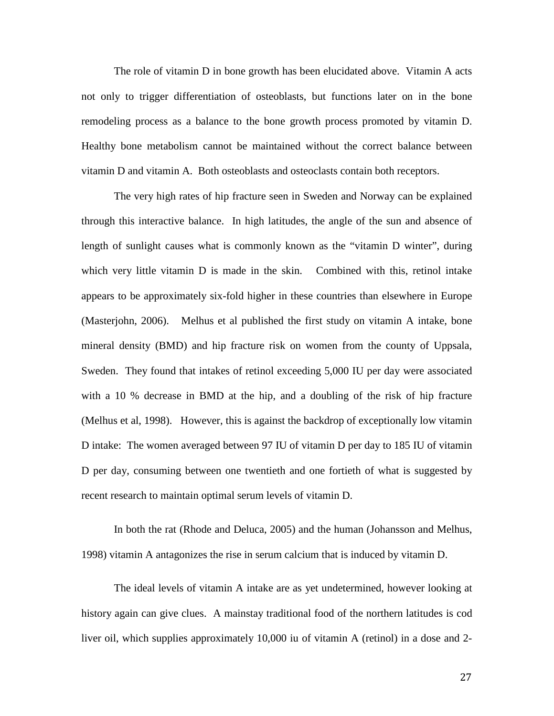The role of vitamin D in bone growth has been elucidated above. Vitamin A acts not only to trigger differentiation of osteoblasts, but functions later on in the bone remodeling process as a balance to the bone growth process promoted by vitamin D. Healthy bone metabolism cannot be maintained without the correct balance between vitamin D and vitamin A. Both osteoblasts and osteoclasts contain both receptors.

The very high rates of hip fracture seen in Sweden and Norway can be explained through this interactive balance. In high latitudes, the angle of the sun and absence of length of sunlight causes what is commonly known as the "vitamin D winter", during which very little vitamin D is made in the skin. Combined with this, retinol intake appears to be approximately six-fold higher in these countries than elsewhere in Europe (Masterjohn, 2006). Melhus et al published the first study on vitamin A intake, bone mineral density (BMD) and hip fracture risk on women from the county of Uppsala, Sweden. They found that intakes of retinol exceeding 5,000 IU per day were associated with a 10 % decrease in BMD at the hip, and a doubling of the risk of hip fracture (Melhus et al, 1998). However, this is against the backdrop of exceptionally low vitamin D intake: The women averaged between 97 IU of vitamin D per day to 185 IU of vitamin D per day, consuming between one twentieth and one fortieth of what is suggested by recent research to maintain optimal serum levels of vitamin D.

In both the rat (Rhode and Deluca, 2005) and the human (Johansson and Melhus, 1998) vitamin A antagonizes the rise in serum calcium that is induced by vitamin D.

The ideal levels of vitamin A intake are as yet undetermined, however looking at history again can give clues. A mainstay traditional food of the northern latitudes is cod liver oil, which supplies approximately 10,000 iu of vitamin A (retinol) in a dose and 2-

27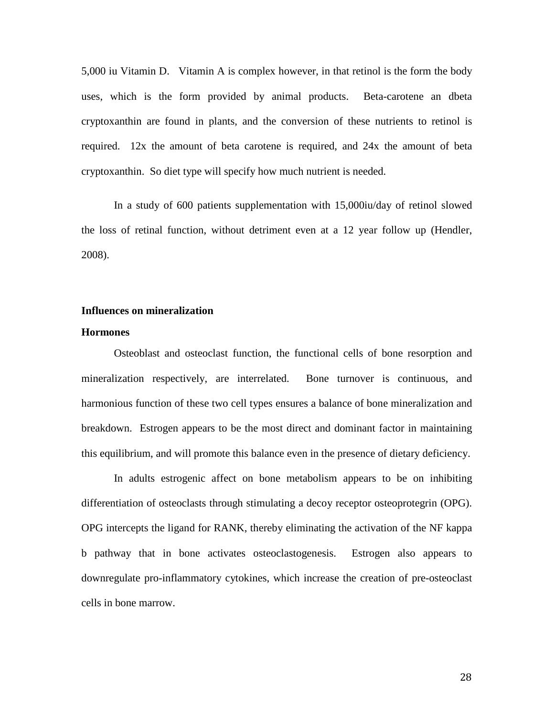5,000 iu Vitamin D. Vitamin A is complex however, in that retinol is the form the body uses, which is the form provided by animal products. Beta-carotene an dbeta cryptoxanthin are found in plants, and the conversion of these nutrients to retinol is required. 12x the amount of beta carotene is required, and 24x the amount of beta cryptoxanthin. So diet type will specify how much nutrient is needed.

In a study of 600 patients supplementation with 15,000iu/day of retinol slowed the loss of retinal function, without detriment even at a 12 year follow up (Hendler, 2008).

# **Influences on mineralization**

#### **Hormones**

Osteoblast and osteoclast function, the functional cells of bone resorption and mineralization respectively, are interrelated. Bone turnover is continuous, and harmonious function of these two cell types ensures a balance of bone mineralization and breakdown. Estrogen appears to be the most direct and dominant factor in maintaining this equilibrium, and will promote this balance even in the presence of dietary deficiency.

In adults estrogenic affect on bone metabolism appears to be on inhibiting differentiation of osteoclasts through stimulating a decoy receptor osteoprotegrin (OPG). OPG intercepts the ligand for RANK, thereby eliminating the activation of the NF kappa b pathway that in bone activates osteoclastogenesis. Estrogen also appears to downregulate pro-inflammatory cytokines, which increase the creation of pre-osteoclast cells in bone marrow.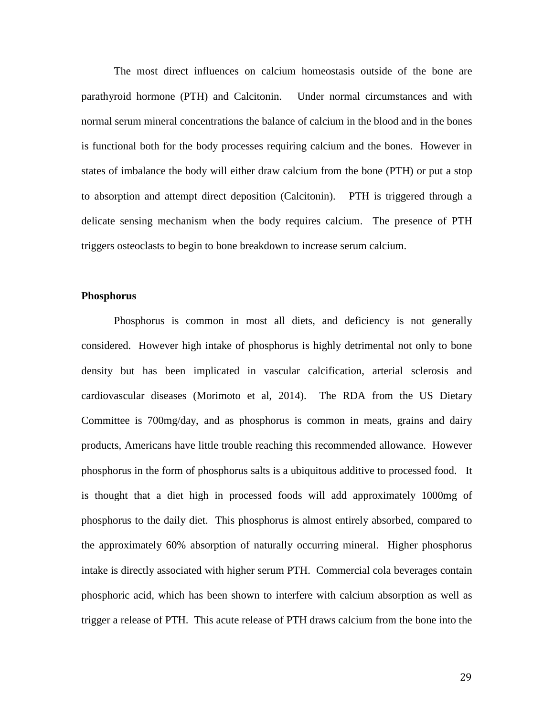The most direct influences on calcium homeostasis outside of the bone are parathyroid hormone (PTH) and Calcitonin. Under normal circumstances and with normal serum mineral concentrations the balance of calcium in the blood and in the bones is functional both for the body processes requiring calcium and the bones. However in states of imbalance the body will either draw calcium from the bone (PTH) or put a stop to absorption and attempt direct deposition (Calcitonin). PTH is triggered through a delicate sensing mechanism when the body requires calcium. The presence of PTH triggers osteoclasts to begin to bone breakdown to increase serum calcium.

#### **Phosphorus**

Phosphorus is common in most all diets, and deficiency is not generally considered. However high intake of phosphorus is highly detrimental not only to bone density but has been implicated in vascular calcification, arterial sclerosis and cardiovascular diseases (Morimoto et al, 2014). The RDA from the US Dietary Committee is 700mg/day, and as phosphorus is common in meats, grains and dairy products, Americans have little trouble reaching this recommended allowance. However phosphorus in the form of phosphorus salts is a ubiquitous additive to processed food. It is thought that a diet high in processed foods will add approximately 1000mg of phosphorus to the daily diet. This phosphorus is almost entirely absorbed, compared to the approximately 60% absorption of naturally occurring mineral. Higher phosphorus intake is directly associated with higher serum PTH. Commercial cola beverages contain phosphoric acid, which has been shown to interfere with calcium absorption as well as trigger a release of PTH. This acute release of PTH draws calcium from the bone into the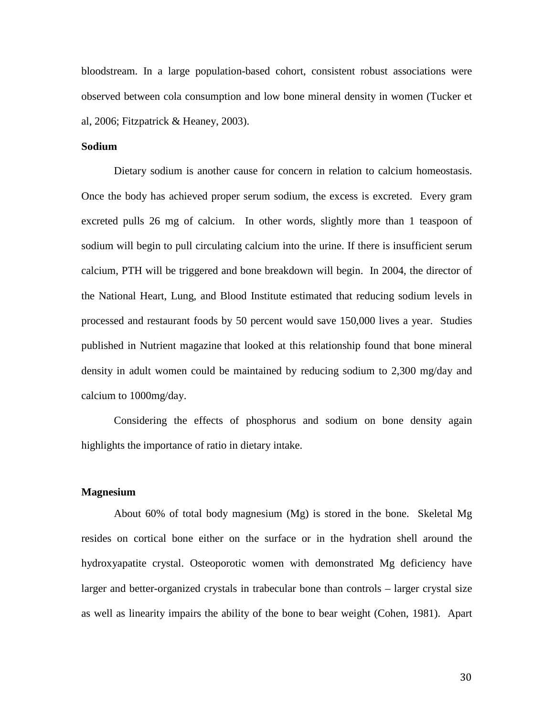bloodstream. In a large population-based cohort, consistent robust associations were observed between cola consumption and low bone mineral density in women (Tucker et al, 2006; Fitzpatrick & Heaney, 2003).

# **Sodium**

Dietary sodium is another cause for concern in relation to calcium homeostasis. Once the body has achieved proper serum sodium, the excess is excreted. Every gram excreted pulls 26 mg of calcium. In other words, slightly more than 1 teaspoon of sodium will begin to pull circulating calcium into the urine. If there is insufficient serum calcium, PTH will be triggered and bone breakdown will begin. In 2004, the director of the National Heart, Lung, and Blood Institute estimated that reducing sodium levels in processed and restaurant foods by 50 percent would save 150,000 lives a year. Studies published in Nutrient magazine that looked at this relationship found that bone mineral density in adult women could be maintained by reducing sodium to 2,300 mg/day and calcium to 1000mg/day.

Considering the effects of phosphorus and sodium on bone density again highlights the importance of ratio in dietary intake.

#### **Magnesium**

About 60% of total body magnesium (Mg) is stored in the bone. Skeletal Mg resides on cortical bone either on the surface or in the hydration shell around the hydroxyapatite crystal. Osteoporotic women with demonstrated Mg deficiency have larger and better-organized crystals in trabecular bone than controls – larger crystal size as well as linearity impairs the ability of the bone to bear weight (Cohen, 1981). Apart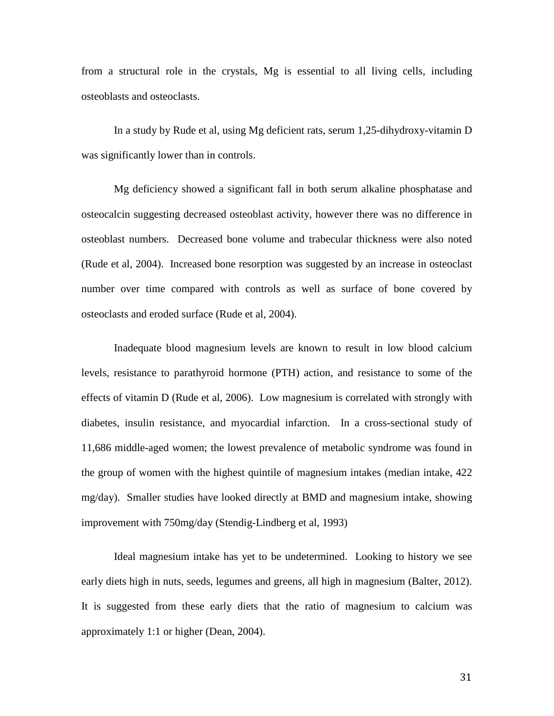from a structural role in the crystals, Mg is essential to all living cells, including osteoblasts and osteoclasts.

In a study by Rude et al, using Mg deficient rats, serum 1,25-dihydroxy-vitamin D was significantly lower than in controls.

Mg deficiency showed a significant fall in both serum alkaline phosphatase and osteocalcin suggesting decreased osteoblast activity, however there was no difference in osteoblast numbers. Decreased bone volume and trabecular thickness were also noted (Rude et al, 2004). Increased bone resorption was suggested by an increase in osteoclast number over time compared with controls as well as surface of bone covered by osteoclasts and eroded surface (Rude et al, 2004).

Inadequate blood magnesium levels are known to result in low blood calcium levels, resistance to parathyroid hormone (PTH) action, and resistance to some of the effects of vitamin D (Rude et al, 2006). Low magnesium is correlated with strongly with diabetes, insulin resistance, and myocardial infarction. In a cross-sectional study of 11,686 middle-aged women; the lowest prevalence of metabolic syndrome was found in the group of women with the highest quintile of magnesium intakes (median intake, 422 mg/day). Smaller studies have looked directly at BMD and magnesium intake, showing improvement with 750mg/day (Stendig-Lindberg et al, 1993)

Ideal magnesium intake has yet to be undetermined. Looking to history we see early diets high in nuts, seeds, legumes and greens, all high in magnesium (Balter, 2012). It is suggested from these early diets that the ratio of magnesium to calcium was approximately 1:1 or higher (Dean, 2004).

31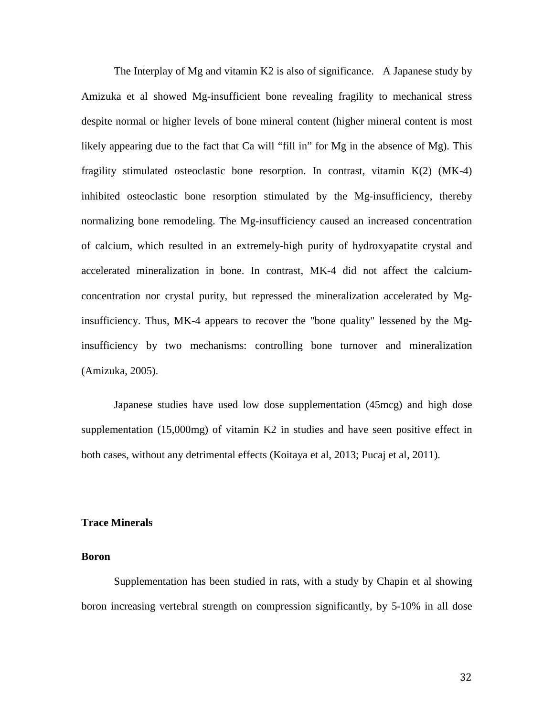The Interplay of Mg and vitamin K2 is also of significance. A Japanese study by Amizuka et al showed Mg-insufficient bone revealing fragility to mechanical stress despite normal or higher levels of bone mineral content (higher mineral content is most likely appearing due to the fact that Ca will "fill in" for Mg in the absence of Mg). This fragility stimulated osteoclastic bone resorption. In contrast, vitamin  $K(2)$  (MK-4) inhibited osteoclastic bone resorption stimulated by the Mg-insufficiency, thereby normalizing bone remodeling. The Mg-insufficiency caused an increased concentration of calcium, which resulted in an extremely-high purity of hydroxyapatite crystal and accelerated mineralization in bone. In contrast, MK-4 did not affect the calciumconcentration nor crystal purity, but repressed the mineralization accelerated by Mginsufficiency. Thus, MK-4 appears to recover the "bone quality" lessened by the Mginsufficiency by two mechanisms: controlling bone turnover and mineralization (Amizuka, 2005).

Japanese studies have used low dose supplementation (45mcg) and high dose supplementation (15,000mg) of vitamin K2 in studies and have seen positive effect in both cases, without any detrimental effects (Koitaya et al, 2013; Pucaj et al, 2011).

#### **Trace Minerals**

### **Boron**

Supplementation has been studied in rats, with a study by Chapin et al showing boron increasing vertebral strength on compression significantly, by 5-10% in all dose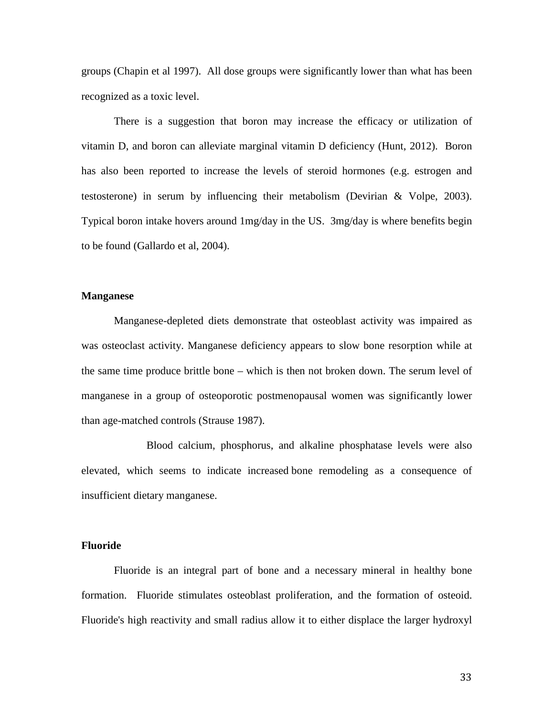groups (Chapin et al 1997). All dose groups were significantly lower than what has been recognized as a toxic level.

There is a suggestion that boron may increase the efficacy or utilization of vitamin D, and boron can alleviate marginal vitamin D deficiency (Hunt, 2012). Boron has also been reported to increase the levels of steroid hormones (e.g. estrogen and testosterone) in serum by influencing their metabolism (Devirian & Volpe, 2003). Typical boron intake hovers around 1mg/day in the US. 3mg/day is where benefits begin to be found (Gallardo et al, 2004).

#### **Manganese**

Manganese-depleted diets demonstrate that osteoblast activity was impaired as was osteoclast activity. Manganese deficiency appears to slow bone resorption while at the same time produce brittle bone – which is then not broken down. The serum level of manganese in a group of osteoporotic postmenopausal women was significantly lower than age-matched controls (Strause 1987).

Blood calcium, phosphorus, and alkaline phosphatase levels were also elevated, which seems to indicate increased bone remodeling as a consequence of insufficient dietary manganese.

### **Fluoride**

Fluoride is an integral part of bone and a necessary mineral in healthy bone formation. Fluoride stimulates osteoblast proliferation, and the formation of osteoid. Fluoride's high reactivity and small radius allow it to either displace the larger hydroxyl

33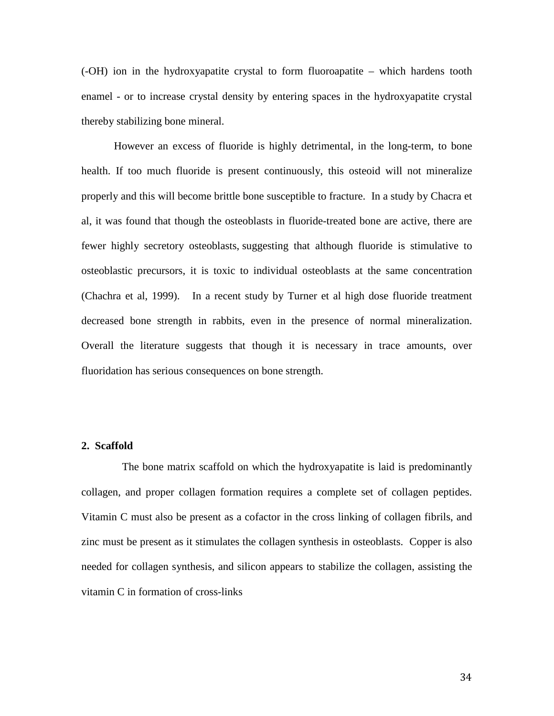(-OH) ion in the hydroxyapatite crystal to form fluoroapatite – which hardens tooth enamel - or to increase crystal density by entering spaces in the hydroxyapatite crystal thereby stabilizing bone mineral.

However an excess of fluoride is highly detrimental, in the long-term, to bone health. If too much fluoride is present continuously, this osteoid will not mineralize properly and this will become brittle bone susceptible to fracture. In a study by Chacra et al, it was found that though the osteoblasts in fluoride-treated bone are active, there are fewer highly secretory osteoblasts, suggesting that although fluoride is stimulative to osteoblastic precursors, it is toxic to individual osteoblasts at the same concentration (Chachra et al, 1999). In a recent study by Turner et al high dose fluoride treatment decreased bone strength in rabbits, even in the presence of normal mineralization. Overall the literature suggests that though it is necessary in trace amounts, over fluoridation has serious consequences on bone strength.

# **2. Scaffold**

 The bone matrix scaffold on which the hydroxyapatite is laid is predominantly collagen, and proper collagen formation requires a complete set of collagen peptides. Vitamin C must also be present as a cofactor in the cross linking of collagen fibrils, and zinc must be present as it stimulates the collagen synthesis in osteoblasts. Copper is also needed for collagen synthesis, and silicon appears to stabilize the collagen, assisting the vitamin C in formation of cross-links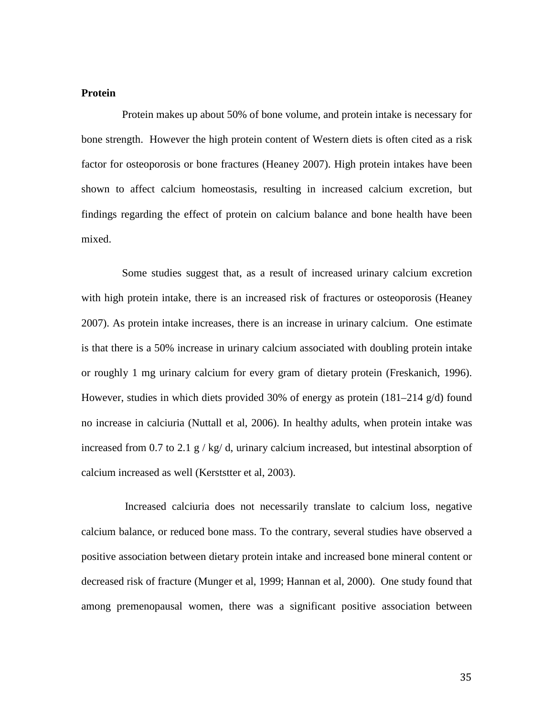#### **Protein**

 Protein makes up about 50% of bone volume, and protein intake is necessary for bone strength. However the high protein content of Western diets is often cited as a risk factor for osteoporosis or bone fractures (Heaney 2007). High protein intakes have been shown to affect calcium homeostasis, resulting in increased calcium excretion, but findings regarding the effect of protein on calcium balance and bone health have been mixed.

 Some studies suggest that, as a result of increased urinary calcium excretion with high protein intake, there is an increased risk of fractures or osteoporosis (Heaney 2007). As protein intake increases, there is an increase in urinary calcium. One estimate is that there is a 50% increase in urinary calcium associated with doubling protein intake or roughly 1 mg urinary calcium for every gram of dietary protein (Freskanich, 1996). However, studies in which diets provided 30% of energy as protein  $(181-214 \text{ g/d})$  found no increase in calciuria (Nuttall et al, 2006). In healthy adults, when protein intake was increased from 0.7 to 2.1 g / kg/ d, urinary calcium increased, but intestinal absorption of calcium increased as well (Kerststter et al, 2003).

 Increased calciuria does not necessarily translate to calcium loss, negative calcium balance, or reduced bone mass. To the contrary, several studies have observed a positive association between dietary protein intake and increased bone mineral content or decreased risk of fracture (Munger et al, 1999; Hannan et al, 2000). One study found that among premenopausal women, there was a significant positive association between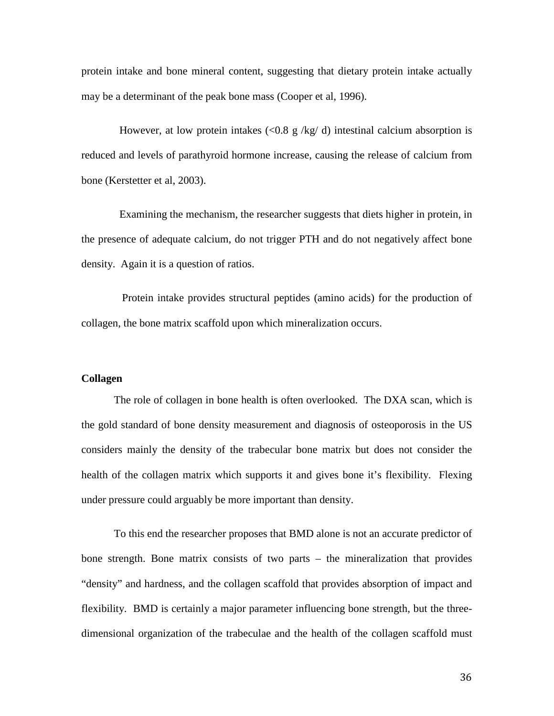protein intake and bone mineral content, suggesting that dietary protein intake actually may be a determinant of the peak bone mass (Cooper et al, 1996).

However, at low protein intakes (<0.8 g/kg/d) intestinal calcium absorption is reduced and levels of parathyroid hormone increase, causing the release of calcium from bone (Kerstetter et al, 2003).

 Examining the mechanism, the researcher suggests that diets higher in protein, in the presence of adequate calcium, do not trigger PTH and do not negatively affect bone density. Again it is a question of ratios.

 Protein intake provides structural peptides (amino acids) for the production of collagen, the bone matrix scaffold upon which mineralization occurs.

# **Collagen**

The role of collagen in bone health is often overlooked. The DXA scan, which is the gold standard of bone density measurement and diagnosis of osteoporosis in the US considers mainly the density of the trabecular bone matrix but does not consider the health of the collagen matrix which supports it and gives bone it's flexibility. Flexing under pressure could arguably be more important than density.

To this end the researcher proposes that BMD alone is not an accurate predictor of bone strength. Bone matrix consists of two parts – the mineralization that provides "density" and hardness, and the collagen scaffold that provides absorption of impact and flexibility. BMD is certainly a major parameter influencing bone strength, but the threedimensional organization of the trabeculae and the health of the collagen scaffold must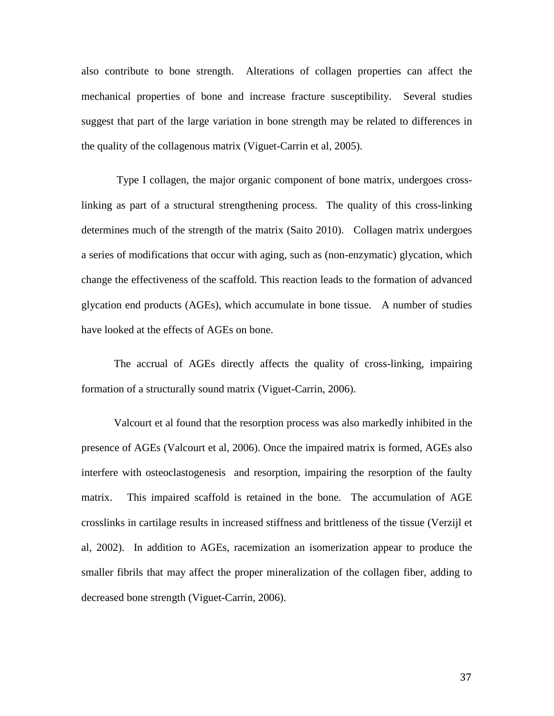also contribute to bone strength. Alterations of collagen properties can affect the mechanical properties of bone and increase fracture susceptibility. Several studies suggest that part of the large variation in bone strength may be related to differences in the quality of the collagenous matrix (Viguet-Carrin et al, 2005).

Type I collagen, the major organic component of bone matrix, undergoes crosslinking as part of a structural strengthening process. The quality of this cross-linking determines much of the strength of the matrix (Saito 2010). Collagen matrix undergoes a series of modifications that occur with aging, such as (non-enzymatic) glycation, which change the effectiveness of the scaffold. This reaction leads to the formation of advanced glycation end products (AGEs), which accumulate in bone tissue. A number of studies have looked at the effects of AGEs on bone.

The accrual of AGEs directly affects the quality of cross-linking, impairing formation of a structurally sound matrix (Viguet-Carrin, 2006).

Valcourt et al found that the resorption process was also markedly inhibited in the presence of AGEs (Valcourt et al, 2006). Once the impaired matrix is formed, AGEs also interfere with osteoclastogenesis and resorption, impairing the resorption of the faulty matrix. This impaired scaffold is retained in the bone. The accumulation of AGE crosslinks in cartilage results in increased stiffness and brittleness of the tissue (Verzijl et al, 2002). In addition to AGEs, racemization an isomerization appear to produce the smaller fibrils that may affect the proper mineralization of the collagen fiber, adding to decreased bone strength (Viguet-Carrin, 2006).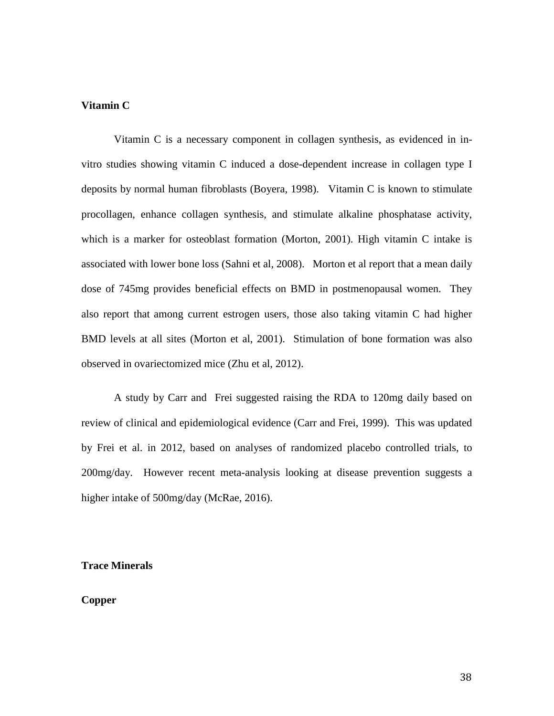# **Vitamin C**

Vitamin C is a necessary component in collagen synthesis, as evidenced in invitro studies showing vitamin C induced a dose-dependent increase in collagen type I deposits by normal human fibroblasts (Boyera, 1998). Vitamin C is known to stimulate procollagen, enhance collagen synthesis, and stimulate alkaline phosphatase activity, which is a marker for osteoblast formation (Morton, 2001). High vitamin C intake is associated with lower bone loss (Sahni et al, 2008). Morton et al report that a mean daily dose of 745mg provides beneficial effects on BMD in postmenopausal women. They also report that among current estrogen users, those also taking vitamin C had higher BMD levels at all sites (Morton et al, 2001). Stimulation of bone formation was also observed in ovariectomized mice (Zhu et al, 2012).

A study by Carr and Frei suggested raising the RDA to 120mg daily based on review of clinical and epidemiological evidence (Carr and Frei, 1999). This was updated by Frei et al. in 2012, based on analyses of randomized placebo controlled trials, to 200mg/day. However recent meta-analysis looking at disease prevention suggests a higher intake of 500mg/day (McRae, 2016).

# **Trace Minerals**

# **Copper**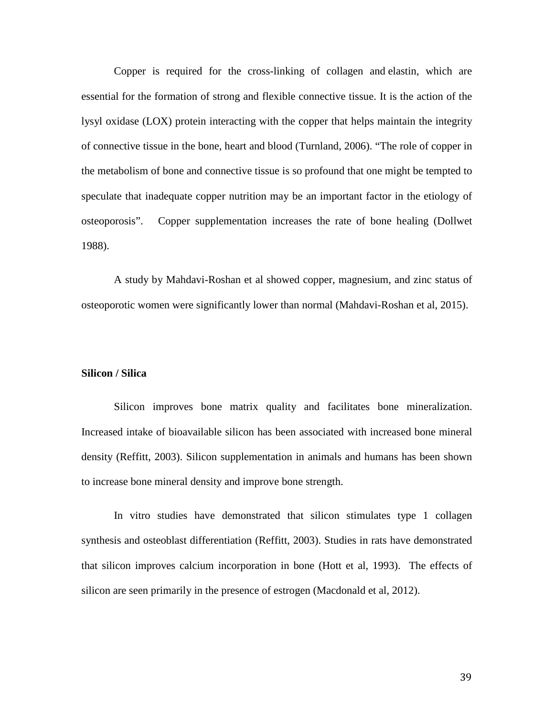Copper is required for the cross-linking of collagen and elastin, which are essential for the formation of strong and flexible connective tissue. It is the action of the lysyl oxidase (LOX) protein interacting with the copper that helps maintain the integrity of connective tissue in the bone, heart and blood (Turnland, 2006). "The role of copper in the metabolism of bone and connective tissue is so profound that one might be tempted to speculate that inadequate copper nutrition may be an important factor in the etiology of osteoporosis". Copper supplementation increases the rate of bone healing (Dollwet 1988).

A study by Mahdavi-Roshan et al showed copper, magnesium, and zinc status of osteoporotic women were significantly lower than normal (Mahdavi-Roshan et al, 2015).

## **Silicon / Silica**

Silicon improves bone matrix quality and facilitates bone mineralization. Increased intake of bioavailable silicon has been associated with increased bone mineral density (Reffitt, 2003). Silicon supplementation in animals and humans has been shown to increase bone mineral density and improve bone strength.

In vitro studies have demonstrated that silicon stimulates type 1 collagen synthesis and osteoblast differentiation (Reffitt, 2003). Studies in rats have demonstrated that silicon improves calcium incorporation in bone (Hott et al, 1993). The effects of silicon are seen primarily in the presence of estrogen (Macdonald et al, 2012).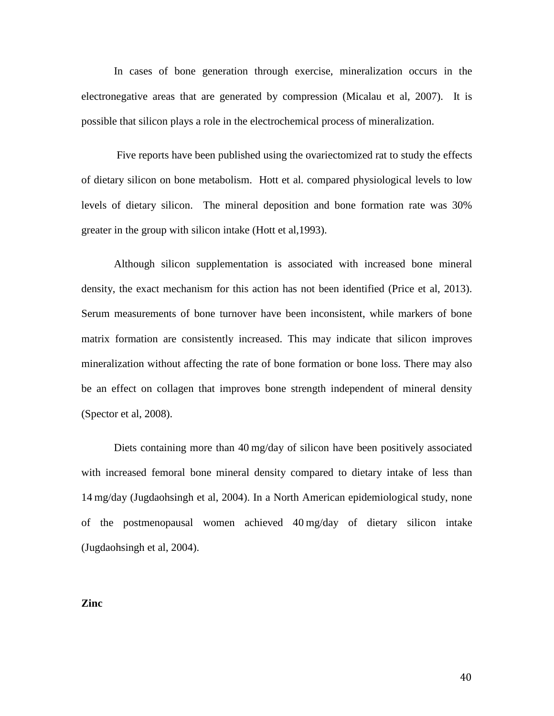In cases of bone generation through exercise, mineralization occurs in the electronegative areas that are generated by compression (Micalau et al, 2007). It is possible that silicon plays a role in the electrochemical process of mineralization.

Five reports have been published using the ovariectomized rat to study the effects of dietary silicon on bone metabolism. Hott et al. compared physiological levels to low levels of dietary silicon. The mineral deposition and bone formation rate was 30% greater in the group with silicon intake (Hott et al,1993).

Although silicon supplementation is associated with increased bone mineral density, the exact mechanism for this action has not been identified (Price et al, 2013). Serum measurements of bone turnover have been inconsistent, while markers of bone matrix formation are consistently increased. This may indicate that silicon improves mineralization without affecting the rate of bone formation or bone loss. There may also be an effect on collagen that improves bone strength independent of mineral density (Spector et al, 2008).

Diets containing more than 40 mg/day of silicon have been positively associated with increased femoral bone mineral density compared to dietary intake of less than 14 mg/day (Jugdaohsingh et al, 2004). In a North American epidemiological study, none of the postmenopausal women achieved 40 mg/day of dietary silicon intake (Jugdaohsingh et al, 2004).

**Zinc**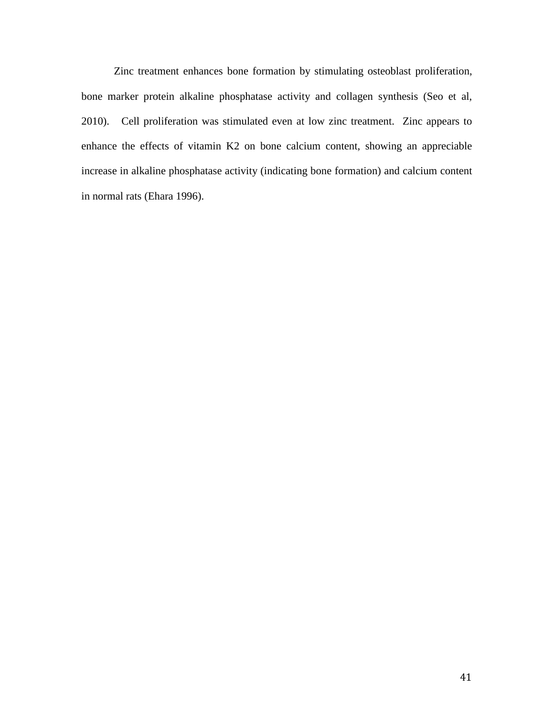Zinc treatment enhances bone formation by stimulating osteoblast proliferation, bone marker protein alkaline phosphatase activity and collagen synthesis (Seo et al, 2010). Cell proliferation was stimulated even at low zinc treatment. Zinc appears to enhance the effects of vitamin K2 on bone calcium content, showing an appreciable increase in alkaline phosphatase activity (indicating bone formation) and calcium content in normal rats (Ehara 1996).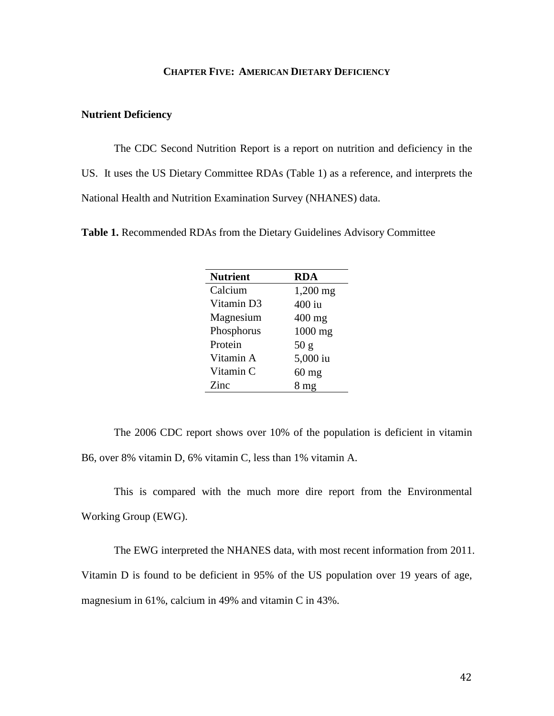# **CHAPTER FIVE: AMERICAN DIETARY DEFICIENCY**

# **Nutrient Deficiency**

The CDC Second Nutrition Report is a report on nutrition and deficiency in the US. It uses the US Dietary Committee RDAs (Table 1) as a reference, and interprets the National Health and Nutrition Examination Survey (NHANES) data.

**Table 1.** Recommended RDAs from the Dietary Guidelines Advisory Committee

| <b>Nutrient</b> | <b>RDA</b>      |
|-----------------|-----------------|
| Calcium         | $1,200$ mg      |
| Vitamin D3      | $400$ iu        |
| Magnesium       | $400$ mg        |
| Phosphorus      | 1000 mg         |
| Protein         | 50 g            |
| Vitamin A       | 5,000 iu        |
| Vitamin C       | $60$ mg         |
| Zinc            | 8 <sub>mg</sub> |

The 2006 CDC report shows over 10% of the population is deficient in vitamin B6, over 8% vitamin D, 6% vitamin C, less than 1% vitamin A.

This is compared with the much more dire report from the Environmental Working Group (EWG).

The EWG interpreted the NHANES data, with most recent information from 2011. Vitamin D is found to be deficient in 95% of the US population over 19 years of age, magnesium in 61%, calcium in 49% and vitamin C in 43%.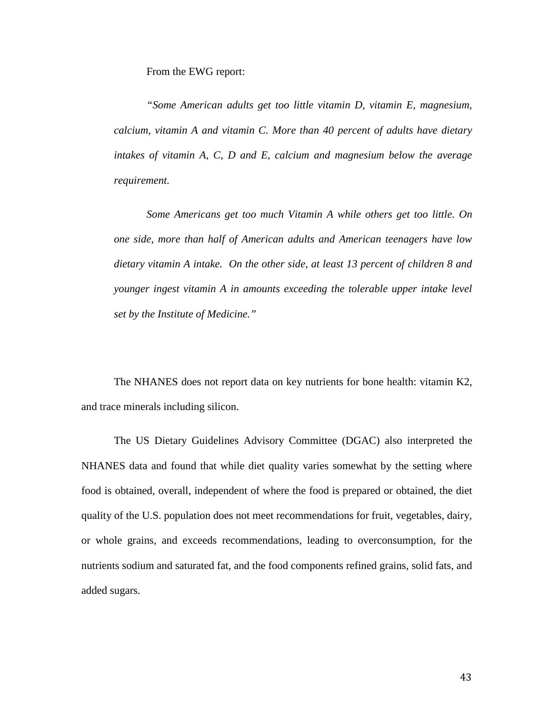From the EWG report:

*"Some American adults get too little vitamin D, vitamin E, magnesium, calcium, vitamin A and vitamin C. More than 40 percent of adults have dietary intakes of vitamin A, C, D and E, calcium and magnesium below the average requirement.*

*Some Americans get too much Vitamin A while others get too little. On one side, more than half of American adults and American teenagers have low dietary vitamin A intake. On the other side, at least 13 percent of children 8 and younger ingest vitamin A in amounts exceeding the tolerable upper intake level set by the Institute of Medicine."*

The NHANES does not report data on key nutrients for bone health: vitamin K2, and trace minerals including silicon.

The US Dietary Guidelines Advisory Committee (DGAC) also interpreted the NHANES data and found that while diet quality varies somewhat by the setting where food is obtained, overall, independent of where the food is prepared or obtained, the diet quality of the U.S. population does not meet recommendations for fruit, vegetables, dairy, or whole grains, and exceeds recommendations, leading to overconsumption, for the nutrients sodium and saturated fat, and the food components refined grains, solid fats, and added sugars.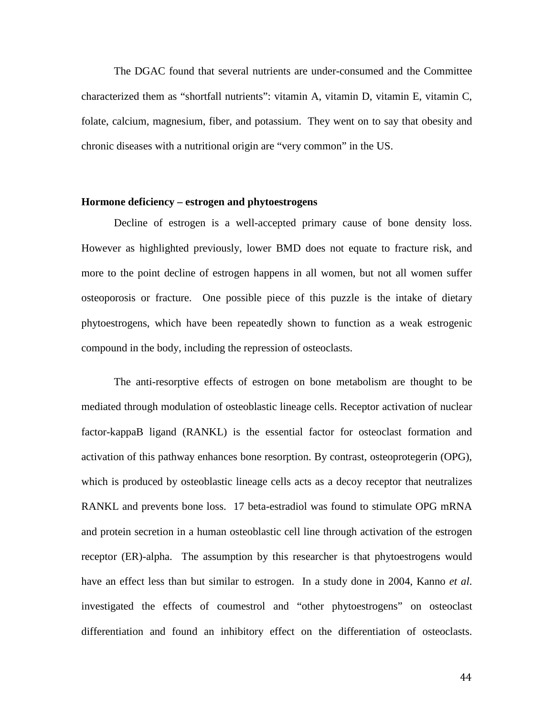The DGAC found that several nutrients are under-consumed and the Committee characterized them as "shortfall nutrients": vitamin A, vitamin D, vitamin E, vitamin C, folate, calcium, magnesium, fiber, and potassium. They went on to say that obesity and chronic diseases with a nutritional origin are "very common" in the US.

# **Hormone deficiency – estrogen and phytoestrogens**

Decline of estrogen is a well-accepted primary cause of bone density loss. However as highlighted previously, lower BMD does not equate to fracture risk, and more to the point decline of estrogen happens in all women, but not all women suffer osteoporosis or fracture. One possible piece of this puzzle is the intake of dietary phytoestrogens, which have been repeatedly shown to function as a weak estrogenic compound in the body, including the repression of osteoclasts.

The anti-resorptive effects of estrogen on bone metabolism are thought to be mediated through modulation of osteoblastic lineage cells. Receptor activation of nuclear factor-kappaB ligand (RANKL) is the essential factor for osteoclast formation and activation of this pathway enhances bone resorption. By contrast, osteoprotegerin (OPG), which is produced by osteoblastic lineage cells acts as a decoy receptor that neutralizes RANKL and prevents bone loss. 17 beta-estradiol was found to stimulate OPG mRNA and protein secretion in a human osteoblastic cell line through activation of the estrogen receptor (ER)-alpha. The assumption by this researcher is that phytoestrogens would have an effect less than but similar to estrogen. In a study done in 2004, Kanno *et al*. investigated the effects of coumestrol and "other phytoestrogens" on osteoclast differentiation and found an inhibitory effect on the differentiation of osteoclasts.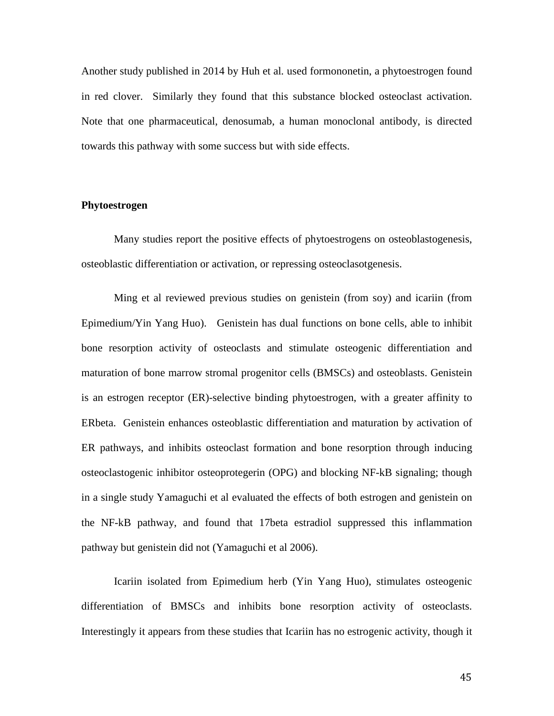Another study published in 2014 by Huh et al*.* used formononetin, a phytoestrogen found in red clover. Similarly they found that this substance blocked osteoclast activation. Note that one pharmaceutical, denosumab, a human monoclonal antibody, is directed towards this pathway with some success but with side effects.

# **Phytoestrogen**

Many studies report the positive effects of phytoestrogens on osteoblastogenesis, osteoblastic differentiation or activation, or repressing osteoclasotgenesis.

Ming et al reviewed previous studies on genistein (from soy) and icariin (from Epimedium/Yin Yang Huo). Genistein has dual functions on bone cells, able to inhibit bone resorption activity of osteoclasts and stimulate osteogenic differentiation and maturation of bone marrow stromal progenitor cells (BMSCs) and osteoblasts. Genistein is an estrogen receptor (ER)-selective binding phytoestrogen, with a greater affinity to ERbeta. Genistein enhances osteoblastic differentiation and maturation by activation of ER pathways, and inhibits osteoclast formation and bone resorption through inducing osteoclastogenic inhibitor osteoprotegerin (OPG) and blocking NF-kB signaling; though in a single study Yamaguchi et al evaluated the effects of both estrogen and genistein on the NF-kB pathway, and found that 17beta estradiol suppressed this inflammation pathway but genistein did not (Yamaguchi et al 2006).

Icariin isolated from Epimedium herb (Yin Yang Huo), stimulates osteogenic differentiation of BMSCs and inhibits bone resorption activity of osteoclasts. Interestingly it appears from these studies that Icariin has no estrogenic activity, though it

45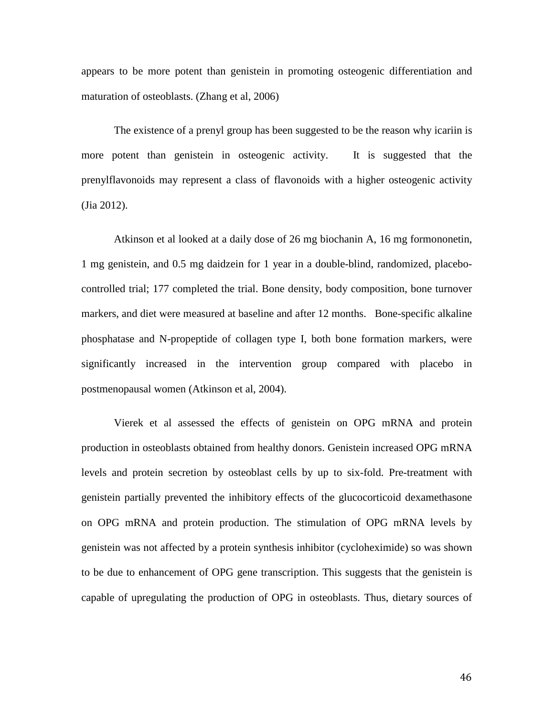appears to be more potent than genistein in promoting osteogenic differentiation and maturation of osteoblasts. (Zhang et al, 2006)

The existence of a prenyl group has been suggested to be the reason why icariin is more potent than genistein in osteogenic activity. It is suggested that the prenylflavonoids may represent a class of flavonoids with a higher osteogenic activity (Jia 2012).

Atkinson et al looked at a daily dose of 26 mg biochanin A, 16 mg formononetin, 1 mg genistein, and 0.5 mg daidzein for 1 year in a double-blind, randomized, placebocontrolled trial; 177 completed the trial. Bone density, body composition, bone turnover markers, and diet were measured at baseline and after 12 months. Bone-specific alkaline phosphatase and N-propeptide of collagen type I, both bone formation markers, were significantly increased in the intervention group compared with placebo in postmenopausal women (Atkinson et al, 2004).

Vierek et al assessed the effects of genistein on OPG mRNA and protein production in osteoblasts obtained from healthy donors. Genistein increased OPG mRNA levels and protein secretion by osteoblast cells by up to six-fold. Pre-treatment with genistein partially prevented the inhibitory effects of the glucocorticoid dexamethasone on OPG mRNA and protein production. The stimulation of OPG mRNA levels by genistein was not affected by a protein synthesis inhibitor (cycloheximide) so was shown to be due to enhancement of OPG gene transcription. This suggests that the genistein is capable of upregulating the production of OPG in osteoblasts. Thus, dietary sources of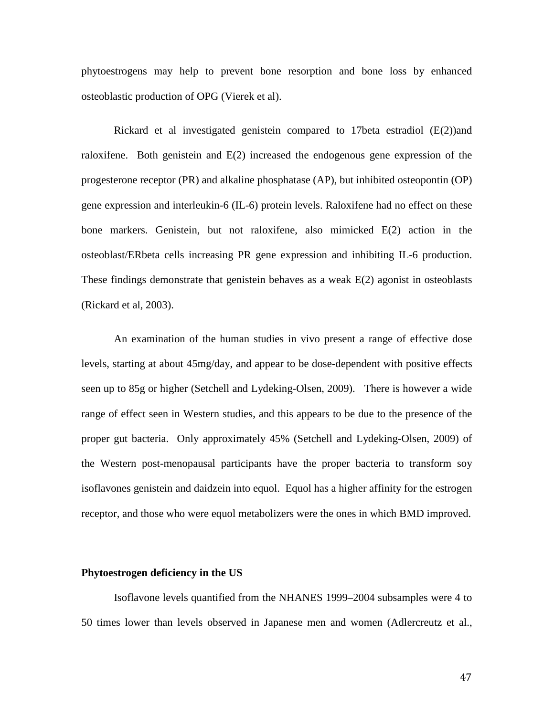phytoestrogens may help to prevent bone resorption and bone loss by enhanced osteoblastic production of OPG (Vierek et al).

Rickard et al investigated genistein compared to 17beta estradiol  $(E(2))$  and raloxifene. Both genistein and  $E(2)$  increased the endogenous gene expression of the progesterone receptor (PR) and alkaline phosphatase (AP), but inhibited osteopontin (OP) gene expression and interleukin-6 (IL-6) protein levels. Raloxifene had no effect on these bone markers. Genistein, but not raloxifene, also mimicked E(2) action in the osteoblast/ERbeta cells increasing PR gene expression and inhibiting IL-6 production. These findings demonstrate that genistein behaves as a weak E(2) agonist in osteoblasts (Rickard et al, 2003).

An examination of the human studies in vivo present a range of effective dose levels, starting at about 45mg/day, and appear to be dose-dependent with positive effects seen up to 85g or higher (Setchell and Lydeking-Olsen, 2009). There is however a wide range of effect seen in Western studies, and this appears to be due to the presence of the proper gut bacteria. Only approximately 45% (Setchell and Lydeking-Olsen, 2009) of the Western post-menopausal participants have the proper bacteria to transform soy isoflavones genistein and daidzein into equol. Equol has a higher affinity for the estrogen receptor, and those who were equol metabolizers were the ones in which BMD improved.

#### **Phytoestrogen deficiency in the US**

Isoflavone levels quantified from the NHANES 1999–2004 subsamples were 4 to 50 times lower than levels observed in Japanese men and women (Adlercreutz et al.,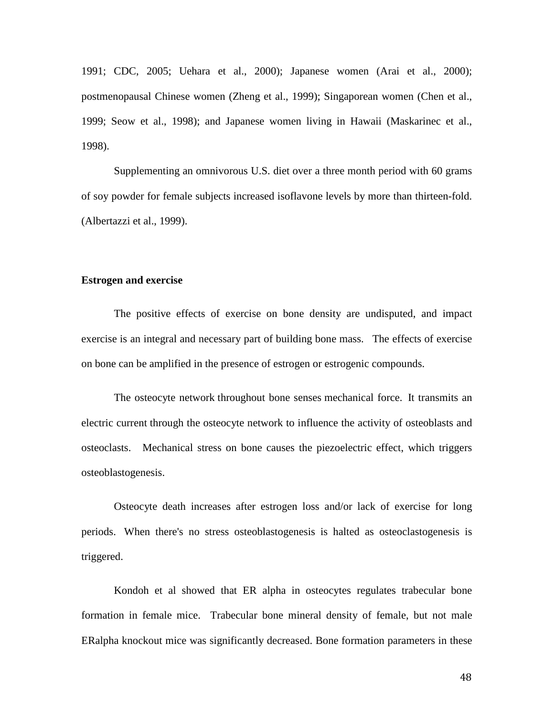1991; CDC, 2005; Uehara et al., 2000); Japanese women (Arai et al., 2000); postmenopausal Chinese women (Zheng et al., 1999); Singaporean women (Chen et al., 1999; Seow et al., 1998); and Japanese women living in Hawaii (Maskarinec et al., 1998).

Supplementing an omnivorous U.S. diet over a three month period with 60 grams of soy powder for female subjects increased isoflavone levels by more than thirteen-fold. (Albertazzi et al., 1999).

# **Estrogen and exercise**

The positive effects of exercise on bone density are undisputed, and impact exercise is an integral and necessary part of building bone mass. The effects of exercise on bone can be amplified in the presence of estrogen or estrogenic compounds.

The osteocyte network throughout bone senses mechanical force. It transmits an electric current through the osteocyte network to influence the activity of osteoblasts and osteoclasts. Mechanical stress on bone causes the piezoelectric effect, which triggers osteoblastogenesis.

Osteocyte death increases after estrogen loss and/or lack of exercise for long periods. When there's no stress osteoblastogenesis is halted as osteoclastogenesis is triggered.

Kondoh et al showed that ER alpha in osteocytes regulates trabecular bone formation in female mice. Trabecular bone mineral density of female, but not male ERalpha knockout mice was significantly decreased. Bone formation parameters in these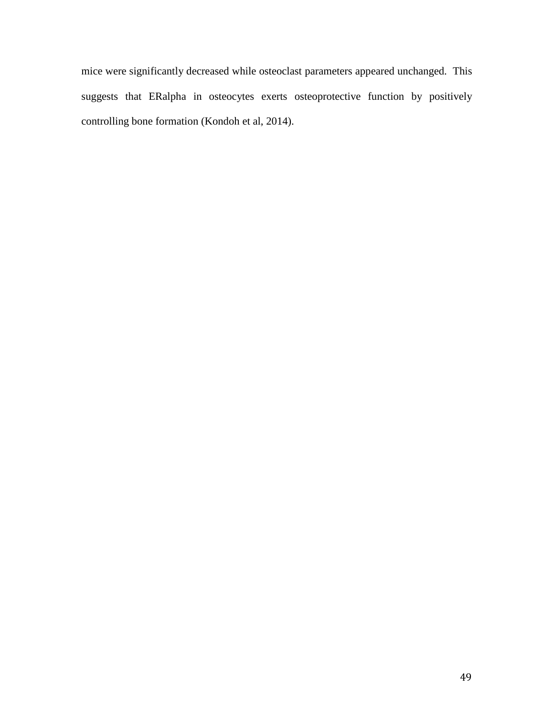mice were significantly decreased while osteoclast parameters appeared unchanged. This suggests that ERalpha in osteocytes exerts osteoprotective function by positively controlling bone formation (Kondoh et al, 2014).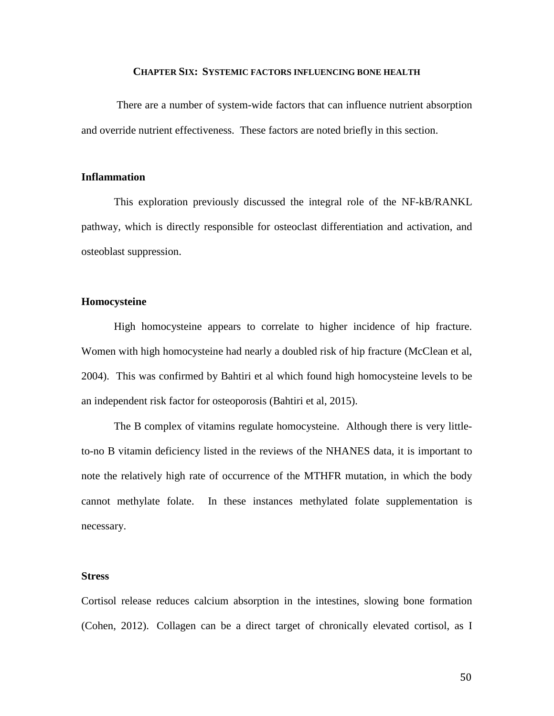# **CHAPTER SIX: SYSTEMIC FACTORS INFLUENCING BONE HEALTH**

There are a number of system-wide factors that can influence nutrient absorption and override nutrient effectiveness. These factors are noted briefly in this section.

### **Inflammation**

This exploration previously discussed the integral role of the NF-kB/RANKL pathway, which is directly responsible for osteoclast differentiation and activation, and osteoblast suppression.

# **Homocysteine**

High homocysteine appears to correlate to higher incidence of hip fracture. Women with high homocysteine had nearly a doubled risk of hip fracture (McClean et al, 2004). This was confirmed by Bahtiri et al which found high homocysteine levels to be an independent risk factor for osteoporosis (Bahtiri et al, 2015).

The B complex of vitamins regulate homocysteine. Although there is very littleto-no B vitamin deficiency listed in the reviews of the NHANES data, it is important to note the relatively high rate of occurrence of the MTHFR mutation, in which the body cannot methylate folate. In these instances methylated folate supplementation is necessary.

# **Stress**

Cortisol release reduces calcium absorption in the intestines, slowing bone formation (Cohen, 2012). Collagen can be a direct target of chronically elevated cortisol, as I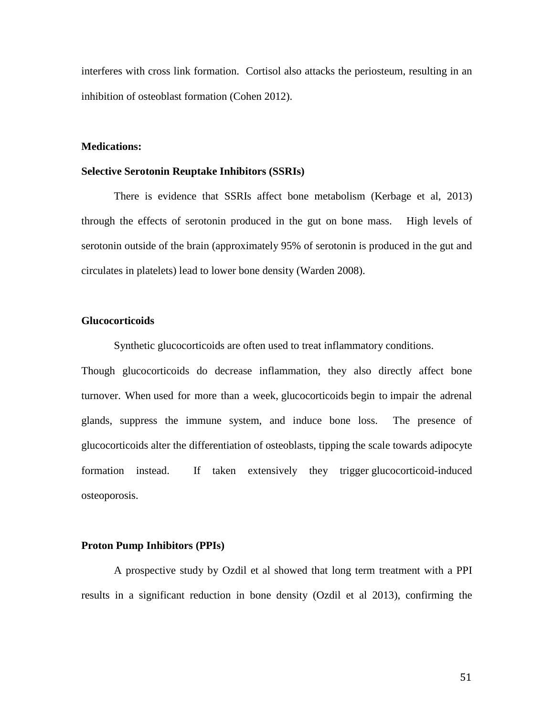interferes with cross link formation. Cortisol also attacks the periosteum, resulting in an inhibition of osteoblast formation (Cohen 2012).

# **Medications:**

# **Selective Serotonin Reuptake Inhibitors (SSRIs)**

There is evidence that SSRIs affect bone metabolism (Kerbage et al, 2013) through the effects of serotonin produced in the gut on bone mass. High levels of serotonin outside of the brain (approximately 95% of serotonin is produced in the gut and circulates in platelets) lead to lower bone density (Warden 2008).

# **Glucocorticoids**

Synthetic glucocorticoids are often used to treat inflammatory conditions.

Though glucocorticoids do decrease inflammation, they also directly affect bone turnover. When used for more than a week, glucocorticoids begin to impair the adrenal glands, suppress the immune system, and induce bone loss. The presence of glucocorticoids alter the differentiation of osteoblasts, tipping the scale towards adipocyte formation instead. If taken extensively they trigger glucocorticoid-induced osteoporosis.

# **Proton Pump Inhibitors (PPIs)**

A prospective study by Ozdil et al showed that long term treatment with a PPI results in a significant reduction in bone density (Ozdil et al 2013), confirming the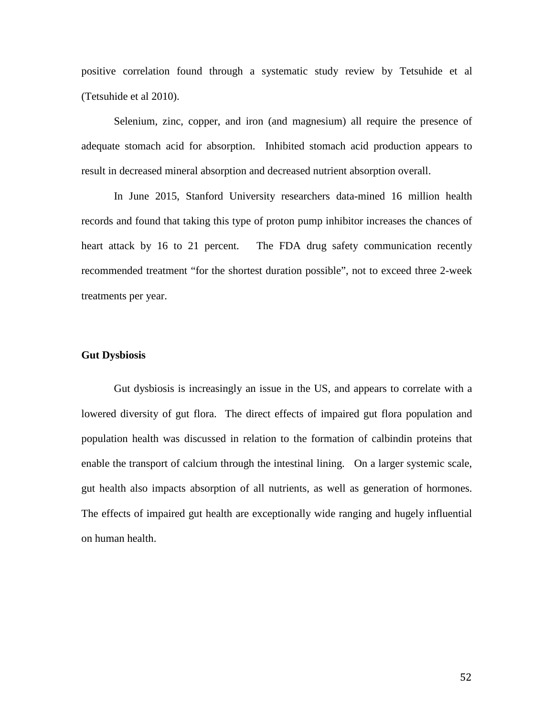positive correlation found through a systematic study review by Tetsuhide et al (Tetsuhide et al 2010).

Selenium, zinc, copper, and iron (and magnesium) all require the presence of adequate stomach acid for absorption. Inhibited stomach acid production appears to result in decreased mineral absorption and decreased nutrient absorption overall.

In June 2015, Stanford University researchers data-mined 16 million health records and found that taking this type of proton pump inhibitor increases the chances of heart attack by 16 to 21 percent. The FDA drug safety communication recently recommended treatment "for the shortest duration possible", not to exceed three 2-week treatments per year.

# **Gut Dysbiosis**

Gut dysbiosis is increasingly an issue in the US, and appears to correlate with a lowered diversity of gut flora. The direct effects of impaired gut flora population and population health was discussed in relation to the formation of calbindin proteins that enable the transport of calcium through the intestinal lining. On a larger systemic scale, gut health also impacts absorption of all nutrients, as well as generation of hormones. The effects of impaired gut health are exceptionally wide ranging and hugely influential on human health.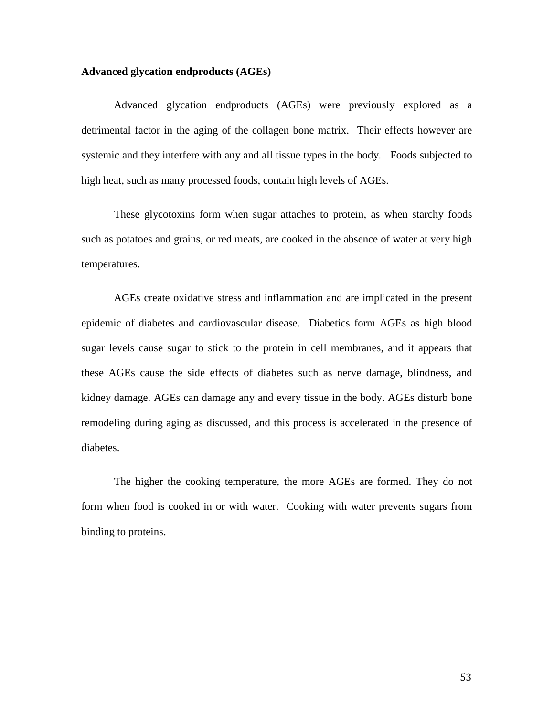# **Advanced glycation endproducts (AGEs)**

Advanced glycation endproducts (AGEs) were previously explored as a detrimental factor in the aging of the collagen bone matrix. Their effects however are systemic and they interfere with any and all tissue types in the body. Foods subjected to high heat, such as many processed foods, contain high levels of AGEs.

These glycotoxins form when sugar attaches to protein, as when starchy foods such as potatoes and grains, or red meats, are cooked in the absence of water at very high temperatures.

AGEs create oxidative stress and inflammation and are implicated in the present epidemic of diabetes and cardiovascular disease. Diabetics form AGEs as high blood sugar levels cause sugar to stick to the protein in cell membranes, and it appears that these AGEs cause the side effects of diabetes such as nerve damage, blindness, and kidney damage. AGEs can damage any and every tissue in the body. AGEs disturb bone remodeling during aging as discussed, and this process is accelerated in the presence of diabetes.

The higher the cooking temperature, the more AGEs are formed. They do not form when food is cooked in or with water. Cooking with water prevents sugars from binding to proteins.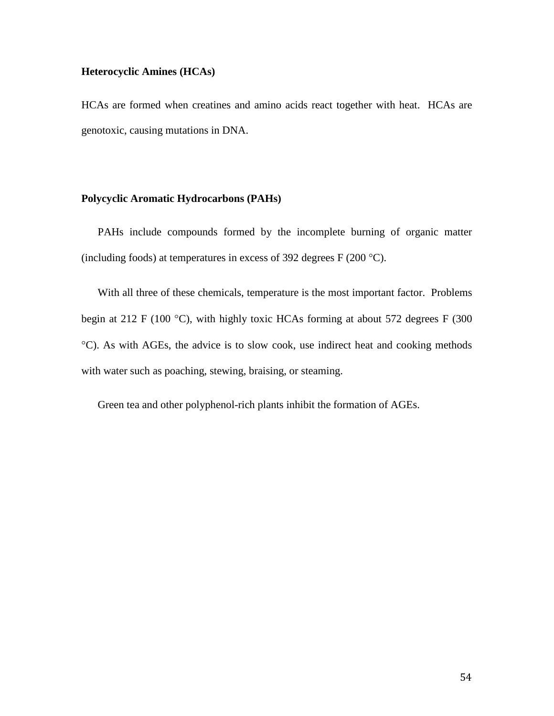# **Heterocyclic Amines (HCAs)**

HCAs are formed when creatines and amino acids react together with heat. HCAs are genotoxic, causing mutations in DNA.

# **Polycyclic Aromatic Hydrocarbons (PAHs)**

PAHs include compounds formed by the incomplete burning of organic matter (including foods) at temperatures in excess of 392 degrees  $F(200 °C)$ .

With all three of these chemicals, temperature is the most important factor. Problems begin at 212 F (100 °C), with highly toxic HCAs forming at about 572 degrees F (300 °C). As with AGEs, the advice is to slow cook, use indirect heat and cooking methods with water such as poaching, stewing, braising, or steaming.

Green tea and other polyphenol-rich plants inhibit the formation of AGEs.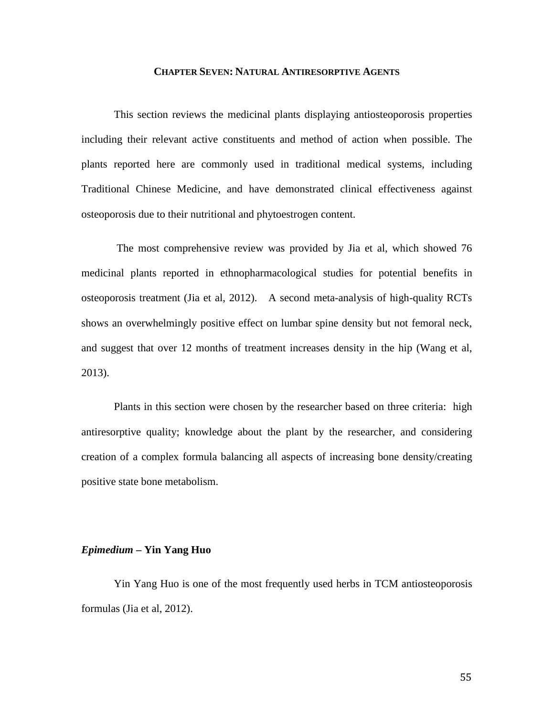### **CHAPTER SEVEN: NATURAL ANTIRESORPTIVE AGENTS**

This section reviews the medicinal plants displaying antiosteoporosis properties including their relevant active constituents and method of action when possible. The plants reported here are commonly used in traditional medical systems, including Traditional Chinese Medicine, and have demonstrated clinical effectiveness against osteoporosis due to their nutritional and phytoestrogen content.

The most comprehensive review was provided by Jia et al, which showed 76 medicinal plants reported in ethnopharmacological studies for potential benefits in osteoporosis treatment (Jia et al, 2012). A second meta-analysis of high-quality RCTs shows an overwhelmingly positive effect on lumbar spine density but not femoral neck, and suggest that over 12 months of treatment increases density in the hip (Wang et al, 2013).

Plants in this section were chosen by the researcher based on three criteria: high antiresorptive quality; knowledge about the plant by the researcher, and considering creation of a complex formula balancing all aspects of increasing bone density/creating positive state bone metabolism.

# *Epimedium* **– Yin Yang Huo**

Yin Yang Huo is one of the most frequently used herbs in TCM antiosteoporosis formulas (Jia et al, 2012).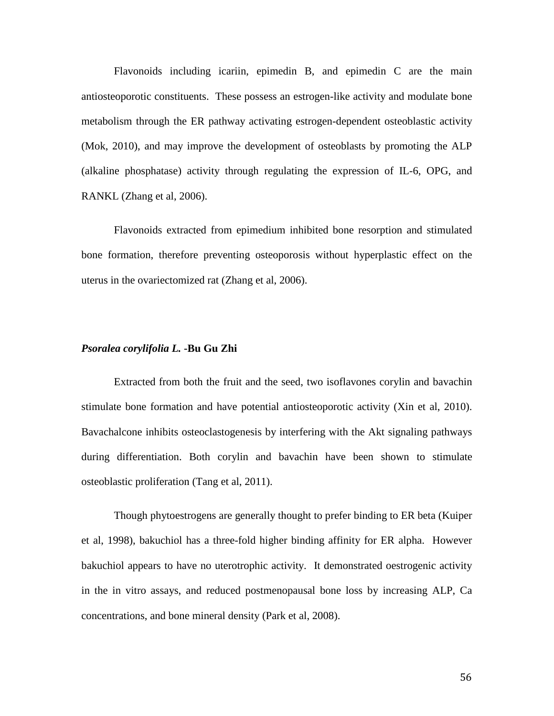Flavonoids including icariin, epimedin B, and epimedin C are the main antiosteoporotic constituents. These possess an estrogen-like activity and modulate bone metabolism through the ER pathway activating estrogen-dependent osteoblastic activity (Mok, 2010), and may improve the development of osteoblasts by promoting the ALP (alkaline phosphatase) activity through regulating the expression of IL-6, OPG, and RANKL (Zhang et al, 2006).

Flavonoids extracted from epimedium inhibited bone resorption and stimulated bone formation, therefore preventing osteoporosis without hyperplastic effect on the uterus in the ovariectomized rat (Zhang et al, 2006).

# *Psoralea corylifolia L.* **-Bu Gu Zhi**

Extracted from both the fruit and the seed, two isoflavones corylin and bavachin stimulate bone formation and have potential antiosteoporotic activity (Xin et al, 2010). Bavachalcone inhibits osteoclastogenesis by interfering with the Akt signaling pathways during differentiation. Both corylin and bavachin have been shown to stimulate osteoblastic proliferation (Tang et al, 2011).

Though phytoestrogens are generally thought to prefer binding to ER beta (Kuiper et al, 1998), bakuchiol has a three-fold higher binding affinity for ER alpha. However bakuchiol appears to have no uterotrophic activity. It demonstrated oestrogenic activity in the in vitro assays, and reduced postmenopausal bone loss by increasing ALP, Ca concentrations, and bone mineral density (Park et al, 2008).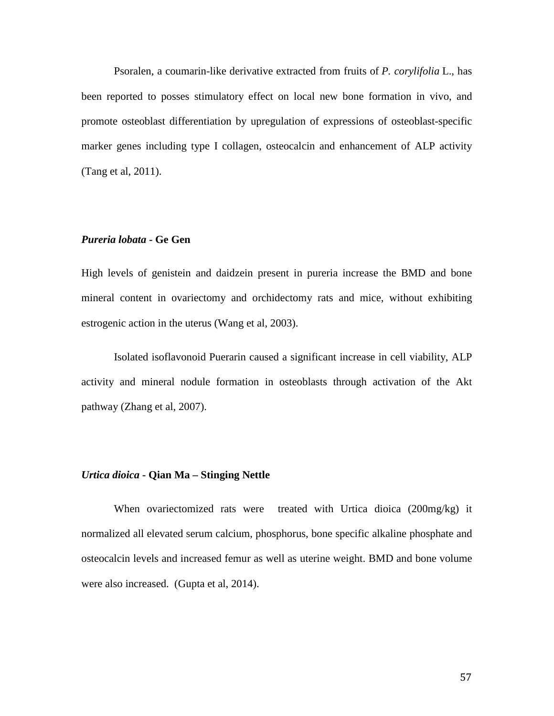Psoralen, a coumarin-like derivative extracted from fruits of *P. corylifolia* L., has been reported to posses stimulatory effect on local new bone formation in vivo, and promote osteoblast differentiation by upregulation of expressions of osteoblast-specific marker genes including type I collagen, osteocalcin and enhancement of ALP activity (Tang et al, 2011).

# *Pureria lobata* **- Ge Gen**

High levels of genistein and daidzein present in pureria increase the BMD and bone mineral content in ovariectomy and orchidectomy rats and mice, without exhibiting estrogenic action in the uterus (Wang et al, 2003).

Isolated isoflavonoid Puerarin caused a significant increase in cell viability, ALP activity and mineral nodule formation in osteoblasts through activation of the Akt pathway (Zhang et al, 2007).

# *Urtica dioica* **- Qian Ma – Stinging Nettle**

When ovariectomized rats were treated with Urtica dioica (200mg/kg) it normalized all elevated serum calcium, phosphorus, bone specific alkaline phosphate and osteocalcin levels and increased femur as well as uterine weight. BMD and bone volume were also increased. (Gupta et al, 2014).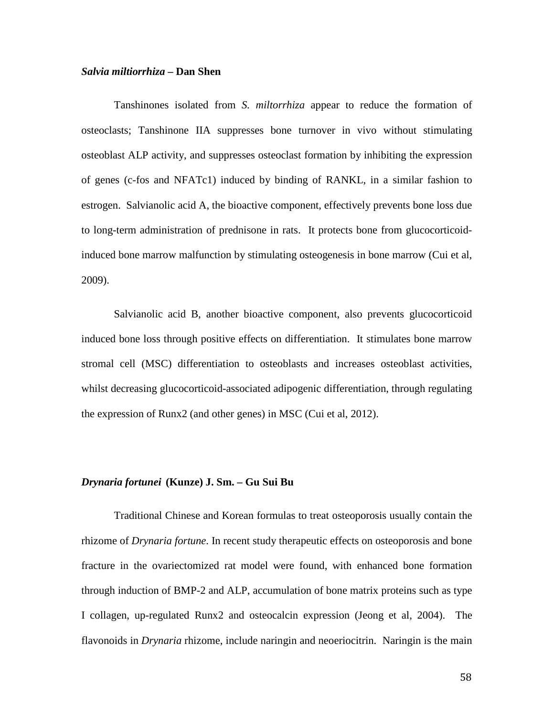# *Salvia miltiorrhiza* **– Dan Shen**

Tanshinones isolated from *S. miltorrhiza* appear to reduce the formation of osteoclasts; Tanshinone IIA suppresses bone turnover in vivo without stimulating osteoblast ALP activity, and suppresses osteoclast formation by inhibiting the expression of genes (c-fos and NFATc1) induced by binding of RANKL, in a similar fashion to estrogen. Salvianolic acid A, the bioactive component, effectively prevents bone loss due to long-term administration of prednisone in rats. It protects bone from glucocorticoidinduced bone marrow malfunction by stimulating osteogenesis in bone marrow (Cui et al, 2009).

Salvianolic acid B, another bioactive component, also prevents glucocorticoid induced bone loss through positive effects on differentiation. It stimulates bone marrow stromal cell (MSC) differentiation to osteoblasts and increases osteoblast activities, whilst decreasing glucocorticoid-associated adipogenic differentiation, through regulating the expression of Runx2 (and other genes) in MSC (Cui et al, 2012).

# *Drynaria fortunei***(Kunze) J. Sm. – Gu Sui Bu**

Traditional Chinese and Korean formulas to treat osteoporosis usually contain the rhizome of *Drynaria fortune*. In recent study therapeutic effects on osteoporosis and bone fracture in the ovariectomized rat model were found, with enhanced bone formation through induction of BMP-2 and ALP, accumulation of bone matrix proteins such as type I collagen, up-regulated Runx2 and osteocalcin expression (Jeong et al, 2004). The flavonoids in *Drynaria* rhizome, include naringin and neoeriocitrin. Naringin is the main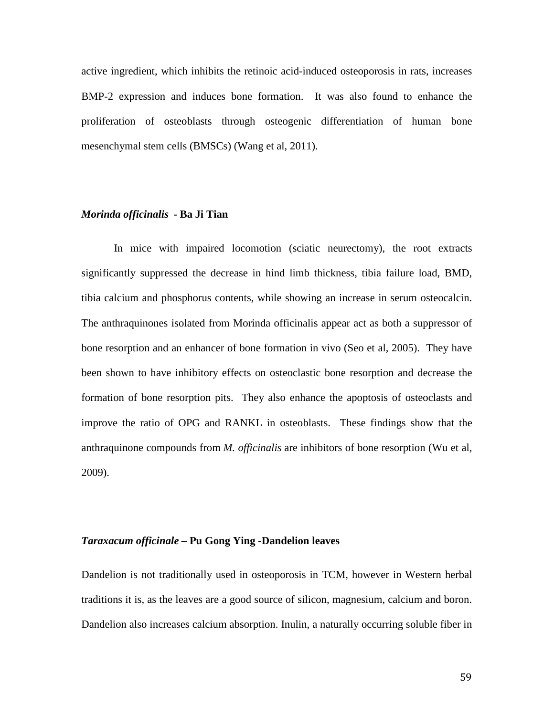active ingredient, which inhibits the retinoic acid-induced osteoporosis in rats, increases BMP-2 expression and induces bone formation. It was also found to enhance the proliferation of osteoblasts through osteogenic differentiation of human bone mesenchymal stem cells (BMSCs) (Wang et al, 2011).

# *Morinda officinalis* **- Ba Ji Tian**

In mice with impaired locomotion (sciatic neurectomy), the root extracts significantly suppressed the decrease in hind limb thickness, tibia failure load, BMD, tibia calcium and phosphorus contents, while showing an increase in serum osteocalcin. The anthraquinones isolated from Morinda officinalis appear act as both a suppressor of bone resorption and an enhancer of bone formation in vivo (Seo et al, 2005). They have been shown to have inhibitory effects on osteoclastic bone resorption and decrease the formation of bone resorption pits. They also enhance the apoptosis of osteoclasts and improve the ratio of OPG and RANKL in osteoblasts. These findings show that the anthraquinone compounds from *M. officinalis* are inhibitors of bone resorption (Wu et al, 2009).

#### *Taraxacum officinale –* **Pu Gong Ying** *-***Dandelion leaves**

Dandelion is not traditionally used in osteoporosis in TCM, however in Western herbal traditions it is, as the leaves are a good source of silicon, magnesium, calcium and boron. Dandelion also increases calcium absorption. Inulin, a naturally occurring soluble fiber in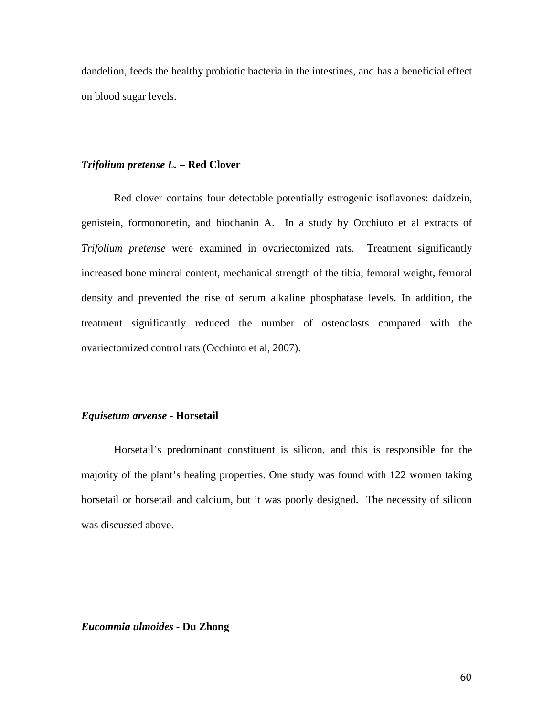dandelion, feeds the healthy probiotic bacteria in the intestines, and has a beneficial effect on blood sugar levels.

# *Trifolium pretense L.* **– Red Clover**

Red clover contains four detectable potentially estrogenic isoflavones: daidzein, genistein, formononetin, and biochanin A. In a study by Occhiuto et al extracts of *Trifolium pretense* were examined in ovariectomized rats. Treatment significantly increased bone mineral content, mechanical strength of the tibia, femoral weight, femoral density and prevented the rise of serum alkaline phosphatase levels. In addition, the treatment significantly reduced the number of osteoclasts compared with the ovariectomized control rats (Occhiuto et al, 2007).

# *Equisetum arvense -* **Horsetail**

Horsetail's predominant constituent is silicon, and this is responsible for the majority of the plant's healing properties. One study was found with 122 women taking horsetail or horsetail and calcium, but it was poorly designed. The necessity of silicon was discussed above.

# *Eucommia ulmoides* - **Du Zhong**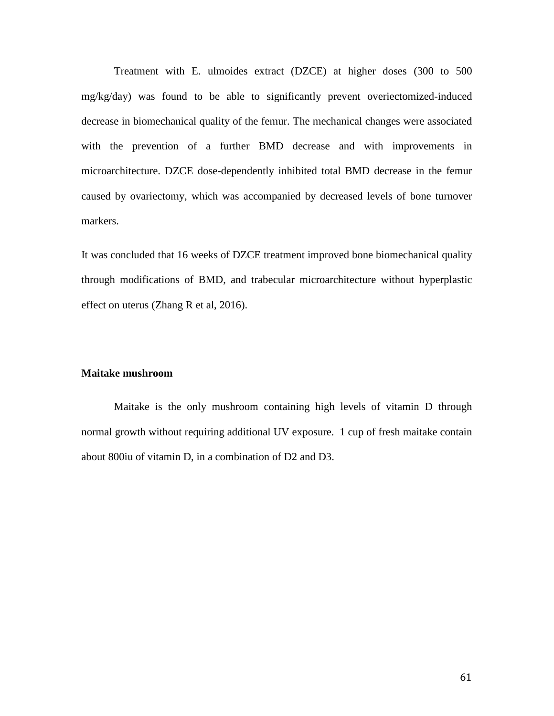Treatment with E. ulmoides extract (DZCE) at higher doses (300 to 500 mg/kg/day) was found to be able to significantly prevent overiectomized-induced decrease in biomechanical quality of the femur. The mechanical changes were associated with the prevention of a further BMD decrease and with improvements in microarchitecture. DZCE dose-dependently inhibited total BMD decrease in the femur caused by ovariectomy, which was accompanied by decreased levels of bone turnover markers.

It was concluded that 16 weeks of DZCE treatment improved bone biomechanical quality through modifications of BMD, and trabecular microarchitecture without hyperplastic effect on uterus (Zhang R et al, 2016).

# **Maitake mushroom**

Maitake is the only mushroom containing high levels of vitamin D through normal growth without requiring additional UV exposure. 1 cup of fresh maitake contain about 800iu of vitamin D, in a combination of D2 and D3.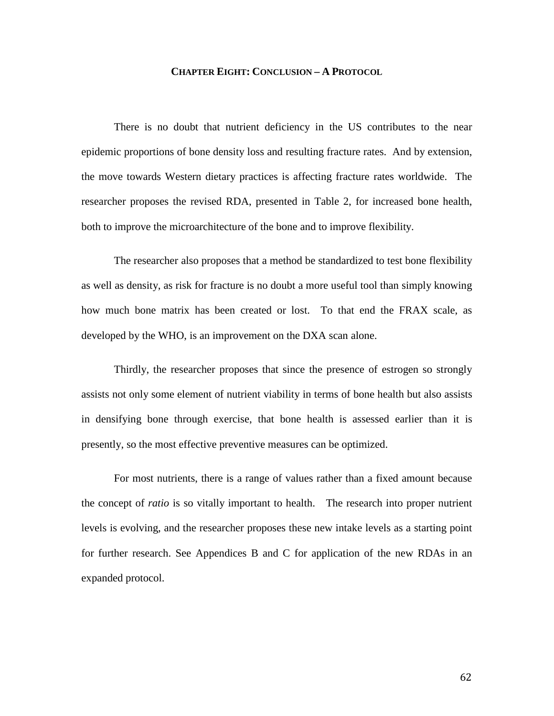# **CHAPTER EIGHT: CONCLUSION – A PROTOCOL**

There is no doubt that nutrient deficiency in the US contributes to the near epidemic proportions of bone density loss and resulting fracture rates. And by extension, the move towards Western dietary practices is affecting fracture rates worldwide. The researcher proposes the revised RDA, presented in Table 2, for increased bone health, both to improve the microarchitecture of the bone and to improve flexibility.

The researcher also proposes that a method be standardized to test bone flexibility as well as density, as risk for fracture is no doubt a more useful tool than simply knowing how much bone matrix has been created or lost. To that end the FRAX scale, as developed by the WHO, is an improvement on the DXA scan alone.

Thirdly, the researcher proposes that since the presence of estrogen so strongly assists not only some element of nutrient viability in terms of bone health but also assists in densifying bone through exercise, that bone health is assessed earlier than it is presently, so the most effective preventive measures can be optimized.

For most nutrients, there is a range of values rather than a fixed amount because the concept of *ratio* is so vitally important to health. The research into proper nutrient levels is evolving, and the researcher proposes these new intake levels as a starting point for further research. See Appendices B and C for application of the new RDAs in an expanded protocol.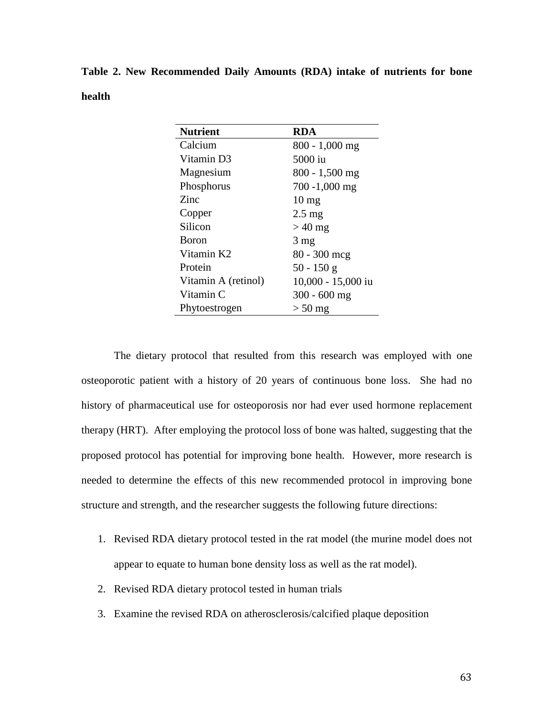**Table 2. New Recommended Daily Amounts (RDA) intake of nutrients for bone health**

| <b>Nutrient</b>     | <b>RDA</b>         |
|---------------------|--------------------|
| Calcium             | 800 - 1,000 mg     |
| Vitamin D3          | 5000 iu            |
| Magnesium           | $800 - 1,500$ mg   |
| Phosphorus          | $700 - 1,000$ mg   |
| Zinc                | $10 \text{ mg}$    |
| Copper              | $2.5 \text{ mg}$   |
| Silicon             | $>40$ mg           |
| <b>Boron</b>        | $3 \text{ mg}$     |
| Vitamin K2          | $80 - 300$ mcg     |
| Protein             | $50 - 150$ g       |
| Vitamin A (retinol) | 10,000 - 15,000 iu |
| Vitamin C           | $300 - 600$ mg     |
| Phytoestrogen       | $> 50$ mg          |
|                     |                    |

The dietary protocol that resulted from this research was employed with one osteoporotic patient with a history of 20 years of continuous bone loss. She had no history of pharmaceutical use for osteoporosis nor had ever used hormone replacement therapy (HRT). After employing the protocol loss of bone was halted, suggesting that the proposed protocol has potential for improving bone health. However, more research is needed to determine the effects of this new recommended protocol in improving bone structure and strength, and the researcher suggests the following future directions:

- 1. Revised RDA dietary protocol tested in the rat model (the murine model does not appear to equate to human bone density loss as well as the rat model).
- 2. Revised RDA dietary protocol tested in human trials
- 3. Examine the revised RDA on atherosclerosis/calcified plaque deposition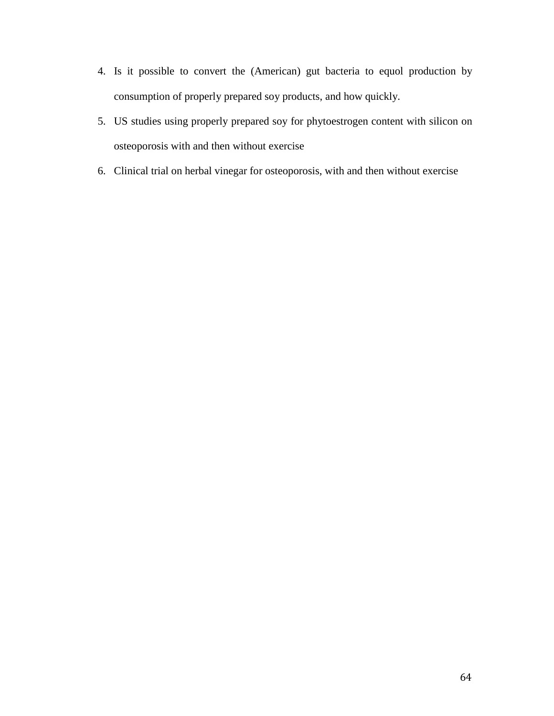- 4. Is it possible to convert the (American) gut bacteria to equol production by consumption of properly prepared soy products, and how quickly.
- 5. US studies using properly prepared soy for phytoestrogen content with silicon on osteoporosis with and then without exercise
- 6. Clinical trial on herbal vinegar for osteoporosis, with and then without exercise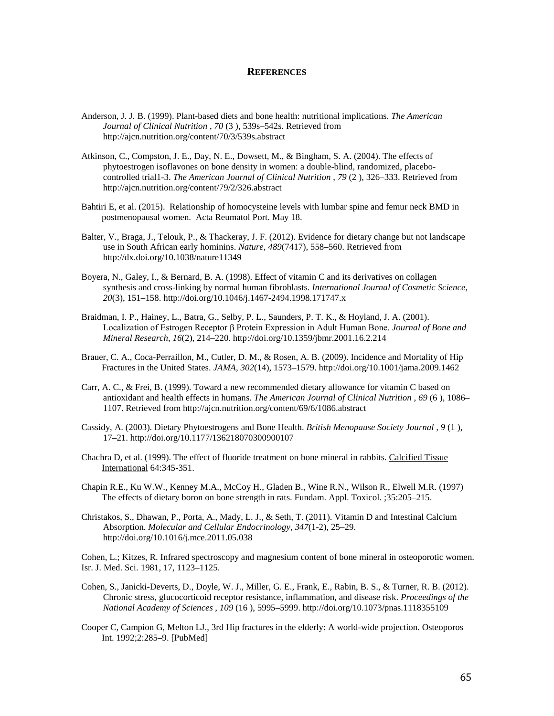#### **REFERENCES**

- Anderson, J. J. B. (1999). Plant-based diets and bone health: nutritional implications. *The American Journal of Clinical Nutrition* , *70* (3 ), 539s–542s. Retrieved from http://ajcn.nutrition.org/content/70/3/539s.abstract
- Atkinson, C., Compston, J. E., Day, N. E., Dowsett, M., & Bingham, S. A. (2004). The effects of phytoestrogen isoflavones on bone density in women: a double-blind, randomized, placebocontrolled trial1-3. *The American Journal of Clinical Nutrition* , *79* (2 ), 326–333. Retrieved from http://ajcn.nutrition.org/content/79/2/326.abstract
- Bahtiri E, et al. (2015). Relationship of homocysteine levels with lumbar spine and femur neck BMD in postmenopausal women. Acta Reumatol Port. May 18.
- Balter, V., Braga, J., Telouk, P., & Thackeray, J. F. (2012). Evidence for dietary change but not landscape use in South African early hominins. *Nature*, *489*(7417), 558–560. Retrieved from http://dx.doi.org/10.1038/nature11349
- Boyera, N., Galey, I., & Bernard, B. A. (1998). Effect of vitamin C and its derivatives on collagen synthesis and cross-linking by normal human fibroblasts. *International Journal of Cosmetic Science*, *20*(3), 151–158. http://doi.org/10.1046/j.1467-2494.1998.171747.x
- Braidman, I. P., Hainey, L., Batra, G., Selby, P. L., Saunders, P. T. K., & Hoyland, J. A. (2001). Localization of Estrogen Receptor β Protein Expression in Adult Human Bone. *Journal of Bone and Mineral Research*, *16*(2), 214–220. http://doi.org/10.1359/jbmr.2001.16.2.214
- Brauer, C. A., Coca-Perraillon, M., Cutler, D. M., & Rosen, A. B. (2009). Incidence and Mortality of Hip Fractures in the United States. *JAMA*, *302*(14), 1573–1579. http://doi.org/10.1001/jama.2009.1462
- Carr, A. C., & Frei, B. (1999). Toward a new recommended dietary allowance for vitamin C based on antioxidant and health effects in humans. *The American Journal of Clinical Nutrition* , *69* (6 ), 1086– 1107. Retrieved from http://ajcn.nutrition.org/content/69/6/1086.abstract
- Cassidy, A. (2003). Dietary Phytoestrogens and Bone Health. *British Menopause Society Journal* , *9* (1 ), 17–21. http://doi.org/10.1177/136218070300900107
- Chachra D, et al. (1999). The effect of fluoride treatment on bone mineral in rabbits. Calcified Tissue International 64:345-351.
- Chapin R.E., Ku W.W., Kenney M.A., McCoy H., Gladen B., Wine R.N., Wilson R., Elwell M.R. (1997) The effects of dietary boron on bone strength in rats. Fundam. Appl. Toxicol. ;35:205–215.
- Christakos, S., Dhawan, P., Porta, A., Mady, L. J., & Seth, T. (2011). Vitamin D and Intestinal Calcium Absorption. *Molecular and Cellular Endocrinology*, *347*(1-2), 25–29. http://doi.org/10.1016/j.mce.2011.05.038

Cohen, L.; Kitzes, R. Infrared spectroscopy and magnesium content of bone mineral in osteoporotic women. Isr. J. Med. Sci. 1981, 17, 1123–1125.

- Cohen, S., Janicki-Deverts, D., Doyle, W. J., Miller, G. E., Frank, E., Rabin, B. S., & Turner, R. B. (2012). Chronic stress, glucocorticoid receptor resistance, inflammation, and disease risk. *Proceedings of the National Academy of Sciences* , *109* (16 ), 5995–5999. http://doi.org/10.1073/pnas.1118355109
- Cooper C, Campion G, Melton LJ., 3rd Hip fractures in the elderly: A world-wide projection. Osteoporos Int. 1992;2:285–9. [PubMed]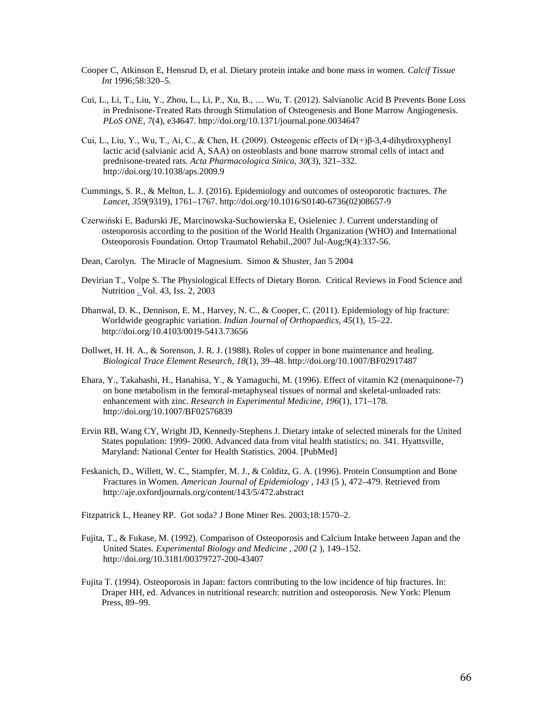- Cooper C, Atkinson E, Hensrud D, et al. Dietary protein intake and bone mass in women. *Calcif Tissue Int* 1996;58:320–5.
- Cui, L., Li, T., Liu, Y., Zhou, L., Li, P., Xu, B., … Wu, T. (2012). Salvianolic Acid B Prevents Bone Loss in Prednisone-Treated Rats through Stimulation of Osteogenesis and Bone Marrow Angiogenesis. *PLoS ONE*, *7*(4), e34647. http://doi.org/10.1371/journal.pone.0034647
- Cui, L., Liu, Y., Wu, T., Ai, C., & Chen, H. (2009). Osteogenic effects of D(+)β-3,4-dihydroxyphenyl lactic acid (salvianic acid A, SAA) on osteoblasts and bone marrow stromal cells of intact and prednisone-treated rats. *Acta Pharmacologica Sinica*, *30*(3), 321–332. http://doi.org/10.1038/aps.2009.9
- Cummings, S. R., & Melton, L. J. (2016). Epidemiology and outcomes of osteoporotic fractures. *The Lancet*, *359*(9319), 1761–1767. http://doi.org/10.1016/S0140-6736(02)08657-9
- Czerwiński E, Badurski JE, Marcinowska-Suchowierska E, Osieleniec J. Current understanding of osteoporosis according to the position of the World Health Organization (WHO) and International Osteoporosis Foundation. Ortop Traumatol Rehabil.,2007 Jul-Aug;9(4):337-56.
- Dean, Carolyn. The Miracle of Magnesium. Simon & Shuster, Jan 5 2004
- Devirian T., Volpe S. The Physiological Effects of Dietary Boron. Critical Reviews in Food Science and Nutrition . Vol. 43, Iss. 2, 2003
- Dhanwal, D. K., Dennison, E. M., Harvey, N. C., & Cooper, C. (2011). Epidemiology of hip fracture: Worldwide geographic variation. *Indian Journal of Orthopaedics*, *45*(1), 15–22. http://doi.org/10.4103/0019-5413.73656
- Dollwet, H. H. A., & Sorenson, J. R. J. (1988). Roles of copper in bone maintenance and healing. *Biological Trace Element Research*, *18*(1), 39–48. http://doi.org/10.1007/BF02917487
- Ehara, Y., Takahashi, H., Hanahisa, Y., & Yamaguchi, M. (1996). Effect of vitamin K2 (menaquinone-7) on bone metabolism in the femoral-metaphyseal tissues of normal and skeletal-unloaded rats: enhancement with zinc. *Research in Experimental Medicine*, *196*(1), 171–178. http://doi.org/10.1007/BF02576839
- Ervin RB, Wang CY, Wright JD, Kennedy-Stephens J. Dietary intake of selected minerals for the United States population: 1999- 2000. Advanced data from vital health statistics; no. 341. Hyattsville, Maryland: National Center for Health Statistics. 2004. [PubMed]
- Feskanich, D., Willett, W. C., Stampfer, M. J., & Colditz, G. A. (1996). Protein Consumption and Bone Fractures in Women. *American Journal of Epidemiology* , *143* (5 ), 472–479. Retrieved from http://aje.oxfordjournals.org/content/143/5/472.abstract

Fitzpatrick L, Heaney RP. Got soda? J Bone Miner Res. 2003;18:1570–2.

- Fujita, T., & Fukase, M. (1992). Comparison of Osteoporosis and Calcium Intake between Japan and the United States. *Experimental Biology and Medicine* , *200* (2 ), 149–152. http://doi.org/10.3181/00379727-200-43407
- Fujita T. (1994). Osteoporosis in Japan: factors contributing to the low incidence of hip fractures. In: Draper HH, ed. Advances in nutritional research: nutrition and osteoporosis. New York: Plenum Press, 89–99.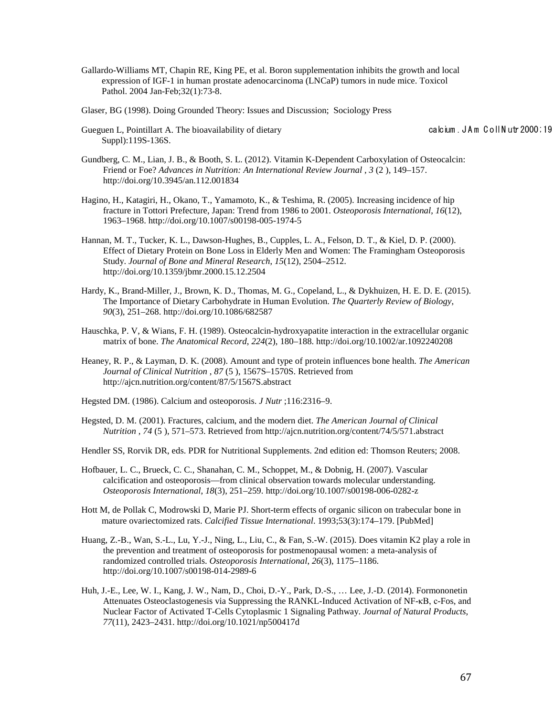Gallardo-Williams MT, Chapin RE, King PE, et al. Boron supplementation inhibits the growth and local expression of IGF-1 in human prostate adenocarcinoma (LNCaP) tumors in nude mice. Toxicol Pathol. 2004 Jan-Feb;32(1):73-8.

Glaser, BG (1998). Doing Grounded Theory: Issues and Discussion; Sociology Press

Gueguen L, Pointillart A. The bioavailability of dietary calcium . JA m C oll N utr 2000; 19 Suppl):119S-136S.

- Gundberg, C. M., Lian, J. B., & Booth, S. L. (2012). Vitamin K-Dependent Carboxylation of Osteocalcin: Friend or Foe? *Advances in Nutrition: An International Review Journal* , *3* (2 ), 149–157. http://doi.org/10.3945/an.112.001834
- Hagino, H., Katagiri, H., Okano, T., Yamamoto, K., & Teshima, R. (2005). Increasing incidence of hip fracture in Tottori Prefecture, Japan: Trend from 1986 to 2001. *Osteoporosis International*, *16*(12), 1963–1968. http://doi.org/10.1007/s00198-005-1974-5
- Hannan, M. T., Tucker, K. L., Dawson-Hughes, B., Cupples, L. A., Felson, D. T., & Kiel, D. P. (2000). Effect of Dietary Protein on Bone Loss in Elderly Men and Women: The Framingham Osteoporosis Study. *Journal of Bone and Mineral Research*, *15*(12), 2504–2512. http://doi.org/10.1359/jbmr.2000.15.12.2504
- Hardy, K., Brand-Miller, J., Brown, K. D., Thomas, M. G., Copeland, L., & Dykhuizen, H. E. D. E. (2015). The Importance of Dietary Carbohydrate in Human Evolution. *The Quarterly Review of Biology*, *90*(3), 251–268. http://doi.org/10.1086/682587
- Hauschka, P. V, & Wians, F. H. (1989). Osteocalcin-hydroxyapatite interaction in the extracellular organic matrix of bone. *The Anatomical Record*, *224*(2), 180–188. http://doi.org/10.1002/ar.1092240208
- Heaney, R. P., & Layman, D. K. (2008). Amount and type of protein influences bone health. *The American Journal of Clinical Nutrition* , *87* (5 ), 1567S–1570S. Retrieved from http://ajcn.nutrition.org/content/87/5/1567S.abstract
- Hegsted DM. (1986). Calcium and osteoporosis. *J Nutr* ;116:2316–9.
- Hegsted, D. M. (2001). Fractures, calcium, and the modern diet. *The American Journal of Clinical Nutrition* , *74* (5 ), 571–573. Retrieved from http://ajcn.nutrition.org/content/74/5/571.abstract
- Hendler SS, Rorvik DR, eds. PDR for Nutritional Supplements. 2nd edition ed: Thomson Reuters; 2008.
- Hofbauer, L. C., Brueck, C. C., Shanahan, C. M., Schoppet, M., & Dobnig, H. (2007). Vascular calcification and osteoporosis—from clinical observation towards molecular understanding. *Osteoporosis International*, *18*(3), 251–259. http://doi.org/10.1007/s00198-006-0282-z
- Hott M, de Pollak C, Modrowski D, Marie PJ. Short-term effects of organic silicon on trabecular bone in mature ovariectomized rats. *Calcified Tissue International*. 1993;53(3):174–179. [PubMed]
- Huang, Z.-B., Wan, S.-L., Lu, Y.-J., Ning, L., Liu, C., & Fan, S.-W. (2015). Does vitamin K2 play a role in the prevention and treatment of osteoporosis for postmenopausal women: a meta-analysis of randomized controlled trials. *Osteoporosis International*, *26*(3), 1175–1186. http://doi.org/10.1007/s00198-014-2989-6
- Huh, J.-E., Lee, W. I., Kang, J. W., Nam, D., Choi, D.-Y., Park, D.-S., … Lee, J.-D. (2014). Formononetin Attenuates Osteoclastogenesis via Suppressing the RANKL-Induced Activation of NF-κB, c-Fos, and Nuclear Factor of Activated T-Cells Cytoplasmic 1 Signaling Pathway. *Journal of Natural Products*, *77*(11), 2423–2431. http://doi.org/10.1021/np500417d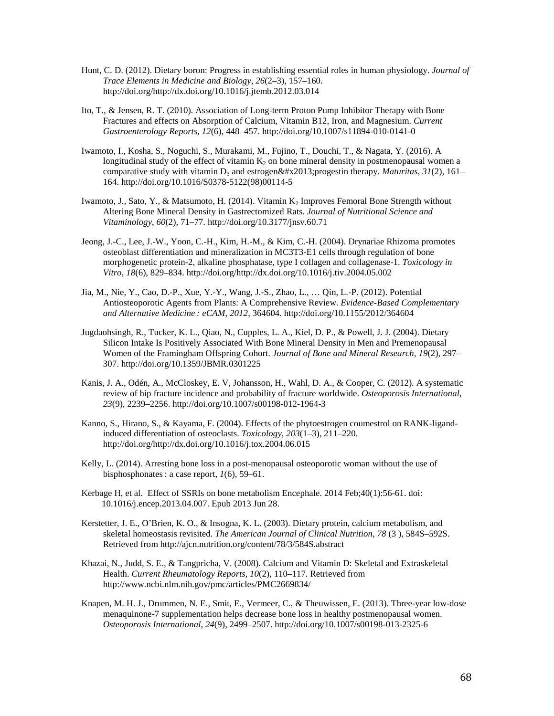- Hunt, C. D. (2012). Dietary boron: Progress in establishing essential roles in human physiology. *Journal of Trace Elements in Medicine and Biology*, *26*(2–3), 157–160. http://doi.org/http://dx.doi.org/10.1016/j.jtemb.2012.03.014
- Ito, T., & Jensen, R. T. (2010). Association of Long-term Proton Pump Inhibitor Therapy with Bone Fractures and effects on Absorption of Calcium, Vitamin B12, Iron, and Magnesium. *Current Gastroenterology Reports*, *12*(6), 448–457. http://doi.org/10.1007/s11894-010-0141-0
- Iwamoto, I., Kosha, S., Noguchi, S., Murakami, M., Fujino, T., Douchi, T., & Nagata, Y. (2016). A longitudinal study of the effect of vitamin  $K<sub>2</sub>$  on bone mineral density in postmenopausal women a comparative study with vitamin  $D_3$  and estrogen–progestin therapy. *Maturitas*,  $31(2)$ , 161– 164. http://doi.org/10.1016/S0378-5122(98)00114-5
- Iwamoto, J., Sato, Y., & Matsumoto, H. (2014). Vitamin K<sub>2</sub> Improves Femoral Bone Strength without Altering Bone Mineral Density in Gastrectomized Rats. *Journal of Nutritional Science and Vitaminology*, *60*(2), 71–77. http://doi.org/10.3177/jnsv.60.71
- Jeong, J.-C., Lee, J.-W., Yoon, C.-H., Kim, H.-M., & Kim, C.-H. (2004). Drynariae Rhizoma promotes osteoblast differentiation and mineralization in MC3T3-E1 cells through regulation of bone morphogenetic protein-2, alkaline phosphatase, type I collagen and collagenase-1. *Toxicology in Vitro*, *18*(6), 829–834. http://doi.org/http://dx.doi.org/10.1016/j.tiv.2004.05.002
- Jia, M., Nie, Y., Cao, D.-P., Xue, Y.-Y., Wang, J.-S., Zhao, L., … Qin, L.-P. (2012). Potential Antiosteoporotic Agents from Plants: A Comprehensive Review. *Evidence-Based Complementary and Alternative Medicine : eCAM*, *2012*, 364604. http://doi.org/10.1155/2012/364604
- Jugdaohsingh, R., Tucker, K. L., Qiao, N., Cupples, L. A., Kiel, D. P., & Powell, J. J. (2004). Dietary Silicon Intake Is Positively Associated With Bone Mineral Density in Men and Premenopausal Women of the Framingham Offspring Cohort. *Journal of Bone and Mineral Research*, *19*(2), 297– 307. http://doi.org/10.1359/JBMR.0301225
- Kanis, J. A., Odén, A., McCloskey, E. V, Johansson, H., Wahl, D. A., & Cooper, C. (2012). A systematic review of hip fracture incidence and probability of fracture worldwide. *Osteoporosis International*, *23*(9), 2239–2256. http://doi.org/10.1007/s00198-012-1964-3
- Kanno, S., Hirano, S., & Kayama, F. (2004). Effects of the phytoestrogen coumestrol on RANK-ligandinduced differentiation of osteoclasts. *Toxicology*, *203*(1–3), 211–220. http://doi.org/http://dx.doi.org/10.1016/j.tox.2004.06.015
- Kelly, L. (2014). Arresting bone loss in a post-menopausal osteoporotic woman without the use of bisphosphonates : a case report, *1*(6), 59–61.
- Kerbage H, et al. Effect of SSRIs on bone metabolism Encephale. 2014 Feb;40(1):56-61. doi: 10.1016/j.encep.2013.04.007. Epub 2013 Jun 28.
- Kerstetter, J. E., O'Brien, K. O., & Insogna, K. L. (2003). Dietary protein, calcium metabolism, and skeletal homeostasis revisited. *The American Journal of Clinical Nutrition*, *78* (3 ), 584S–592S. Retrieved from http://ajcn.nutrition.org/content/78/3/584S.abstract
- Khazai, N., Judd, S. E., & Tangpricha, V. (2008). Calcium and Vitamin D: Skeletal and Extraskeletal Health. *Current Rheumatology Reports*, *10*(2), 110–117. Retrieved from http://www.ncbi.nlm.nih.gov/pmc/articles/PMC2669834/
- Knapen, M. H. J., Drummen, N. E., Smit, E., Vermeer, C., & Theuwissen, E. (2013). Three-year low-dose menaquinone-7 supplementation helps decrease bone loss in healthy postmenopausal women. *Osteoporosis International*, *24*(9), 2499–2507. http://doi.org/10.1007/s00198-013-2325-6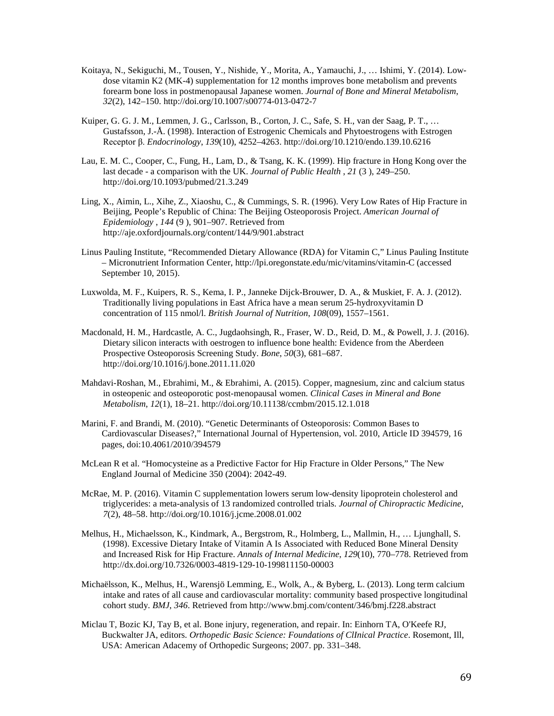- Koitaya, N., Sekiguchi, M., Tousen, Y., Nishide, Y., Morita, A., Yamauchi, J., … Ishimi, Y. (2014). Lowdose vitamin K2 (MK-4) supplementation for 12 months improves bone metabolism and prevents forearm bone loss in postmenopausal Japanese women. *Journal of Bone and Mineral Metabolism*, *32*(2), 142–150. http://doi.org/10.1007/s00774-013-0472-7
- Kuiper, G. G. J. M., Lemmen, J. G., Carlsson, B., Corton, J. C., Safe, S. H., van der Saag, P. T., … Gustafsson, J.-Å. (1998). Interaction of Estrogenic Chemicals and Phytoestrogens with Estrogen Receptor β. *Endocrinology*, *139*(10), 4252–4263. http://doi.org/10.1210/endo.139.10.6216
- Lau, E. M. C., Cooper, C., Fung, H., Lam, D., & Tsang, K. K. (1999). Hip fracture in Hong Kong over the last decade - a comparison with the UK. *Journal of Public Health* , *21* (3 ), 249–250. http://doi.org/10.1093/pubmed/21.3.249
- Ling, X., Aimin, L., Xihe, Z., Xiaoshu, C., & Cummings, S. R. (1996). Very Low Rates of Hip Fracture in Beijing, People's Republic of China: The Beijing Osteoporosis Project. *American Journal of Epidemiology* , *144* (9 ), 901–907. Retrieved from http://aje.oxfordjournals.org/content/144/9/901.abstract
- Linus Pauling Institute, "Recommended Dietary Allowance (RDA) for Vitamin C," Linus Pauling Institute – Micronutrient Information Center, http://lpi.oregonstate.edu/mic/vitamins/vitamin-C (accessed September 10, 2015).
- Luxwolda, M. F., Kuipers, R. S., Kema, I. P., Janneke Dijck-Brouwer, D. A., & Muskiet, F. A. J. (2012). Traditionally living populations in East Africa have a mean serum 25-hydroxyvitamin D concentration of 115 nmol/l. *British Journal of Nutrition*, *108*(09), 1557–1561.
- Macdonald, H. M., Hardcastle, A. C., Jugdaohsingh, R., Fraser, W. D., Reid, D. M., & Powell, J. J. (2016). Dietary silicon interacts with oestrogen to influence bone health: Evidence from the Aberdeen Prospective Osteoporosis Screening Study. *Bone*, *50*(3), 681–687. http://doi.org/10.1016/j.bone.2011.11.020
- Mahdavi-Roshan, M., Ebrahimi, M., & Ebrahimi, A. (2015). Copper, magnesium, zinc and calcium status in osteopenic and osteoporotic post-menopausal women. *Clinical Cases in Mineral and Bone Metabolism*, *12*(1), 18–21. http://doi.org/10.11138/ccmbm/2015.12.1.018
- Marini, F. and Brandi, M. (2010). "Genetic Determinants of Osteoporosis: Common Bases to Cardiovascular Diseases?," International Journal of Hypertension, vol. 2010, Article ID 394579, 16 pages, doi:10.4061/2010/394579
- McLean R et al. "Homocysteine as a Predictive Factor for Hip Fracture in Older Persons," The New England Journal of Medicine 350 (2004): 2042-49.
- McRae, M. P. (2016). Vitamin C supplementation lowers serum low-density lipoprotein cholesterol and triglycerides: a meta-analysis of 13 randomized controlled trials. *Journal of Chiropractic Medicine*, *7*(2), 48–58. http://doi.org/10.1016/j.jcme.2008.01.002
- Melhus, H., Michaelsson, K., Kindmark, A., Bergstrom, R., Holmberg, L., Mallmin, H., … Ljunghall, S. (1998). Excessive Dietary Intake of Vitamin A Is Associated with Reduced Bone Mineral Density and Increased Risk for Hip Fracture. *Annals of Internal Medicine*, *129*(10), 770–778. Retrieved from http://dx.doi.org/10.7326/0003-4819-129-10-199811150-00003
- Michaëlsson, K., Melhus, H., Warensjö Lemming, E., Wolk, A., & Byberg, L. (2013). Long term calcium intake and rates of all cause and cardiovascular mortality: community based prospective longitudinal cohort study. *BMJ*, *346*. Retrieved from http://www.bmj.com/content/346/bmj.f228.abstract
- Miclau T, Bozic KJ, Tay B, et al. Bone injury, regeneration, and repair. In: Einhorn TA, O'Keefe RJ, Buckwalter JA, editors. *Orthopedic Basic Science: Foundations of ClInical Practice*. Rosemont, Ill, USA: American Adacemy of Orthopedic Surgeons; 2007. pp. 331–348.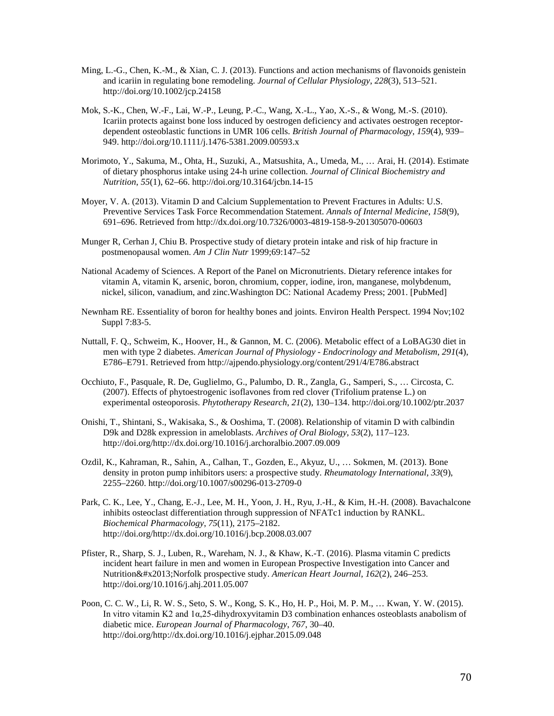- Ming, L.-G., Chen, K.-M., & Xian, C. J. (2013). Functions and action mechanisms of flavonoids genistein and icariin in regulating bone remodeling. *Journal of Cellular Physiology*, *228*(3), 513–521. http://doi.org/10.1002/jcp.24158
- Mok, S.-K., Chen, W.-F., Lai, W.-P., Leung, P.-C., Wang, X.-L., Yao, X.-S., & Wong, M.-S. (2010). Icariin protects against bone loss induced by oestrogen deficiency and activates oestrogen receptordependent osteoblastic functions in UMR 106 cells. *British Journal of Pharmacology*, *159*(4), 939– 949. http://doi.org/10.1111/j.1476-5381.2009.00593.x
- Morimoto, Y., Sakuma, M., Ohta, H., Suzuki, A., Matsushita, A., Umeda, M., … Arai, H. (2014). Estimate of dietary phosphorus intake using 24-h urine collection. *Journal of Clinical Biochemistry and Nutrition*, *55*(1), 62–66. http://doi.org/10.3164/jcbn.14-15
- Moyer, V. A. (2013). Vitamin D and Calcium Supplementation to Prevent Fractures in Adults: U.S. Preventive Services Task Force Recommendation Statement. *Annals of Internal Medicine*, *158*(9), 691–696. Retrieved from http://dx.doi.org/10.7326/0003-4819-158-9-201305070-00603
- Munger R, Cerhan J, Chiu B. Prospective study of dietary protein intake and risk of hip fracture in postmenopausal women. *Am J Clin Nutr* 1999;69:147–52
- National Academy of Sciences. A Report of the Panel on Micronutrients. Dietary reference intakes for vitamin A, vitamin K, arsenic, boron, chromium, copper, iodine, iron, manganese, molybdenum, nickel, silicon, vanadium, and zinc.Washington DC: National Academy Press; 2001. [PubMed]
- Newnham RE. Essentiality of boron for healthy bones and joints. Environ Health Perspect. 1994 Nov;102 Suppl 7:83-5.
- Nuttall, F. Q., Schweim, K., Hoover, H., & Gannon, M. C. (2006). Metabolic effect of a LoBAG30 diet in men with type 2 diabetes. *American Journal of Physiology - Endocrinology and Metabolism*, *291*(4), E786–E791. Retrieved from http://ajpendo.physiology.org/content/291/4/E786.abstract
- Occhiuto, F., Pasquale, R. De, Guglielmo, G., Palumbo, D. R., Zangla, G., Samperi, S., … Circosta, C. (2007). Effects of phytoestrogenic isoflavones from red clover (Trifolium pratense L.) on experimental osteoporosis. *Phytotherapy Research*, *21*(2), 130–134. http://doi.org/10.1002/ptr.2037
- Onishi, T., Shintani, S., Wakisaka, S., & Ooshima, T. (2008). Relationship of vitamin D with calbindin D9k and D28k expression in ameloblasts. *Archives of Oral Biology*, *53*(2), 117–123. http://doi.org/http://dx.doi.org/10.1016/j.archoralbio.2007.09.009
- Ozdil, K., Kahraman, R., Sahin, A., Calhan, T., Gozden, E., Akyuz, U., … Sokmen, M. (2013). Bone density in proton pump inhibitors users: a prospective study. *Rheumatology International*, *33*(9), 2255–2260. http://doi.org/10.1007/s00296-013-2709-0
- Park, C. K., Lee, Y., Chang, E.-J., Lee, M. H., Yoon, J. H., Ryu, J.-H., & Kim, H.-H. (2008). Bavachalcone inhibits osteoclast differentiation through suppression of NFATc1 induction by RANKL. *Biochemical Pharmacology*, *75*(11), 2175–2182. http://doi.org/http://dx.doi.org/10.1016/j.bcp.2008.03.007
- Pfister, R., Sharp, S. J., Luben, R., Wareham, N. J., & Khaw, K.-T. (2016). Plasma vitamin C predicts incident heart failure in men and women in European Prospective Investigation into Cancer and Nutrition–Norfolk prospective study. *American Heart Journal*, *162(2)*, 246–253. http://doi.org/10.1016/j.ahj.2011.05.007
- Poon, C. C. W., Li, R. W. S., Seto, S. W., Kong, S. K., Ho, H. P., Hoi, M. P. M., … Kwan, Y. W. (2015). In vitro vitamin K2 and 1α,25-dihydroxyvitamin D3 combination enhances osteoblasts anabolism of diabetic mice. *European Journal of Pharmacology*, *767*, 30–40. http://doi.org/http://dx.doi.org/10.1016/j.ejphar.2015.09.048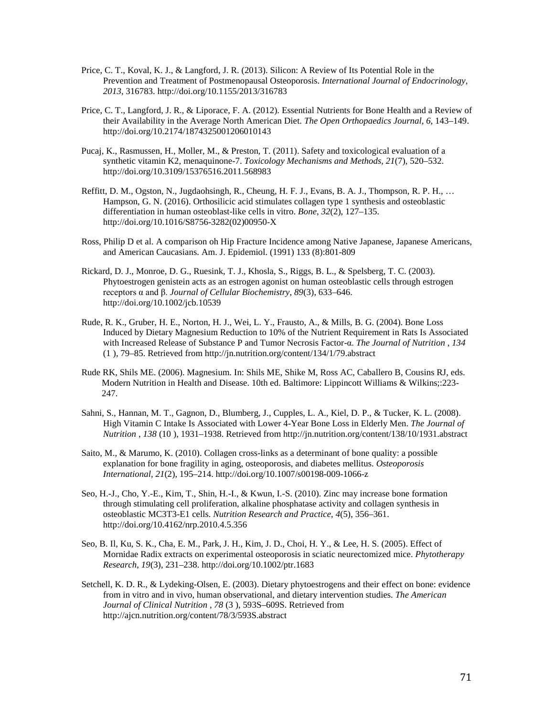- Price, C. T., Koval, K. J., & Langford, J. R. (2013). Silicon: A Review of Its Potential Role in the Prevention and Treatment of Postmenopausal Osteoporosis. *International Journal of Endocrinology*, *2013*, 316783. http://doi.org/10.1155/2013/316783
- Price, C. T., Langford, J. R., & Liporace, F. A. (2012). Essential Nutrients for Bone Health and a Review of their Availability in the Average North American Diet. *The Open Orthopaedics Journal*, *6*, 143–149. http://doi.org/10.2174/1874325001206010143
- Pucaj, K., Rasmussen, H., Moller, M., & Preston, T. (2011). Safety and toxicological evaluation of a synthetic vitamin K2, menaquinone-7. *Toxicology Mechanisms and Methods*, *21*(7), 520–532. http://doi.org/10.3109/15376516.2011.568983
- Reffitt, D. M., Ogston, N., Jugdaohsingh, R., Cheung, H. F. J., Evans, B. A. J., Thompson, R. P. H., … Hampson, G. N. (2016). Orthosilicic acid stimulates collagen type 1 synthesis and osteoblastic differentiation in human osteoblast-like cells in vitro. *Bone*, *32*(2), 127–135. http://doi.org/10.1016/S8756-3282(02)00950-X
- Ross, Philip D et al. A comparison oh Hip Fracture Incidence among Native Japanese, Japanese Americans, and American Caucasians. Am. J. Epidemiol. (1991) 133 (8):801-809
- Rickard, D. J., Monroe, D. G., Ruesink, T. J., Khosla, S., Riggs, B. L., & Spelsberg, T. C. (2003). Phytoestrogen genistein acts as an estrogen agonist on human osteoblastic cells through estrogen receptors α and β. *Journal of Cellular Biochemistry*, *89*(3), 633–646. http://doi.org/10.1002/jcb.10539
- Rude, R. K., Gruber, H. E., Norton, H. J., Wei, L. Y., Frausto, A., & Mills, B. G. (2004). Bone Loss Induced by Dietary Magnesium Reduction to 10% of the Nutrient Requirement in Rats Is Associated with Increased Release of Substance P and Tumor Necrosis Factor-α. *The Journal of Nutrition* , *134*  (1 ), 79–85. Retrieved from http://jn.nutrition.org/content/134/1/79.abstract
- Rude RK, Shils ME. (2006). Magnesium. In: Shils ME, Shike M, Ross AC, Caballero B, Cousins RJ, eds. Modern Nutrition in Health and Disease. 10th ed. Baltimore: Lippincott Williams & Wilkins;:223- 247.
- Sahni, S., Hannan, M. T., Gagnon, D., Blumberg, J., Cupples, L. A., Kiel, D. P., & Tucker, K. L. (2008). High Vitamin C Intake Is Associated with Lower 4-Year Bone Loss in Elderly Men. *The Journal of Nutrition* , *138* (10 ), 1931–1938. Retrieved from http://jn.nutrition.org/content/138/10/1931.abstract
- Saito, M., & Marumo, K. (2010). Collagen cross-links as a determinant of bone quality: a possible explanation for bone fragility in aging, osteoporosis, and diabetes mellitus. *Osteoporosis International*, *21*(2), 195–214. http://doi.org/10.1007/s00198-009-1066-z
- Seo, H.-J., Cho, Y.-E., Kim, T., Shin, H.-I., & Kwun, I.-S. (2010). Zinc may increase bone formation through stimulating cell proliferation, alkaline phosphatase activity and collagen synthesis in osteoblastic MC3T3-E1 cells. *Nutrition Research and Practice*, *4*(5), 356–361. http://doi.org/10.4162/nrp.2010.4.5.356
- Seo, B. Il, Ku, S. K., Cha, E. M., Park, J. H., Kim, J. D., Choi, H. Y., & Lee, H. S. (2005). Effect of Mornidae Radix extracts on experimental osteoporosis in sciatic neurectomized mice. *Phytotherapy Research*, *19*(3), 231–238. http://doi.org/10.1002/ptr.1683
- Setchell, K. D. R., & Lydeking-Olsen, E. (2003). Dietary phytoestrogens and their effect on bone: evidence from in vitro and in vivo, human observational, and dietary intervention studies. *The American Journal of Clinical Nutrition* , *78* (3 ), 593S–609S. Retrieved from http://ajcn.nutrition.org/content/78/3/593S.abstract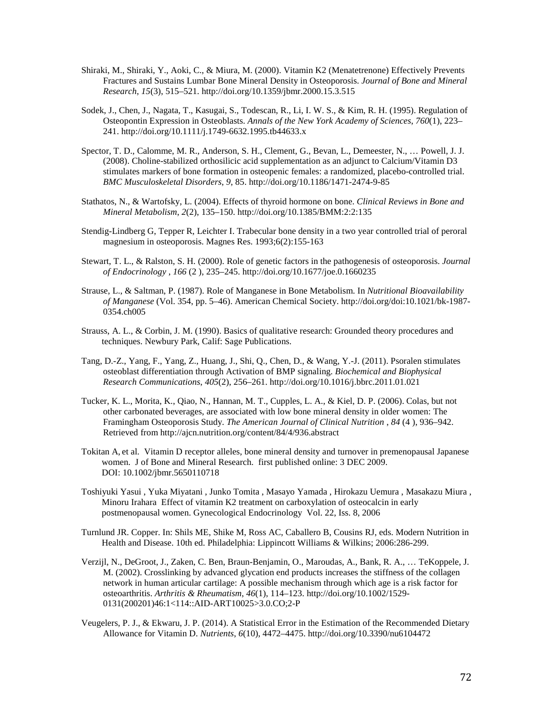- Shiraki, M., Shiraki, Y., Aoki, C., & Miura, M. (2000). Vitamin K2 (Menatetrenone) Effectively Prevents Fractures and Sustains Lumbar Bone Mineral Density in Osteoporosis. *Journal of Bone and Mineral Research*, *15*(3), 515–521. http://doi.org/10.1359/jbmr.2000.15.3.515
- Sodek, J., Chen, J., Nagata, T., Kasugai, S., Todescan, R., Li, I. W. S., & Kim, R. H. (1995). Regulation of Osteopontin Expression in Osteoblasts. *Annals of the New York Academy of Sciences*, *760*(1), 223– 241. http://doi.org/10.1111/j.1749-6632.1995.tb44633.x
- Spector, T. D., Calomme, M. R., Anderson, S. H., Clement, G., Bevan, L., Demeester, N., … Powell, J. J. (2008). Choline-stabilized orthosilicic acid supplementation as an adjunct to Calcium/Vitamin D3 stimulates markers of bone formation in osteopenic females: a randomized, placebo-controlled trial. *BMC Musculoskeletal Disorders*, *9*, 85. http://doi.org/10.1186/1471-2474-9-85
- Stathatos, N., & Wartofsky, L. (2004). Effects of thyroid hormone on bone. *Clinical Reviews in Bone and Mineral Metabolism*, *2*(2), 135–150. http://doi.org/10.1385/BMM:2:2:135
- Stendig-Lindberg G, Tepper R, Leichter I. Trabecular bone density in a two year controlled trial of peroral magnesium in osteoporosis. Magnes Res. 1993;6(2):155-163
- Stewart, T. L., & Ralston, S. H. (2000). Role of genetic factors in the pathogenesis of osteoporosis. *Journal of Endocrinology* , *166* (2 ), 235–245. http://doi.org/10.1677/joe.0.1660235
- Strause, L., & Saltman, P. (1987). Role of Manganese in Bone Metabolism. In *Nutritional Bioavailability of Manganese* (Vol. 354, pp. 5–46). American Chemical Society. http://doi.org/doi:10.1021/bk-1987- 0354.ch005
- Strauss, A. L., & Corbin, J. M. (1990). Basics of qualitative research: Grounded theory procedures and techniques. Newbury Park, Calif: Sage Publications.
- Tang, D.-Z., Yang, F., Yang, Z., Huang, J., Shi, Q., Chen, D., & Wang, Y.-J. (2011). Psoralen stimulates osteoblast differentiation through Activation of BMP signaling. *Biochemical and Biophysical Research Communications*, *405*(2), 256–261. http://doi.org/10.1016/j.bbrc.2011.01.021
- Tucker, K. L., Morita, K., Qiao, N., Hannan, M. T., Cupples, L. A., & Kiel, D. P. (2006). Colas, but not other carbonated beverages, are associated with low bone mineral density in older women: The Framingham Osteoporosis Study. *The American Journal of Clinical Nutrition* , *84* (4 ), 936–942. Retrieved from http://ajcn.nutrition.org/content/84/4/936.abstract
- Tokitan A, et al. Vitamin D receptor alleles, bone mineral density and turnover in premenopausal Japanese women. J of Bone and Mineral Research. first published online: 3 DEC 2009. DOI: 10.1002/jbmr.5650110718
- Toshiyuki Yasui , Yuka Miyatani , Junko Tomita , Masayo Yamada , Hirokazu Uemura , Masakazu Miura , Minoru Irahara Effect of vitamin K2 treatment on carboxylation of osteocalcin in early postmenopausal women. Gynecological Endocrinology Vol. 22, Iss. 8, 2006
- Turnlund JR. Copper. In: Shils ME, Shike M, Ross AC, Caballero B, Cousins RJ, eds. Modern Nutrition in Health and Disease. 10th ed. Philadelphia: Lippincott Williams & Wilkins; 2006:286-299.
- Verzijl, N., DeGroot, J., Zaken, C. Ben, Braun-Benjamin, O., Maroudas, A., Bank, R. A., … TeKoppele, J. M. (2002). Crosslinking by advanced glycation end products increases the stiffness of the collagen network in human articular cartilage: A possible mechanism through which age is a risk factor for osteoarthritis. *Arthritis & Rheumatism*, *46*(1), 114–123. http://doi.org/10.1002/1529- 0131(200201)46:1<114::AID-ART10025>3.0.CO;2-P
- Veugelers, P. J., & Ekwaru, J. P. (2014). A Statistical Error in the Estimation of the Recommended Dietary Allowance for Vitamin D. *Nutrients*, *6*(10), 4472–4475. http://doi.org/10.3390/nu6104472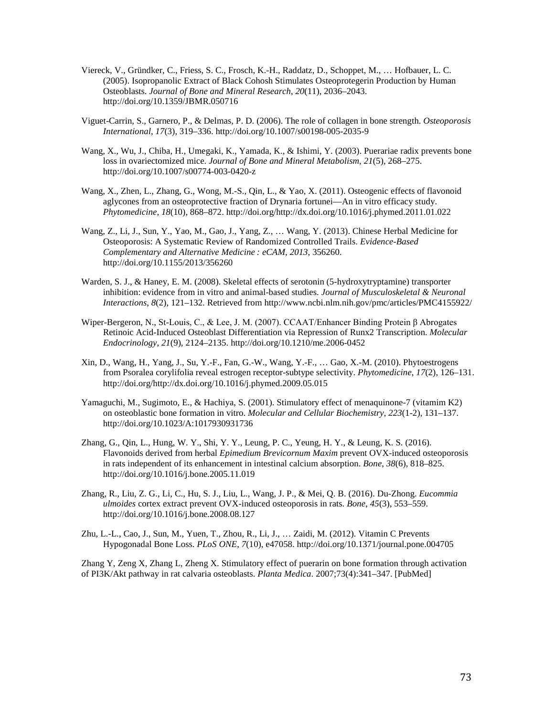- Viereck, V., Gründker, C., Friess, S. C., Frosch, K.-H., Raddatz, D., Schoppet, M., … Hofbauer, L. C. (2005). Isopropanolic Extract of Black Cohosh Stimulates Osteoprotegerin Production by Human Osteoblasts. *Journal of Bone and Mineral Research*, *20*(11), 2036–2043. http://doi.org/10.1359/JBMR.050716
- Viguet-Carrin, S., Garnero, P., & Delmas, P. D. (2006). The role of collagen in bone strength. *Osteoporosis International*, *17*(3), 319–336. http://doi.org/10.1007/s00198-005-2035-9
- Wang, X., Wu, J., Chiba, H., Umegaki, K., Yamada, K., & Ishimi, Y. (2003). Puerariae radix prevents bone loss in ovariectomized mice. *Journal of Bone and Mineral Metabolism*, *21*(5), 268–275. http://doi.org/10.1007/s00774-003-0420-z
- Wang, X., Zhen, L., Zhang, G., Wong, M.-S., Qin, L., & Yao, X. (2011). Osteogenic effects of flavonoid aglycones from an osteoprotective fraction of Drynaria fortunei—An in vitro efficacy study. *Phytomedicine*, *18*(10), 868–872. http://doi.org/http://dx.doi.org/10.1016/j.phymed.2011.01.022
- Wang, Z., Li, J., Sun, Y., Yao, M., Gao, J., Yang, Z., … Wang, Y. (2013). Chinese Herbal Medicine for Osteoporosis: A Systematic Review of Randomized Controlled Trails. *Evidence-Based Complementary and Alternative Medicine : eCAM*, *2013*, 356260. http://doi.org/10.1155/2013/356260
- Warden, S. J., & Haney, E. M. (2008). Skeletal effects of serotonin (5-hydroxytryptamine) transporter inhibition: evidence from in vitro and animal-based studies. *Journal of Musculoskeletal & Neuronal Interactions*, *8*(2), 121–132. Retrieved from http://www.ncbi.nlm.nih.gov/pmc/articles/PMC4155922/
- Wiper-Bergeron, N., St-Louis, C., & Lee, J. M. (2007). CCAAT/Enhancer Binding Protein β Abrogates Retinoic Acid-Induced Osteoblast Differentiation via Repression of Runx2 Transcription. *Molecular Endocrinology*, *21*(9), 2124–2135. http://doi.org/10.1210/me.2006-0452
- Xin, D., Wang, H., Yang, J., Su, Y.-F., Fan, G.-W., Wang, Y.-F., … Gao, X.-M. (2010). Phytoestrogens from Psoralea corylifolia reveal estrogen receptor-subtype selectivity. *Phytomedicine*, *17*(2), 126–131. http://doi.org/http://dx.doi.org/10.1016/j.phymed.2009.05.015
- Yamaguchi, M., Sugimoto, E., & Hachiya, S. (2001). Stimulatory effect of menaquinone-7 (vitamim K2) on osteoblastic bone formation in vitro. *Molecular and Cellular Biochemistry*, *223*(1-2), 131–137. http://doi.org/10.1023/A:1017930931736
- Zhang, G., Qin, L., Hung, W. Y., Shi, Y. Y., Leung, P. C., Yeung, H. Y., & Leung, K. S. (2016). Flavonoids derived from herbal *Epimedium Brevicornum Maxim* prevent OVX-induced osteoporosis in rats independent of its enhancement in intestinal calcium absorption. *Bone*, *38*(6), 818–825. http://doi.org/10.1016/j.bone.2005.11.019
- Zhang, R., Liu, Z. G., Li, C., Hu, S. J., Liu, L., Wang, J. P., & Mei, Q. B. (2016). Du-Zhong. *Eucommia ulmoides* cortex extract prevent OVX-induced osteoporosis in rats. *Bone*, *45*(3), 553–559. http://doi.org/10.1016/j.bone.2008.08.127
- Zhu, L.-L., Cao, J., Sun, M., Yuen, T., Zhou, R., Li, J., … Zaidi, M. (2012). Vitamin C Prevents Hypogonadal Bone Loss. *PLoS ONE*, *7*(10), e47058. http://doi.org/10.1371/journal.pone.004705

Zhang Y, Zeng X, Zhang L, Zheng X. Stimulatory effect of puerarin on bone formation through activation of PI3K/Akt pathway in rat calvaria osteoblasts. *Planta Medica*. 2007;73(4):341–347. [PubMed]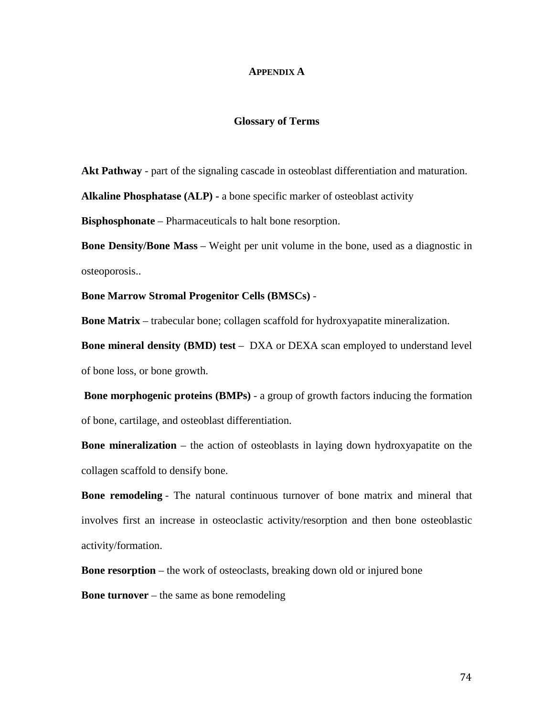#### **APPENDIX A**

#### **Glossary of Terms**

**Akt Pathway** - part of the signaling cascade in osteoblast differentiation and maturation.

**Alkaline Phosphatase (ALP) -** a bone specific marker of osteoblast activity

**Bisphosphonate** – Pharmaceuticals to halt bone resorption.

**Bone Density/Bone Mass** – Weight per unit volume in the bone, used as a diagnostic in osteoporosis..

**Bone Marrow Stromal Progenitor Cells (BMSCs)** -

**Bone Matrix** – trabecular bone; collagen scaffold for hydroxyapatite mineralization.

**Bone mineral density (BMD) test** – DXA or DEXA scan employed to understand level of bone loss, or bone growth.

**Bone morphogenic proteins (BMPs)** - a group of growth factors inducing the formation of bone, cartilage, and osteoblast differentiation.

**Bone mineralization** – the action of osteoblasts in laying down hydroxyapatite on the collagen scaffold to densify bone.

**Bone remodeling** - The natural continuous turnover of bone matrix and mineral that involves first an increase in osteoclastic activity/resorption and then bone osteoblastic activity/formation.

**Bone resorption** – the work of osteoclasts, breaking down old or injured bone

**Bone turnover** – the same as bone remodeling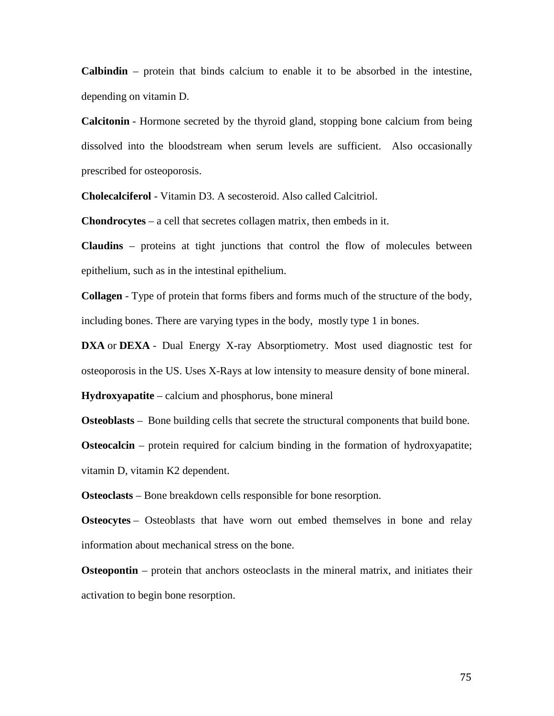**Calbindin** – protein that binds calcium to enable it to be absorbed in the intestine, depending on vitamin D.

**Calcitonin** - Hormone secreted by the thyroid gland, stopping bone calcium from being dissolved into the bloodstream when serum levels are sufficient. Also occasionally prescribed for osteoporosis.

**Cholecalciferol** - Vitamin D3. A secosteroid. Also called Calcitriol.

**Chondrocytes** – a cell that secretes collagen matrix, then embeds in it.

**Claudins** – proteins at tight junctions that control the flow of molecules between epithelium, such as in the intestinal epithelium.

**Collagen** - Type of protein that forms fibers and forms much of the structure of the body, including bones. There are varying types in the body, mostly type 1 in bones.

**DXA** or **DEXA** - Dual Energy X-ray Absorptiometry. Most used diagnostic test for osteoporosis in the US. Uses X-Rays at low intensity to measure density of bone mineral.

**Hydroxyapatite** – calcium and phosphorus, bone mineral

**Osteoblasts** – Bone building cells that secrete the structural components that build bone.

**Osteocalcin** – protein required for calcium binding in the formation of hydroxyapatite; vitamin D, vitamin K2 dependent.

**Osteoclasts** – Bone breakdown cells responsible for bone resorption.

**Osteocytes** – Osteoblasts that have worn out embed themselves in bone and relay information about mechanical stress on the bone.

**Osteopontin** – protein that anchors osteoclasts in the mineral matrix, and initiates their activation to begin bone resorption.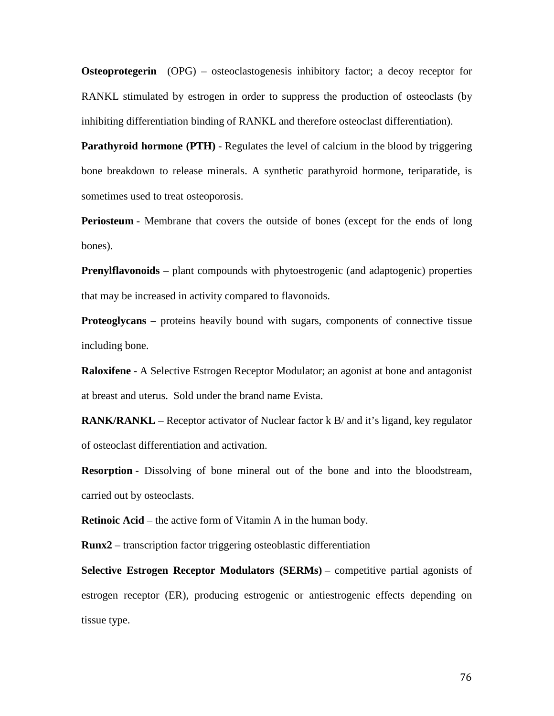**Osteoprotegerin** (OPG) – osteoclastogenesis inhibitory factor; a decoy receptor for RANKL stimulated by estrogen in order to suppress the production of osteoclasts (by inhibiting differentiation binding of RANKL and therefore osteoclast differentiation).

**Parathyroid hormone (PTH)** - Regulates the level of calcium in the blood by triggering bone breakdown to release minerals. A synthetic parathyroid hormone, teriparatide, is sometimes used to treat osteoporosis.

**Periosteum** - Membrane that covers the outside of bones (except for the ends of long bones).

**Prenylflavonoids** – plant compounds with phytoestrogenic (and adaptogenic) properties that may be increased in activity compared to flavonoids.

**Proteoglycans** – proteins heavily bound with sugars, components of connective tissue including bone.

**Raloxifene** - A Selective Estrogen Receptor Modulator; an agonist at bone and antagonist at breast and uterus. Sold under the brand name Evista.

**RANK/RANKL** – Receptor activator of Nuclear factor k B/ and it's ligand, key regulator of osteoclast differentiation and activation.

**Resorption** - Dissolving of bone mineral out of the bone and into the bloodstream, carried out by osteoclasts.

**Retinoic Acid** – the active form of Vitamin A in the human body.

**Runx2** – transcription factor triggering osteoblastic differentiation

**Selective Estrogen Receptor Modulators (SERMs)** – competitive partial agonists of estrogen receptor (ER), producing estrogenic or antiestrogenic effects depending on tissue type.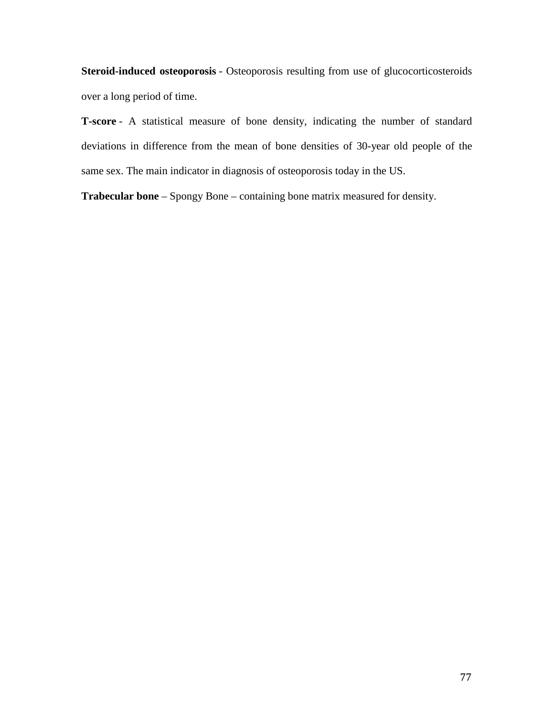**Steroid-induced osteoporosis** - Osteoporosis resulting from use of glucocorticosteroids over a long period of time.

**T-score** - A statistical measure of bone density, indicating the number of standard deviations in difference from the mean of bone densities of 30-year old people of the same sex. The main indicator in diagnosis of osteoporosis today in the US.

**Trabecular bone** – Spongy Bone – containing bone matrix measured for density.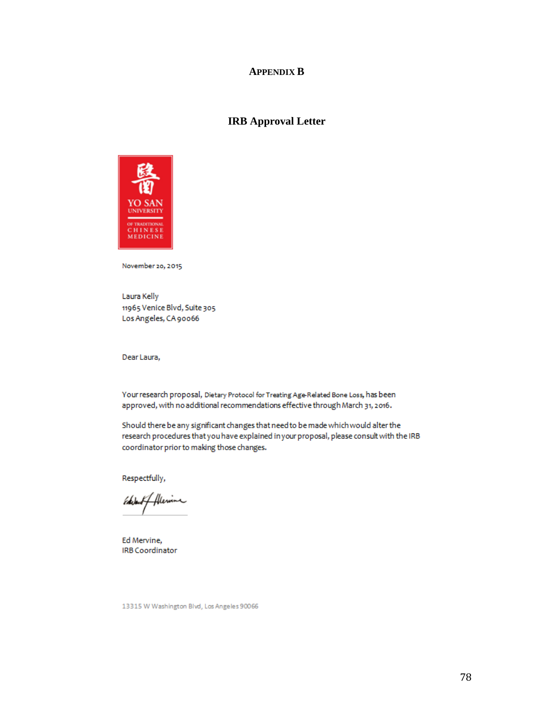#### **APPENDIX B**

### **IRB Approval Letter**



November 20, 2015

Laura Kelly 11965 Venice Blvd, Suite 305 Los Angeles, CA 90066

Dear Laura,

Your research proposal, Dietary Protocol for Treating Age-Related Bone Loss, has been approved, with no additional recommendations effective through March 31, 2016.

Should there be any significant changes that need to be made which would alter the research procedures that you have explained in your proposal, please consult with the IRB coordinator prior to making those changes.

Respectfully,

of Alexine Edule

Ed Mervine, **IRB Coordinator** 

13315 W Washington Blvd, Los Angeles 90066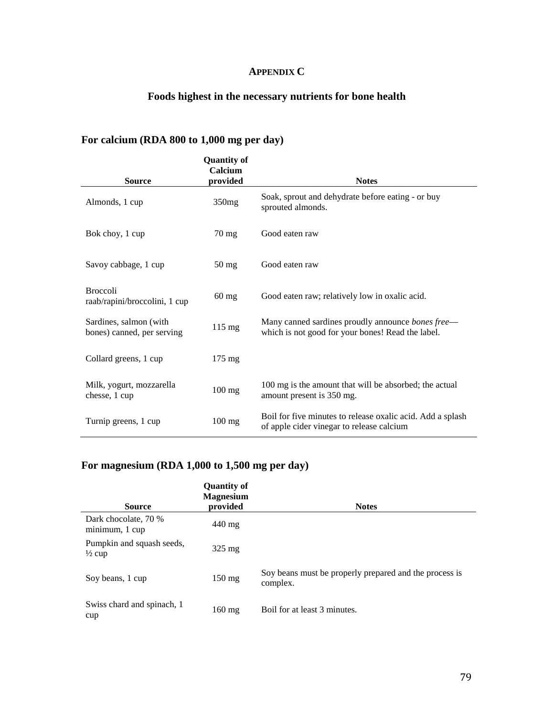## **APPENDIX C**

## **Foods highest in the necessary nutrients for bone health**

## **For calcium (RDA 800 to 1,000 mg per day)**

| <b>Source</b>                                        | <b>Quantity of</b><br>Calcium<br>provided | <b>Notes</b>                                                                                            |
|------------------------------------------------------|-------------------------------------------|---------------------------------------------------------------------------------------------------------|
| Almonds, 1 cup                                       | 350mg                                     | Soak, sprout and dehydrate before eating - or buy<br>sprouted almonds.                                  |
| Bok choy, 1 cup                                      | $70 \text{ mg}$                           | Good eaten raw                                                                                          |
| Savoy cabbage, 1 cup                                 | $50 \,\mathrm{mg}$                        | Good eaten raw                                                                                          |
| <b>Broccoli</b><br>raab/rapini/broccolini, 1 cup     | $60$ mg                                   | Good eaten raw; relatively low in oxalic acid.                                                          |
| Sardines, salmon (with<br>bones) canned, per serving | $115 \text{ mg}$                          | Many canned sardines proudly announce bones free—<br>which is not good for your bones! Read the label.  |
| Collard greens, 1 cup                                | $175 \text{ mg}$                          |                                                                                                         |
| Milk, yogurt, mozzarella<br>chesse, 1 cup            | $100$ mg                                  | 100 mg is the amount that will be absorbed; the actual<br>amount present is 350 mg.                     |
| Turnip greens, 1 cup                                 | $100$ mg                                  | Boil for five minutes to release oxalic acid. Add a splash<br>of apple cider vinegar to release calcium |

## **For magnesium (RDA 1,000 to 1,500 mg per day)**

| <b>Source</b>                                  | <b>Quantity of</b><br><b>Magnesium</b><br>provided | <b>Notes</b>                                                       |
|------------------------------------------------|----------------------------------------------------|--------------------------------------------------------------------|
| Dark chocolate, 70 %<br>minimum, 1 cup         | 440 mg                                             |                                                                    |
| Pumpkin and squash seeds,<br>$\frac{1}{2}$ cup | $325 \text{ mg}$                                   |                                                                    |
| Soy beans, 1 cup                               | $150 \text{ mg}$                                   | Soy beans must be properly prepared and the process is<br>complex. |
| Swiss chard and spinach, 1<br>cup              | $160 \text{ mg}$                                   | Boil for at least 3 minutes.                                       |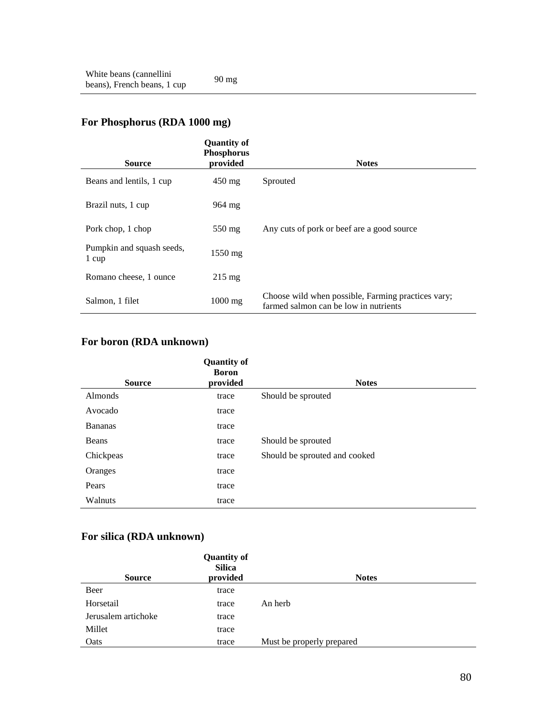# **For Phosphorus (RDA 1000 mg)**

| <b>Source</b>                      | <b>Quantity of</b><br><b>Phosphorus</b><br>provided | <b>Notes</b>                                                                                |
|------------------------------------|-----------------------------------------------------|---------------------------------------------------------------------------------------------|
| Beans and lentils, 1 cup           | $450$ mg                                            | Sprouted                                                                                    |
| Brazil nuts, 1 cup                 | $964 \text{ mg}$                                    |                                                                                             |
| Pork chop, 1 chop                  | $550 \text{ mg}$                                    | Any cuts of pork or beef are a good source                                                  |
| Pumpkin and squash seeds,<br>1 cup | $1550$ mg                                           |                                                                                             |
| Romano cheese, 1 ounce             | $215 \text{ mg}$                                    |                                                                                             |
| Salmon, 1 filet                    | $1000$ mg                                           | Choose wild when possible, Farming practices vary;<br>farmed salmon can be low in nutrients |

## **For boron (RDA unknown)**

|                | <b>Quantity of</b><br><b>Boron</b> |                               |
|----------------|------------------------------------|-------------------------------|
| <b>Source</b>  | provided                           | <b>Notes</b>                  |
| Almonds        | trace                              | Should be sprouted            |
| Avocado        | trace                              |                               |
| <b>Bananas</b> | trace                              |                               |
| Beans          | trace                              | Should be sprouted            |
| Chickpeas      | trace                              | Should be sprouted and cooked |
| Oranges        | trace                              |                               |
| Pears          | trace                              |                               |
| Walnuts        | trace                              |                               |

## **For silica (RDA unknown)**

| <b>Source</b>       | <b>Quantity of</b><br><b>Silica</b><br>provided | <b>Notes</b>              |
|---------------------|-------------------------------------------------|---------------------------|
| Beer                | trace                                           |                           |
| Horsetail           | trace                                           | An herb                   |
| Jerusalem artichoke | trace                                           |                           |
| Millet              | trace                                           |                           |
| Oats                | trace                                           | Must be properly prepared |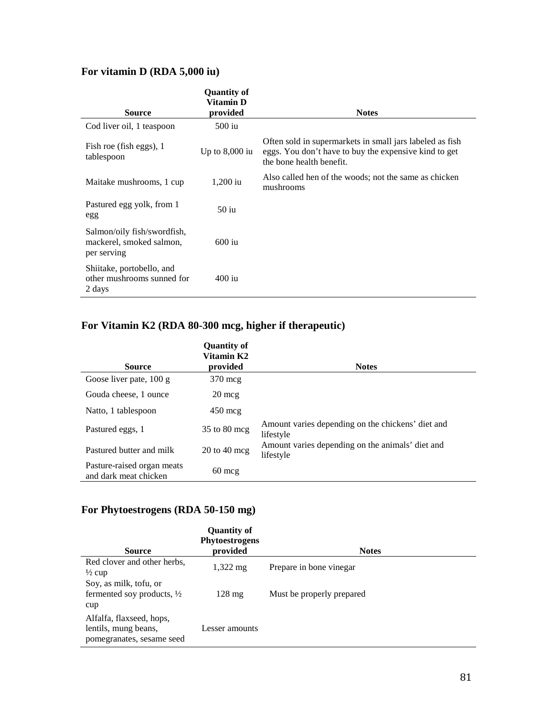## **For vitamin D (RDA 5,000 iu)**

| <b>Source</b>                                                          | <b>Quantity of</b><br>Vitamin D<br>provided | <b>Notes</b>                                                                                                                                  |
|------------------------------------------------------------------------|---------------------------------------------|-----------------------------------------------------------------------------------------------------------------------------------------------|
| Cod liver oil, 1 teaspoon                                              | $500$ iu                                    |                                                                                                                                               |
| Fish roe (fish eggs), 1<br>tablespoon                                  | Up to $8,000$ iu                            | Often sold in supermarkets in small jars labeled as fish<br>eggs. You don't have to buy the expensive kind to get<br>the bone health benefit. |
| Maitake mushrooms, 1 cup                                               | $1,200$ iu                                  | Also called hen of the woods; not the same as chicken<br>mushrooms                                                                            |
| Pastured egg yolk, from 1<br>egg                                       | $50$ iu                                     |                                                                                                                                               |
| Salmon/oily fish/swordfish,<br>mackerel, smoked salmon,<br>per serving | $600$ iu                                    |                                                                                                                                               |
| Shiitake, portobello, and<br>other mushrooms sunned for<br>2 days      | $400$ iu                                    |                                                                                                                                               |

# **For Vitamin K2 (RDA 80-300 mcg, higher if therapeutic)**

| <b>Source</b>                                       | <b>Quantity of</b><br>Vitamin K2<br>provided | <b>Notes</b>                                                   |
|-----------------------------------------------------|----------------------------------------------|----------------------------------------------------------------|
|                                                     |                                              |                                                                |
| Goose liver pate, 100 g                             | $370 \text{~meq}$                            |                                                                |
| Gouda cheese, 1 ounce                               | $20 \text{~me}$                              |                                                                |
| Natto, 1 tablespoon                                 | $450 \text{~me}$                             |                                                                |
| Pastured eggs, 1                                    | $35$ to $80$ mcg                             | Amount varies depending on the chickens' diet and<br>lifestyle |
| Pastured butter and milk                            | $20 \text{ to } 40 \text{ mcg}$              | Amount varies depending on the animals' diet and<br>lifestyle  |
| Pasture-raised organ meats<br>and dark meat chicken | $60 \text{ mc}$                              |                                                                |

## **For Phytoestrogens (RDA 50-150 mg)**

| <b>Source</b>                                                                 | <b>Quantity of</b><br><b>Phytoestrogens</b><br>provided | <b>Notes</b>              |
|-------------------------------------------------------------------------------|---------------------------------------------------------|---------------------------|
| Red clover and other herbs,<br>$\frac{1}{2}$ cup                              | $1,322 \,\mathrm{mg}$                                   | Prepare in bone vinegar   |
| Soy, as milk, tofu, or<br>fermented soy products, $\frac{1}{2}$<br>cup        | $128 \text{ mg}$                                        | Must be properly prepared |
| Alfalfa, flaxseed, hops,<br>lentils, mung beans,<br>pomegranates, sesame seed | Lesser amounts                                          |                           |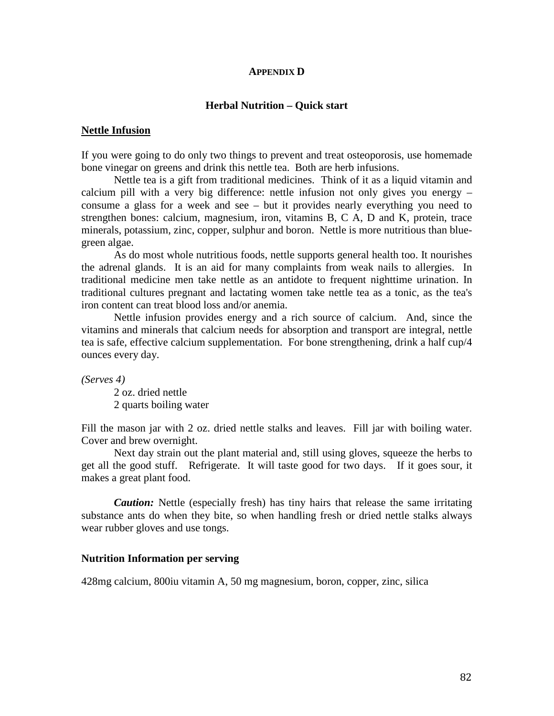#### **APPENDIX D**

#### **Herbal Nutrition – Quick start**

#### **Nettle Infusion**

If you were going to do only two things to prevent and treat osteoporosis, use homemade bone vinegar on greens and drink this nettle tea. Both are herb infusions.

Nettle tea is a gift from traditional medicines. Think of it as a liquid vitamin and calcium pill with a very big difference: nettle infusion not only gives you energy – consume a glass for a week and see – but it provides nearly everything you need to strengthen bones: calcium, magnesium, iron, vitamins B, C A, D and K, protein, trace minerals, potassium, zinc, copper, sulphur and boron. Nettle is more nutritious than bluegreen algae.

As do most whole nutritious foods, nettle supports general health too. It nourishes the adrenal glands. It is an aid for many complaints from weak nails to allergies. In traditional medicine men take nettle as an antidote to frequent nighttime urination. In traditional cultures pregnant and lactating women take nettle tea as a tonic, as the tea's iron content can treat blood loss and/or anemia.

Nettle infusion provides energy and a rich source of calcium. And, since the vitamins and minerals that calcium needs for absorption and transport are integral, nettle tea is safe, effective calcium supplementation. For bone strengthening, drink a half cup/4 ounces every day.

*(Serves 4)*

2 oz. dried nettle 2 quarts boiling water

Fill the mason jar with 2 oz. dried nettle stalks and leaves. Fill jar with boiling water. Cover and brew overnight.

Next day strain out the plant material and, still using gloves, squeeze the herbs to get all the good stuff. Refrigerate. It will taste good for two days. If it goes sour, it makes a great plant food.

*Caution:* Nettle (especially fresh) has tiny hairs that release the same irritating substance ants do when they bite, so when handling fresh or dried nettle stalks always wear rubber gloves and use tongs.

#### **Nutrition Information per serving**

428mg calcium, 800iu vitamin A, 50 mg magnesium, boron, copper, zinc, silica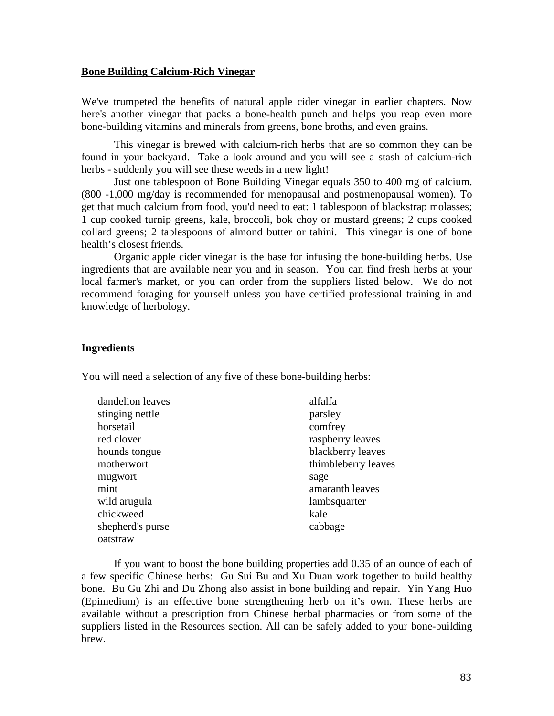#### **Bone Building Calcium-Rich Vinegar**

We've trumpeted the benefits of natural apple cider vinegar in earlier chapters. Now here's another vinegar that packs a bone-health punch and helps you reap even more bone-building vitamins and minerals from greens, bone broths, and even grains.

This vinegar is brewed with calcium-rich herbs that are so common they can be found in your backyard. Take a look around and you will see a stash of calcium-rich herbs - suddenly you will see these weeds in a new light!

Just one tablespoon of Bone Building Vinegar equals 350 to 400 mg of calcium. (800 -1,000 mg/day is recommended for menopausal and postmenopausal women). To get that much calcium from food, you'd need to eat: 1 tablespoon of blackstrap molasses; 1 cup cooked turnip greens, kale, broccoli, bok choy or mustard greens; 2 cups cooked collard greens; 2 tablespoons of almond butter or tahini. This vinegar is one of bone health's closest friends.

Organic apple cider vinegar is the base for infusing the bone-building herbs. Use ingredients that are available near you and in season. You can find fresh herbs at your local farmer's market, or you can order from the suppliers listed below. We do not recommend foraging for yourself unless you have certified professional training in and knowledge of herbology.

#### **Ingredients**

You will need a selection of any five of these bone-building herbs:

| parsley             |
|---------------------|
| comfrey             |
| raspberry leaves    |
| blackberry leaves   |
| thimbleberry leaves |
| sage                |
| amaranth leaves     |
| lambsquarter        |
| kale                |
| cabbage             |
|                     |
|                     |

If you want to boost the bone building properties add 0.35 of an ounce of each of a few specific Chinese herbs: Gu Sui Bu and Xu Duan work together to build healthy bone. Bu Gu Zhi and Du Zhong also assist in bone building and repair. Yin Yang Huo (Epimedium) is an effective bone strengthening herb on it's own. These herbs are available without a prescription from Chinese herbal pharmacies or from some of the suppliers listed in the Resources section. All can be safely added to your bone-building brew.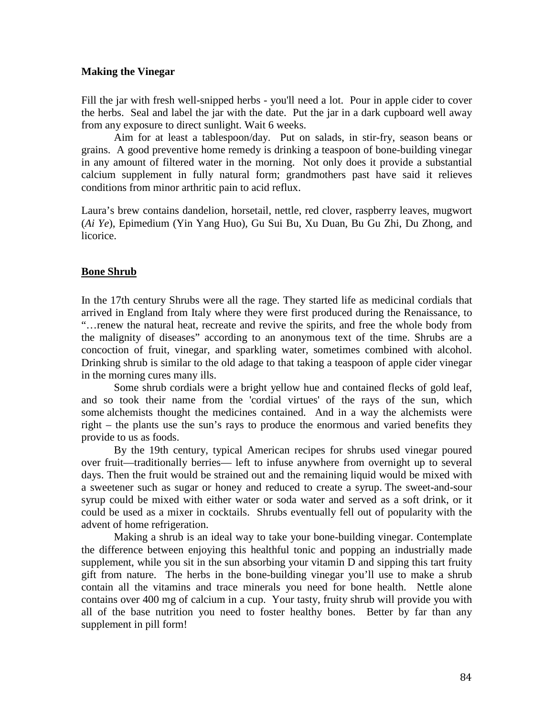#### **Making the Vinegar**

Fill the jar with fresh well-snipped herbs - you'll need a lot. Pour in apple cider to cover the herbs. Seal and label the jar with the date. Put the jar in a dark cupboard well away from any exposure to direct sunlight. Wait 6 weeks.

Aim for at least a tablespoon/day. Put on salads, in stir-fry, season beans or grains. A good preventive home remedy is drinking a teaspoon of bone-building vinegar in any amount of filtered water in the morning. Not only does it provide a substantial calcium supplement in fully natural form; grandmothers past have said it relieves conditions from minor arthritic pain to acid reflux.

Laura's brew contains dandelion, horsetail, nettle, red clover, raspberry leaves, mugwort (*Ai Ye*), Epimedium (Yin Yang Huo), Gu Sui Bu, Xu Duan, Bu Gu Zhi, Du Zhong, and licorice.

### **Bone Shrub**

In the 17th century Shrubs were all the rage. They started life as medicinal cordials that arrived in England from Italy where they were first produced during the Renaissance, to "…renew the natural heat, recreate and revive the spirits, and free the whole body from the malignity of diseases" according to an anonymous text of the time. Shrubs are a concoction of fruit, vinegar, and sparkling water, sometimes combined with alcohol. Drinking shrub is similar to the old adage to that taking a teaspoon of apple cider vinegar in the morning cures many ills.

Some shrub cordials were a bright yellow hue and contained flecks of gold leaf, and so took their name from the 'cordial virtues' of the rays of the sun, which some alchemists thought the medicines contained. And in a way the alchemists were right – the plants use the sun's rays to produce the enormous and varied benefits they provide to us as foods.

By the 19th century, typical American recipes for shrubs used vinegar poured over fruit—traditionally berries— left to infuse anywhere from overnight up to several days. Then the fruit would be strained out and the remaining liquid would be mixed with a sweetener such as sugar or honey and reduced to create a syrup. The sweet-and-sour syrup could be mixed with either water or soda water and served as a soft drink, or it could be used as a mixer in cocktails. Shrubs eventually fell out of popularity with the advent of home refrigeration.

Making a shrub is an ideal way to take your bone-building vinegar. Contemplate the difference between enjoying this healthful tonic and popping an industrially made supplement, while you sit in the sun absorbing your vitamin D and sipping this tart fruity gift from nature. The herbs in the bone-building vinegar you'll use to make a shrub contain all the vitamins and trace minerals you need for bone health. Nettle alone contains over 400 mg of calcium in a cup. Your tasty, fruity shrub will provide you with all of the base nutrition you need to foster healthy bones. Better by far than any supplement in pill form!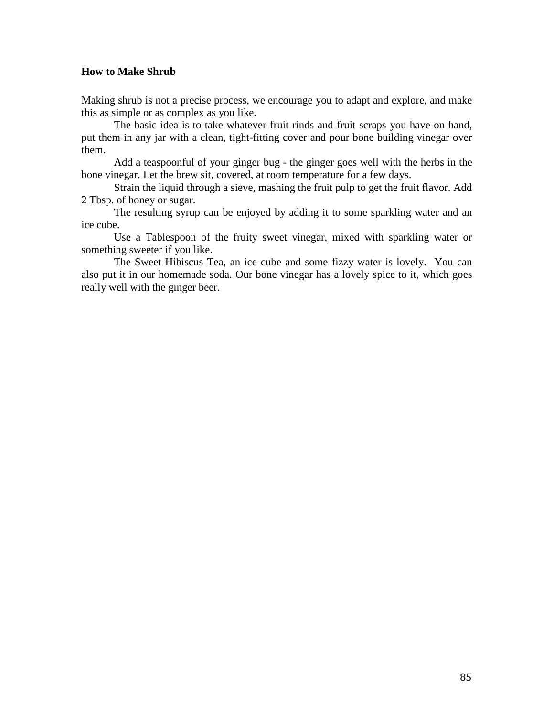### **How to Make Shrub**

Making shrub is not a precise process, we encourage you to adapt and explore, and make this as simple or as complex as you like.

The basic idea is to take whatever fruit rinds and fruit scraps you have on hand, put them in any jar with a clean, tight-fitting cover and pour bone building vinegar over them.

Add a teaspoonful of your ginger bug - the ginger goes well with the herbs in the bone vinegar. Let the brew sit, covered, at room temperature for a few days.

Strain the liquid through a sieve, mashing the fruit pulp to get the fruit flavor. Add 2 Tbsp. of honey or sugar.

The resulting syrup can be enjoyed by adding it to some sparkling water and an ice cube.

Use a Tablespoon of the fruity sweet vinegar, mixed with sparkling water or something sweeter if you like.

The Sweet Hibiscus Tea, an ice cube and some fizzy water is lovely. You can also put it in our homemade soda. Our bone vinegar has a lovely spice to it, which goes really well with the ginger beer.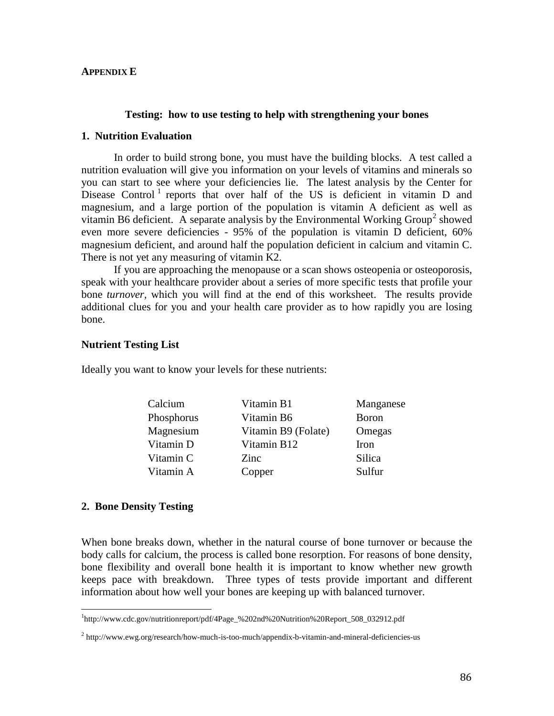#### **APPENDIX E**

#### **Testing: how to use testing to help with strengthening your bones**

#### **1. Nutrition Evaluation**

In order to build strong bone, you must have the building blocks. A test called a nutrition evaluation will give you information on your levels of vitamins and minerals so you can start to see where your deficiencies lie. The latest analysis by the Center for Disease Control<sup>[1](#page-85-0)</sup> reports that over half of the US is deficient in vitamin D and magnesium, and a large portion of the population is vitamin A deficient as well as vitamin B6 deficient. A separate analysis by the Environmental Working Group<sup>[2](#page-85-1)</sup> showed even more severe deficiencies - 95% of the population is vitamin D deficient, 60% magnesium deficient, and around half the population deficient in calcium and vitamin C. There is not yet any measuring of vitamin K2.

If you are approaching the menopause or a scan shows osteopenia or osteoporosis, speak with your healthcare provider about a series of more specific tests that profile your bone *turnover,* which you will find at the end of this worksheet. The results provide additional clues for you and your health care provider as to how rapidly you are losing bone.

#### **Nutrient Testing List**

Ideally you want to know your levels for these nutrients:

| Calcium    | Vitamin B1          | Manganese     |
|------------|---------------------|---------------|
| Phosphorus | Vitamin B6          | <b>B</b> oron |
| Magnesium  | Vitamin B9 (Folate) | Omegas        |
| Vitamin D  | Vitamin B12         | <b>Iron</b>   |
| Vitamin C  | Zinc.               | Silica        |
| Vitamin A  | Copper              | Sulfur        |
|            |                     |               |

#### **2. Bone Density Testing**

When bone breaks down, whether in the natural course of bone turnover or because the body calls for calcium, the process is called bone resorption. For reasons of bone density, bone flexibility and overall bone health it is important to know whether new growth keeps pace with breakdown. Three types of tests provide important and different information about how well your bones are keeping up with balanced turnover.

<span id="page-85-0"></span>1 http://www.cdc.gov/nutritionreport/pdf/4Page\_%202nd%20Nutrition%20Report\_508\_032912.pdf

<span id="page-85-1"></span> $2$  http://www.ewg.org/research/how-much-is-too-much/appendix-b-vitamin-and-mineral-deficiencies-us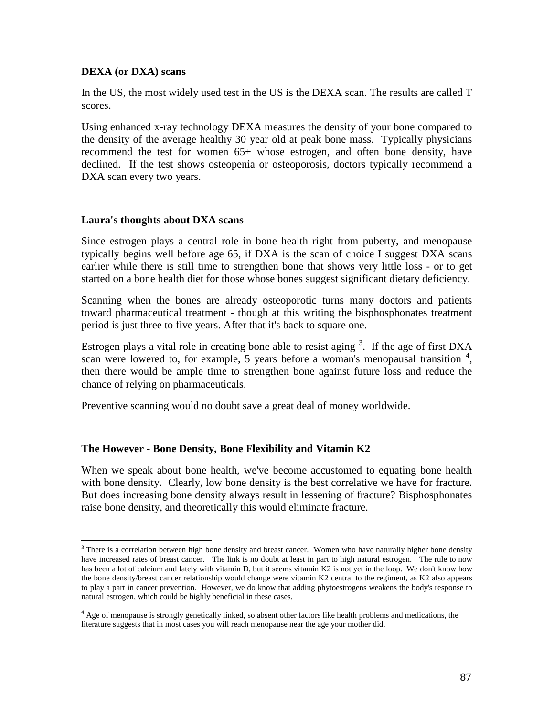### **DEXA (or DXA) scans**

In the US, the most widely used test in the US is the DEXA scan. The results are called T scores.

Using enhanced x-ray technology DEXA measures the density of your bone compared to the density of the average healthy 30 year old at peak bone mass. Typically physicians recommend the test for women 65+ whose estrogen, and often bone density, have declined. If the test shows osteopenia or osteoporosis, doctors typically recommend a DXA scan every two years.

### **Laura's thoughts about DXA scans**

Since estrogen plays a central role in bone health right from puberty, and menopause typically begins well before age 65, if DXA is the scan of choice I suggest DXA scans earlier while there is still time to strengthen bone that shows very little loss - or to get started on a bone health diet for those whose bones suggest significant dietary deficiency.

Scanning when the bones are already osteoporotic turns many doctors and patients toward pharmaceutical treatment - though at this writing the bisphosphonates treatment period is just three to five years. After that it's back to square one.

Estrogen plays a vital role in creating bone able to resist aging  $3$ . If the age of first DXA scan were lowered to, for example, 5 years before a woman's menopausal transition  $4$ , then there would be ample time to strengthen bone against future loss and reduce the chance of relying on pharmaceuticals.

Preventive scanning would no doubt save a great deal of money worldwide.

## **The However - Bone Density, Bone Flexibility and Vitamin K2**

When we speak about bone health, we've become accustomed to equating bone health with bone density. Clearly, low bone density is the best correlative we have for fracture. But does increasing bone density always result in lessening of fracture? Bisphosphonates raise bone density, and theoretically this would eliminate fracture.

<span id="page-86-0"></span><sup>&</sup>lt;sup>3</sup> There is a correlation between high bone density and breast cancer. Women who have naturally higher bone density have increased rates of breast cancer. The link is no doubt at least in part to high natural estrogen. The rule to now has been a lot of calcium and lately with vitamin D, but it seems vitamin K2 is not yet in the loop. We don't know how the bone density/breast cancer relationship would change were vitamin K2 central to the regiment, as K2 also appears to play a part in cancer prevention. However, we do know that adding phytoestrogens weakens the body's response to natural estrogen, which could be highly beneficial in these cases.

<span id="page-86-1"></span> $<sup>4</sup>$  Age of menopause is strongly genetically linked, so absent other factors like health problems and medications, the</sup> literature suggests that in most cases you will reach menopause near the age your mother did.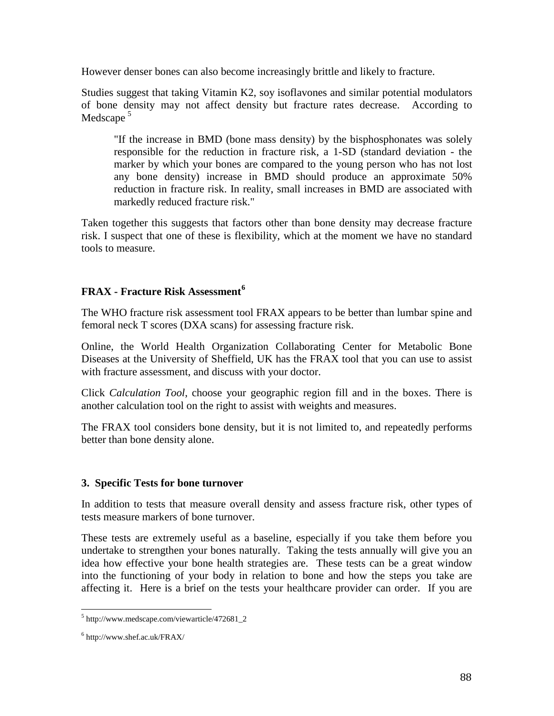However denser bones can also become increasingly brittle and likely to fracture.

Studies suggest that taking Vitamin K2, soy isoflavones and similar potential modulators of bone density may not affect density but fracture rates decrease. According to Medscape<sup>[5](#page-87-0)</sup>

"If the increase in BMD (bone mass density) by the bisphosphonates was solely responsible for the reduction in fracture risk, a 1-SD (standard deviation - the marker by which your bones are compared to the young person who has not lost any bone density) increase in BMD should produce an approximate 50% reduction in fracture risk. In reality, small increases in BMD are associated with markedly reduced fracture risk."

Taken together this suggests that factors other than bone density may decrease fracture risk. I suspect that one of these is flexibility, which at the moment we have no standard tools to measure.

## **FRAX - Fracture Risk Assessment[6](#page-87-1)**

The WHO fracture risk assessment tool FRAX appears to be better than lumbar spine and femoral neck T scores (DXA scans) for assessing fracture risk.

Online, the World Health Organization Collaborating Center for Metabolic Bone Diseases at the University of Sheffield, UK has the FRAX tool that you can use to assist with fracture assessment, and discuss with your doctor.

Click *Calculation Tool*, choose your geographic region fill and in the boxes. There is another calculation tool on the right to assist with weights and measures.

The FRAX tool considers bone density, but it is not limited to, and repeatedly performs better than bone density alone.

## **3. Specific Tests for bone turnover**

In addition to tests that measure overall density and assess fracture risk, other types of tests measure markers of bone turnover.

These tests are extremely useful as a baseline, especially if you take them before you undertake to strengthen your bones naturally. Taking the tests annually will give you an idea how effective your bone health strategies are. These tests can be a great window into the functioning of your body in relation to bone and how the steps you take are affecting it. Here is a brief on the tests your healthcare provider can order. If you are

<span id="page-87-0"></span><sup>5</sup> http://www.medscape.com/viewarticle/472681\_2

<span id="page-87-1"></span><sup>6</sup> http://www.shef.ac.uk/FRAX/